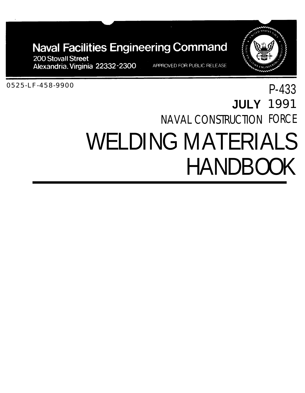# **Naval Facilities Engineering Command**

**200 Stovall Street** Alexandria, Virginia 22332-2300

APPROVED FOR PUBLIC RELEASE

0525-LF-458-9900

# **JULY** 1991 NAVAL CONSTRUCTION FORCE P-433 WELDING MATERIALS HANDBOOK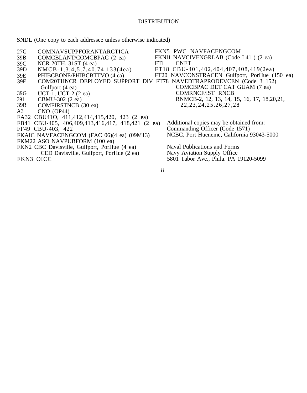### DISTRIBUTION

SNDL (One copy to each addressee unless otherwise indicated)

| 27G             | COMNAVSUPPFORANTARCTICA                                             |     | FKN5 PWC NAVFACENGCOM                        |
|-----------------|---------------------------------------------------------------------|-----|----------------------------------------------|
| 39B             | COMCBLANT/COMCBPAC (2 ea)                                           |     | FKNI1 NAVCIVENGRLAB (Code L41) (2 ea)        |
| 39C             | NCR 20TH, 31ST (4 ea)                                               | FT1 | <b>CNET</b>                                  |
| 39 <sub>D</sub> | NMCB-1,3,4,5,7,40,74,133(4ea)                                       |     | FT18 CBU-401,402,404,407,408,419(2ea)        |
| 39E             | PHIBCBONE/PHIBCBTTVO (4 ea)                                         |     | FT20 NAVCONSTRACEN Gulfport, PorHue (150 ea) |
| 39F             | COM20THNCR DEPLOYED SUPPORT DIV FT78 NAVEDTRAPRODEVCEN (Code 3 152) |     |                                              |
|                 | Gulfport (4 ea)                                                     |     | COMCBPAC DET CAT GUAM (7 ea)                 |
| 39G             | $UCT-1$ , $UCT-2$ (2 ea)                                            |     | <b>COMRNCF/IST RNCB</b>                      |
| 391             | CBMU-302 (2 ea)                                                     |     | RNMCB-2, 12, 13, 14, 15, 16, 17, 18, 20, 21, |
| 39R             | COMFIRSTNCB (30 ea)                                                 |     | 22, 23, 24, 25, 26, 27, 28                   |
| A <sub>3</sub>  | $CNO$ (OP44)                                                        |     |                                              |
|                 | FA32 CBU410, 411,412,414,415,420, 423 (2 ea)                        |     |                                              |
|                 | FB41 CBU-405, 406, 409, 413, 416, 417, 418, 421 (2 ea)              |     | Additional copies may be obtained from:      |
|                 | FF49 CBU-403, 422                                                   |     | Commanding Officer (Code 1571)               |
|                 | FKAIC NAVFACENGCOM (FAC 06)(4 ea) (09M13)                           |     | NCBC, Port Hueneme, California 93043-5000    |
|                 | FKM22 ASO NAVPUBFORM (100 ea)                                       |     |                                              |
|                 | FKN2 CBC Davisville, Gulfport, PorHue (4 ea)                        |     | <b>Naval Publications and Forms</b>          |
|                 | CED Davisville, Gulfport, PorHue (2 ea)                             |     | Navy Aviation Supply Office                  |
| FKN3 OICC       |                                                                     |     | 5801 Tabor Ave., Phila. PA 19120-5099        |
|                 |                                                                     |     |                                              |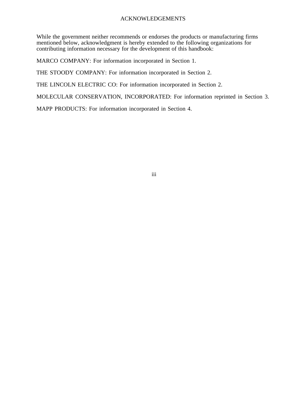### ACKNOWLEDGEMENTS

While the government neither recommends or endorses the products or manufacturing firms mentioned below, acknowledgment is hereby extended to the following organizations for contributing information necessary for the development of this handbook:

MARCO COMPANY: For information incorporated in Section 1.

THE STOODY COMPANY: For information incorporated in Section 2.

THE LINCOLN ELECTRIC CO: For information incorporated in Section 2.

MOLECULAR CONSERVATION, INCORPORATED: For information reprinted in Section 3.

MAPP PRODUCTS: For information incorporated in Section 4.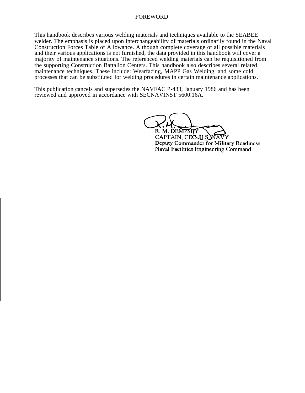### FOREWORD

This handbook describes various welding materials and techniques available to the SEABEE welder. The emphasis is placed upon interchangeability of materials ordinarily found in the Naval Construction Forces Table of Allowance. Although complete coverage of all possible materials and their various applications is not furnished, the data provided in this handbook will cover a majority of maintenance situations. The referenced welding materials can be requisitioned from the supporting Construction Battalion Centers. This handbook also describes several related maintenance techniques. These include: Wearfacing, MAPP Gas Welding, and some cold processes that can be substituted for welding procedures in certain maintenance applications.

This publication cancels and supersedes the NAVFAC P-433, January 1986 and has been reviewed and approved in accordance with SECNAVINST 5600.16A.

R. M. DEMPSHY CAPTAIN, CEC, U.S. NA Deputy Commander for Military Readiness Naval Facilities Engineering Command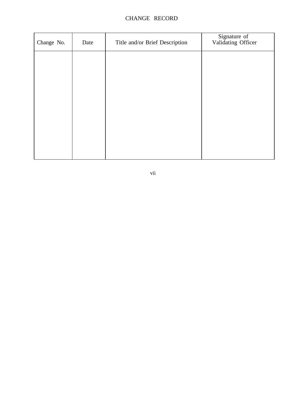### CHANGE RECORD

| Change No. | Date | Title and/or Brief Description | Signature of<br>Validating Officer |
|------------|------|--------------------------------|------------------------------------|
|            |      |                                |                                    |
|            |      |                                |                                    |
|            |      |                                |                                    |
|            |      |                                |                                    |
|            |      |                                |                                    |
|            |      |                                |                                    |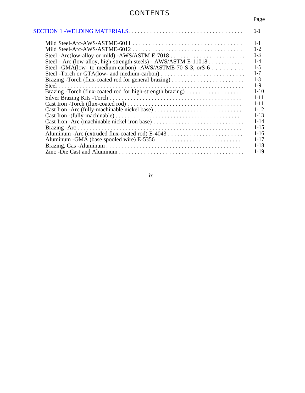# **CONTENTS**

| Steel - Arc (low-alloy, high-strength steels) - AWS/ASTM E-11018          |
|---------------------------------------------------------------------------|
| Steel -GMA(low- to medium-carbon) -AWS/ASTME-70 S-3, or S-6 $\dots \dots$ |
|                                                                           |
|                                                                           |
|                                                                           |
| Brazing -Torch (flux-coated rod for high-strength brazing)                |
|                                                                           |
|                                                                           |
|                                                                           |
|                                                                           |
|                                                                           |
|                                                                           |
|                                                                           |
|                                                                           |
|                                                                           |
|                                                                           |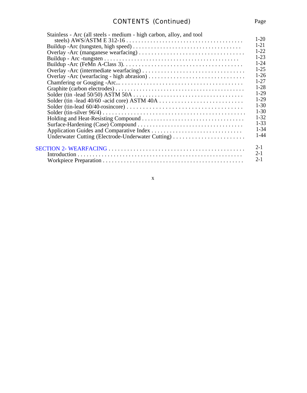# CONTENTS (Continued) Page

| Stainless - Arc (all steels - medium - high carbon, alloy, and tool |          |
|---------------------------------------------------------------------|----------|
|                                                                     | $1-20$   |
|                                                                     | $1 - 21$ |
|                                                                     | $1 - 22$ |
|                                                                     | $1-23$   |
|                                                                     | $1 - 24$ |
|                                                                     | $1 - 25$ |
|                                                                     | $1 - 26$ |
|                                                                     | $1 - 27$ |
|                                                                     | $1 - 28$ |
|                                                                     |          |
|                                                                     | $1-29$   |
|                                                                     |          |
|                                                                     |          |
|                                                                     | $1 - 32$ |
|                                                                     |          |
|                                                                     | $1 - 34$ |
|                                                                     |          |
|                                                                     |          |
|                                                                     | $2 - 1$  |
|                                                                     | $2 - 1$  |
|                                                                     | $2 - 1$  |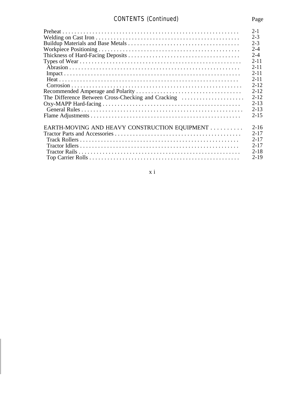|                                                    | $2 - 1$  |
|----------------------------------------------------|----------|
|                                                    | $2 - 3$  |
|                                                    | $2 - 3$  |
|                                                    | $2 - 4$  |
|                                                    | $2 - 4$  |
|                                                    | $2 - 11$ |
|                                                    | $2 - 11$ |
|                                                    | $2 - 11$ |
|                                                    | $2 - 11$ |
|                                                    | $2 - 12$ |
|                                                    | $2 - 12$ |
| The Difference Between Cross-Checking and Cracking | $2 - 12$ |
|                                                    | $2 - 13$ |
|                                                    | $2 - 13$ |
|                                                    | $2 - 15$ |
| EARTH-MOVING AND HEAVY CONSTRUCTION EQUIPMENT      | $2 - 16$ |
|                                                    | $2 - 17$ |
|                                                    | $2 - 17$ |
|                                                    | $2 - 17$ |
|                                                    | $2 - 18$ |
|                                                    | $2 - 19$ |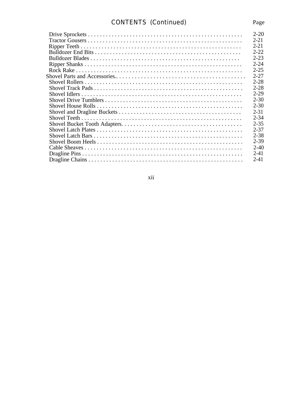| $2 - 20$ |
|----------|
| $2 - 21$ |
| $2 - 21$ |
| $2 - 22$ |
| $2 - 23$ |
| $2 - 24$ |
| $2 - 25$ |
| $2 - 27$ |
| $2 - 28$ |
| $2 - 28$ |
| $2 - 29$ |
| $2 - 30$ |
| $2 - 30$ |
| $2 - 31$ |
| $2 - 34$ |
| $2 - 35$ |
| $2 - 37$ |
| $2 - 38$ |
| $2 - 39$ |
| $2 - 40$ |
| $2 - 41$ |
| $2 - 41$ |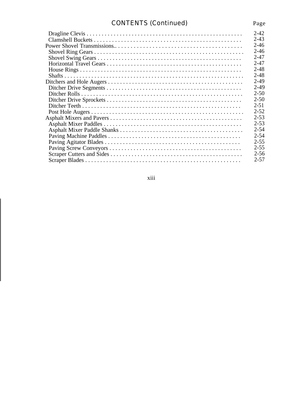# CONTENTS (Continued) Page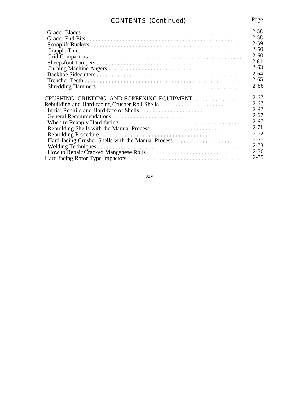# CONTENTS (Continued) Page

| CRUSHING, GRINDING, AND SCREENING EQUIPMENT    |
|------------------------------------------------|
| Rebuilding and Hard-facing Crusher Roll Shells |
|                                                |
|                                                |
|                                                |
|                                                |
|                                                |
|                                                |
|                                                |
|                                                |
|                                                |
|                                                |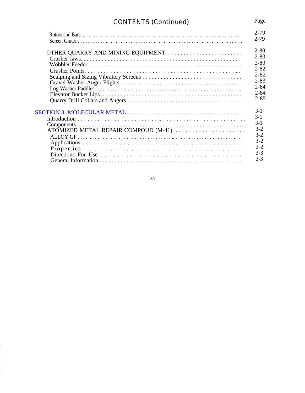| $2 - 79$ |
|----------|
| $2 - 79$ |
| $2 - 80$ |
| $2 - 80$ |
| $2 - 80$ |
| $2 - 82$ |
| $2 - 82$ |
| $2 - 83$ |
| $2 - 84$ |
| $2 - 84$ |
| $2 - 85$ |
| $3-1$    |
| $3-1$    |
| $3-1$    |
| $3 - 2$  |
| $3-2$    |
| $3 - 2$  |
| $3 - 2$  |
| $3 - 3$  |
| $3 - 3$  |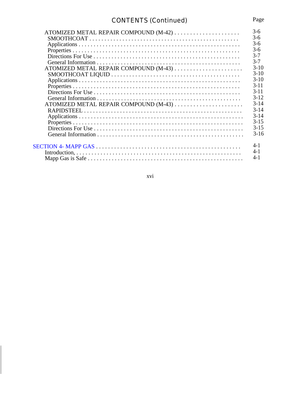| ATOMIZED METAL REPAIR COMPOUND (M-42) | $3-6$    |
|---------------------------------------|----------|
|                                       | $3-6$    |
|                                       | $3 - 6$  |
|                                       | $3-6$    |
|                                       | $3 - 7$  |
|                                       | $3 - 7$  |
| ATOMIZED METAL REPAIR COMPOUND (M-43) | $3-10$   |
|                                       | $3 - 10$ |
|                                       | $3 - 10$ |
|                                       | $3 - 11$ |
|                                       | $3 - 11$ |
|                                       | $3 - 12$ |
| ATOMIZED METAL REPAIR COMPOUND (M-43) | $3 - 14$ |
|                                       | $3 - 14$ |
|                                       | $3 - 14$ |
|                                       | $3 - 15$ |
|                                       | $3 - 15$ |
|                                       | $3 - 16$ |
|                                       | $4 - 1$  |
|                                       | $4 - 1$  |
|                                       | 4-1      |
|                                       |          |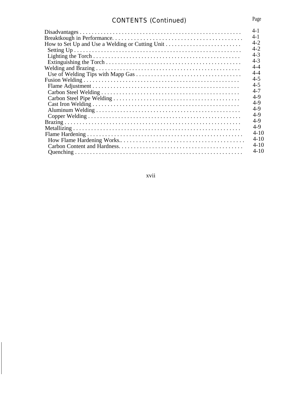| $4-1$    |
|----------|
| $4-1$    |
| $4 - 2$  |
| $4 - 2$  |
| $4 - 3$  |
| $4-3$    |
| $4 - 4$  |
| $4 - 4$  |
| $4 - 5$  |
| $4 - 5$  |
| $4 - 7$  |
| $4-9$    |
| $4-9$    |
| $4-9$    |
| $4-9$    |
| $4-9$    |
| $4-9$    |
| $4 - 10$ |
| $4 - 10$ |
| $4 - 10$ |
| $4 - 10$ |
|          |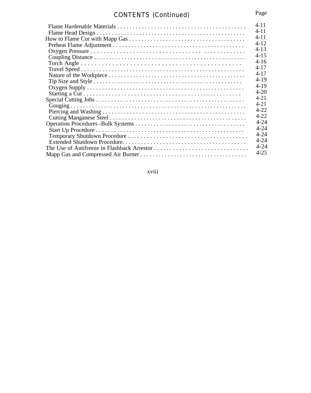# CONTENTS (Continued) Page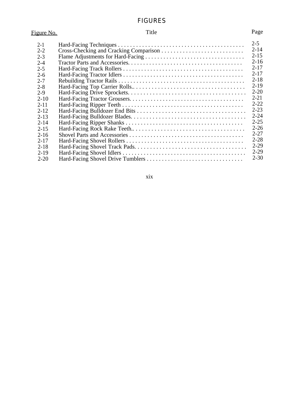# FIGURES

# Figure No. 2014 Title Page 1.1 Title Page 1.1 Title Page 1.1 Title Page 1.1 Title Page 1.1 Title Page 1.1 Title

|--|

| $2 - 1$  | $2 - 5$  |
|----------|----------|
| $2 - 2$  | $2 - 14$ |
| $2 - 3$  | $2 - 15$ |
| $2 - 4$  | $2 - 16$ |
| $2 - 5$  | $2 - 17$ |
| $2 - 6$  | $2 - 17$ |
| $2 - 7$  | $2 - 18$ |
| $2 - 8$  | $2 - 19$ |
| $2-9$    | $2 - 20$ |
| $2 - 10$ | $2 - 21$ |
| $2 - 11$ | $2 - 22$ |
| $2 - 12$ | $2 - 23$ |
| $2 - 13$ | $2 - 24$ |
| $2 - 14$ | $2 - 25$ |
| $2 - 15$ | $2 - 26$ |
| $2 - 16$ | $2 - 27$ |
| $2 - 17$ | $2 - 28$ |
| $2 - 18$ | $2 - 29$ |
| $2 - 19$ | $2 - 29$ |
| $2 - 20$ | $2 - 30$ |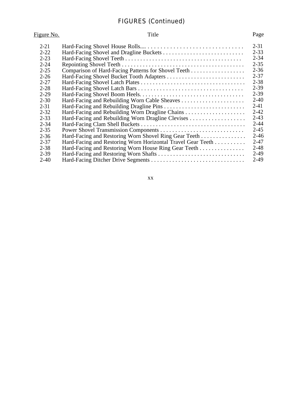# FIGURES (Continued)

# Figure No. **Figure No.** Title **Page**

| $2 - 21$ |                                                             | $2 - 31$ |
|----------|-------------------------------------------------------------|----------|
| $2 - 22$ |                                                             | $2 - 33$ |
| $2 - 23$ |                                                             | $2 - 34$ |
| $2 - 24$ |                                                             | $2 - 35$ |
| $2 - 25$ | Comparison of Hard-Facing Patterns for Shovel Teeth         | $2 - 36$ |
| $2 - 26$ |                                                             | $2 - 37$ |
| $2 - 27$ |                                                             | $2 - 38$ |
| $2 - 28$ |                                                             | $2 - 39$ |
| $2 - 29$ |                                                             | $2 - 39$ |
| $2 - 30$ |                                                             | $2 - 40$ |
| $2 - 31$ |                                                             | $2 - 41$ |
| $2 - 32$ |                                                             | $2 - 42$ |
| $2 - 33$ | Hard-Facing and Rebuilding Worn Dragline Clevises           | $2 - 43$ |
| $2 - 34$ |                                                             | $2 - 44$ |
| $2 - 35$ |                                                             | $2 - 45$ |
| $2 - 36$ | Hard-Facing and Restoring Worn Shovel Ring Gear Teeth       | $2 - 46$ |
| $2 - 37$ | Hard-Facing and Restoring Worn Horizontal Travel Gear Teeth | $2 - 47$ |
| 2-38     | Hard-Facing and Restoring Worn House Ring Gear Teeth        | $2 - 48$ |
| $2 - 39$ |                                                             | $2 - 49$ |
| $2 - 40$ |                                                             | $2 - 49$ |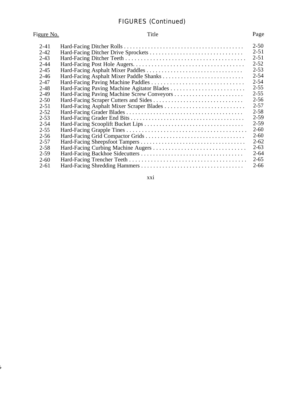# FIGURES (Continued)

# Figure No. 2014 2015 11: Title Page

| $2 - 41$ |                                          | $2 - 50$ |
|----------|------------------------------------------|----------|
|          |                                          | $2 - 51$ |
| $2 - 42$ |                                          |          |
| $2 - 43$ |                                          | $2 - 51$ |
| $2 - 44$ |                                          | $2 - 52$ |
| $2 - 45$ |                                          | $2 - 53$ |
| $2 - 46$ |                                          | $2 - 54$ |
| $2 - 47$ |                                          | $2 - 54$ |
| $2 - 48$ |                                          | $2 - 55$ |
| $2 - 49$ |                                          | $2 - 55$ |
| $2 - 50$ |                                          | $2 - 56$ |
| $2 - 51$ | Hard-Facing Asphalt Mixer Scraper Blades | $2 - 57$ |
| $2 - 52$ |                                          | $2 - 58$ |
| $2 - 53$ |                                          | $2 - 59$ |
| $2 - 54$ |                                          | $2 - 59$ |
| $2 - 55$ |                                          | $2 - 60$ |
| $2 - 56$ |                                          | $2 - 60$ |
| $2 - 57$ |                                          | $2 - 62$ |
| 2-58     |                                          | $2 - 63$ |
| $2 - 59$ |                                          | $2 - 64$ |
| $2 - 60$ |                                          | $2 - 65$ |
| $2 - 61$ |                                          | $2 - 66$ |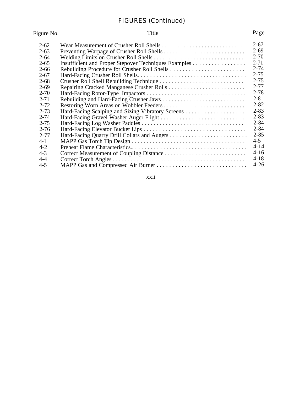# FIGURES (Continued)

### Figure No. **Page** 2-62 2-63 2-64 2-65 2-66 2-67 2-68 2-69 2-70 2-71 2-72 2-73 2-74 2-75 2-76 2-77 4-1 4-2 4-3 4-4 4-5 Wear Measurement of Crusher Roll Shells . . . . . . . . . . . . . . . . . . . . . . . . . . . Preventing Warpage of Crusher Roll Shells . . . . . . . . . . . . . . . . . . . . . . . . . . . Welding Limits on Crusher Roll Shells . . . . . . . . . . . . . . . . . . . . . . . . . . . . . . Insufficient and Proper Stepover Techniques Examples . . . . . . . . . . . . . . . . . Rebuilding Procedure for Crusher Roll Shells . . . . . . . . . . . . . . . . . . . . . . . . Hard-Facing Crusher Roll Shells. . . . . . . . . . . . . . . . . . . . . . . . . . . . . . . . . . . Crusher Roll Shell Rebuilding Technique . . . . . . . . . . . . . . . . . . . . . . . . . . . . Repairing Cracked Manganese Crusher Rolls . . . . . . . . . . . . . . . . . . . . . . . . . Hard-Facing Rotor-Type Impactors . . . . . . . . . . . . . . . . . . . . . . . . . . . . . . . . . Rebuilding and Hard-Facing Crusher Jaws . . . . . . . . . . . . . . . . . . . . . . . . . . . Restoring Worn Areas on Wobbler Feeders . . . . . . . . . . . . . . . . . . . . . . . . . . . Hard-Facing Scalping and Sizing Vibratory Screens . . . . . . . . . . . . . . . . . . . Hard-Facing Gravel Washer Auger Flight . . . . . . . . . . . . . . . . . . . . . . . . . . . Hard-Facing Log Washer Paddles . . . . . . . . . . . . . . . . . . . . . . . . . . . . . . . . . . Hard-Facing Elevator Bucket Lips . . . . . . . . . . . . . . . . . . . . . . . . . . . . . . . . . Hard-Facing Quarry Drill Collars and Augers . . . . . . . . . . . . . . . . . . . . . . . . . MAPP Gas Torch Tip Design . . . . . . . . . . . . . . . . . . . . . . . . . . . . . . . . . . . . . . Preheat Flame Characteristics.. . . . . . . . . . . . . . . . . . . . . . . . . . . . . . . . . . . . . Correct Measurement of Coupling Distance . . . . . . . . . . . . . . . . . . . . . . . . . . . Correct Torch Angles . . . . . . . . . . . . . . . . . . . . . . . . . . . . . . . . . . . . . . . . . . . . MAPP Gas and Compressed Air Burner . . . . . . . . . . . . . . . . . . . . . . . . . . . . . 2-67 2-69 2-70 2-71 2-74 2-75 2-75 2-77 2-78 2-81 2-82 2-83 2-83 2-84 2-84 2-85 4-5 4-14 4-16 4-18 4-26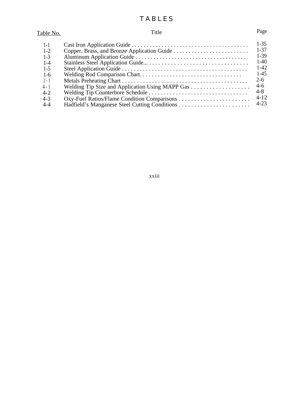# **TABLES**

# Table No. Page

| $1-1$   |                                                 | $1-35$   |
|---------|-------------------------------------------------|----------|
| $1 - 2$ |                                                 | $1 - 37$ |
| $1-3$   |                                                 | $1-39$   |
| $1 - 4$ |                                                 | $1-40$   |
| $1-5$   |                                                 | $1 - 42$ |
| $1-6$   |                                                 | $1 - 45$ |
| $2 - 1$ |                                                 | $2 - 6$  |
| $4 - 1$ | Welding Tip Size and Application Using MAPP Gas | $4-6$    |
| $4 - 2$ |                                                 | $4 - 8$  |
| $4 - 3$ |                                                 | $4 - 12$ |
| $4 - 4$ |                                                 | $4 - 23$ |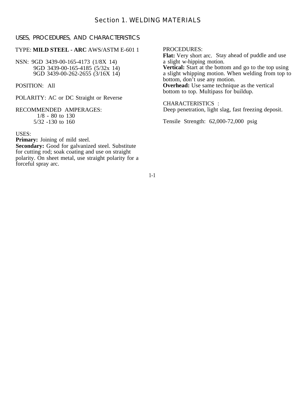### Section 1. WELDING MATERIALS

### <span id="page-20-0"></span>USES, PROCEDURES, AND CHARACTERISTICS

TYPE: **MILD STEEL - ARC** AWS/ASTM E-601 1

NSN: 9GD 3439-00-165-4173 (1/8X 14) 9GD 3439-00-165-4185 (5/32x 14) 9GD 3439-00-262-2655 (3/16X 14)

POSITION: All

POLARITY: AC or DC Straight or Reverse

RECOMMENDED AMPERAGES: 1/8 - 80 to 130 5/32 -130 to 160

USES:

**Primary:** Joining of mild steel. **Secondary:** Good for galvanized steel. Substitute for cutting rod; soak coating and use on straight polarity. On sheet metal, use straight polarity for a forceful spray arc.

PROCEDURES:

**Flat:** Very short arc. Stay ahead of puddle and use a slight w-hipping motion.

**Vertical:** Start at the bottom and go to the top using a slight whipping motion. When welding from top to bottom, don't use any motion.

**Overhead:** Use same technique as the vertical bottom to top. Multipass for buildup.

CHARACTERISTICS :

Deep penetration, light slag, fast freezing deposit.

Tensile Strength: 62,000-72,000 psig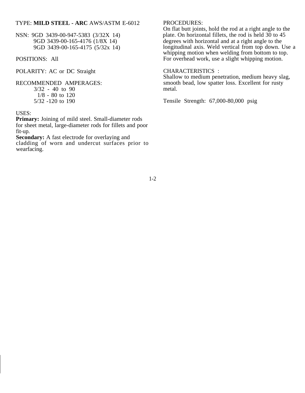### TYPE: **MILD STEEL - ARC** AWS/ASTM E-6012

NSN: 9GD 3439-00-947-5383 (3/32X 14) 9GD 3439-00-165-4176 (1/8X 14) 9GD 3439-00-165-4175 (5/32x 14)

POSITIONS: All

POLARITY: AC or DC Straight

### RECOMMENDED AMPERAGES:  $3/32 - 40$  to 90

1/8 - 80 to 120 5/32 -120 to 190

USES:

**Primary:** Joining of mild steel. Small-diameter rods for sheet metal, large-diameter rods for fillets and poor fit-up.

**Secondary:** A fast electrode for overlaying and cladding of worn and undercut surfaces prior to wearfacing.

### PROCEDURES:

On flat butt joints, hold the rod at a right angle to the plate. On horizontal fillets, the rod is held 30 to 45 degrees with horizontal and at a right angle to the longitudinal axis. Weld vertical from top down. Use a whipping motion when welding from bottom to top. For overhead work, use a slight whipping motion.

### CHARACTERISTICS :

Shallow to medium penetration, medium heavy slag, smooth bead, low spatter loss. Excellent for rusty metal.

Tensile Strength: 67,000-80,000 psig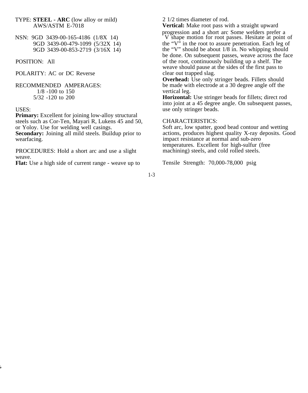TYPE: **STEEL - ARC** (low alloy or mild) AWS/ASTM E-7018

NSN: 9GD 3439-00-165-4186 (1/8X 14) 9GD 3439-00-479-1099 (5/32X 14) 9GD 3439-00-853-2719 (3/16X 14)

POSITION: All

POLARITY: AC or DC Reverse

RECOMMENDED AMPERAGES: 1/8 -100 to 150 5/32 -120 to 200

### USES:

**Primary:** Excellent for joining low-alloy structural steels such as Cor-Ten, Mayari R, Lukens 45 and 50, or Yoloy. Use for welding well casings. **Secondary:** Joining all mild steels. Buildup prior to wearfacing.

PROCEDURES: Hold a short arc and use a slight weave.

**Flat:** Use a high side of current range - weave up to

2 1/2 times diameter of rod.

**Vertical:** Make root pass with a straight upward

progression and a short arc Some welders prefer a V shape motion for root passes. Hesitate at point of the "V" in the root to assure penetration. Each leg of the "V" should be about 1/8 in. No whipping should be done. On subsequent passes, weave across the face of the root, continuously building up a shelf. The weave should pause at the sides of the first pass to clear out trapped slag.

**Overhead:** Use only stringer beads. Fillets should be made with electrode at a 30 degree angle off the vertical leg.

**Horizontal:** Use stringer beads for fillets; direct rod into joint at a 45 degree angle. On subsequent passes, use only stringer beads.

### CHARACTERISTICS:

Soft arc, low spatter, good bead contour and wetting actions, produces highest quality X-ray deposits. Good impact resistance at normal and sub-zero temperatures. Excellent for high-sulfur (free machining) steels, and cold rolled steels.

Tensile Strength: 70,000-78,000 psig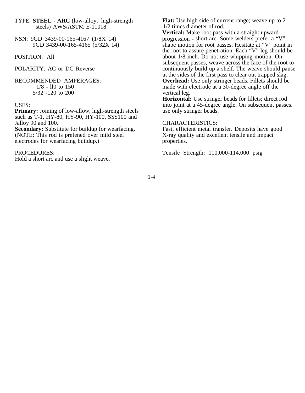TYPE: **STEEL - ARC** (low-alloy, high-strength steels) AWS/ASTM E-11018

NSN: 9GD 3439-00-165-4167 (1/8X 14) 9GD 3439-00-165-4165 (5/32X 14)

POSITION: All

POLARITY: AC or DC Reverse

### RECOMMENDED AMPERAGES:  $1/8$  - 110 to 150 5/32 -120 to 200

### USES:

**Primary:** Joining of low-allow, high-strength steels such as T-1, HY-80, HY-90, HY-100, SSS100 and Jalloy 90 and 100.

**Secondary:** Substitute for buildup for wearfacing. (NOTE: This rod is prefened over mild steel electrodes for wearfacing buildup.)

# PROCEDURES:

Hold a short arc and use a slight weave.

**Flat:** Use high side of current range; weave up to 2 1/2 times diameter of rod.

**Vertical:** Make root pass with a straight upward progression - short arc. Some welders prefer a "V" shape motion for root passes. Hesitate at "V" point in the root to assure penetration. Each "V" leg should be about 1/8 inch. Do not use whipping motion. On subsequent passes, weave across the face of the root to continuously build up a shelf. The weave should pause at the sides of the first pass to clear out trapped slag. **Overhead:** Use only stringer beads. Fillets should be made with electrode at a 30-degree angle off the vertical leg.

**Horizontal:** Use stringer beads for fillets; direct rod into joint at a 45-degree angle. On subsequent passes. use only stringer beads.

### CHARACTERISTICS:

Fast, efficient metal transfer. Deposits have good X-ray quality and excellent tensile and impact properties.

Tensile Strength: 110,000-114,000 psig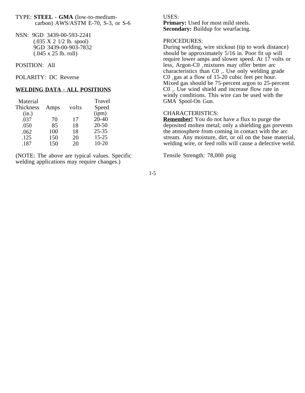TYPE: **STEEL - GMA** (low-to-mediumcarbon) AWS/ASTM E-70, S-3, or S-6

NSN: 9GD 3439-00-593-2241 (.035 X 2 1/2 lb. spool) 9GD 3439-00-903-7832 (.045 x 25 lb. roll)

POSITION: All

POLARITY: DC Reverse

### **WELDING DATA - ALL POSITIONS**

| Material  |      |       | Travel    |
|-----------|------|-------|-----------|
| Thickness | Amps | volts | Speed     |
| (in.)     |      |       | (ipm)     |
| .037      | 70   | 17    | 20-40     |
| .050      | 85   | 18    | $20 - 50$ |
| .062      | 100  | 18    | $25 - 35$ |
| .125      | 150  | 20    | $15 - 25$ |
| .187      | 150  | 20    | $10 - 20$ |
|           |      |       |           |

(NOTE: The above are typical values. Specific welding applications may require changes.)

USES:

**Primary:** Used for most mild steels. **Secondary:** Buildup for wearfacing.

### PROCEDURES:

During welding, wire stickout (tip to work distance) should be approximately 5/16 in. Poor fit up will require lower amps and slower speed. At 17 volts or less, Argon-C0 , mixtures may offer better arc characteristics than C0 $_2$ . Use only welding grade  $CO_2$  gas at a flow of 15-20 cubic feet per hour. Mixed gas should be 75-percent argon to 25-percent  $CO<sub>2</sub>$ . Use wind shield and increase flow rate in windy conditions. This wire can be used with the GMA Spool-On Gun.

### CHARACTERISTICS:

**Remember!** You do not have a flux to purge the deposited molten metal; only a shielding gas prevents the atmosphere from coming in contact with the arc stream. Any moisture, dirt, or oil on the base material, welding wire, or feed rolls will cause a defective weld.

Tensile Strength: 78,000 psig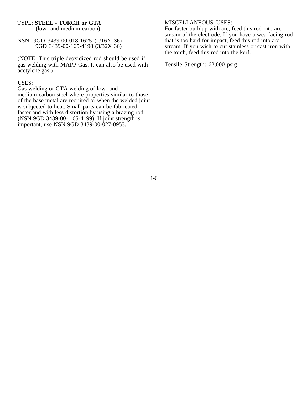# TYPE: **STEEL - TORCH or GTA** MISCELLANEOUS USES:

(NOTE: This triple deoxidized rod should be used if gas welding with MAPP Gas. It can also be used with Tensile Strength: 62,000 psig acetylene gas.)

### USES:

Gas welding or GTA welding of low- and medium-carbon steel where properties similar to those of the base metal are required or when the welded joint is subjected to heat. Small parts can be fabricated faster and with less distortion by using a brazing rod (NSN 9GD 3439-00- 165-4199). If joint strength is important, use NSN 9GD 3439-00-027-0953.

(low- and medium-carbon) For faster buildup with arc, feed this rod into arc stream of the electrode. If you have a wearfacing rod NSN: 9GD 3439-00-018-1625 (1/16X 36) that is too hard for impact, feed this rod into arc<br>9GD 3439-00-165-4198 (3/32X 36) stream. If you wish to cut stainless or cast iron stream. If you wish to cut stainless or cast iron with the torch, feed this rod into the kerf.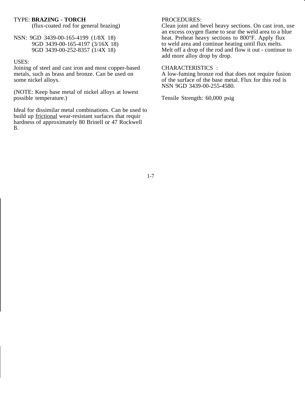### TYPE: **BRAZING - TORCH**

(flux-coated rod for general brazing)

### NSN: 9GD 3439-00-165-4199 (1/8X 18) 9GD 3439-00-165-4197 (3/16X 18) 9GD 3439-00-252-8357 (1/4X 18)

USES:

Joining of steel and cast iron and most copper-based metals, such as brass and bronze. Can be used on some nickel alloys.

(NOTE: Keep base metal of nickel alloys at lowest possible temperature.)

Ideal for dissimilar metal combinations. Can be used to build up frictional wear-resistant surfaces that requir hardness of approximately 80 Brinell or 47 Rockwell B.

### PROCEDURES:

Clean joint and bevel heavy sections. On cast iron, use an excess oxygen flame to sear the weld area to a blue heat. Preheat heavy sections to 800°F. Apply flux to weld area and continue heating until flux melts. Melt off a drop of the rod and flow it out - continue to add more alloy drop by drop.

### CHARACTERISTICS :

A low-fuming bronze rod that does not require fusion of the surface of the base metal. Flux for this rod is NSN 9GD 3439-00-255-4580.

Tensile Strength: 60,000 psig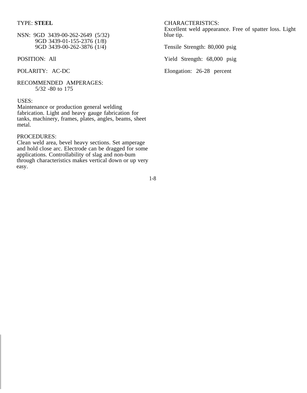### TYPE: **STEEL**

NSN: 9GD 3439-00-262-2649 (5/32) 9GD 3439-01-155-2376 (1/8) 9GD 3439-00-262-3876 (1/4)

POSITION: All

POLARITY: AC-DC

### RECOMMENDED AMPERAGES: 5/32 -80 to 175

### USES:

Maintenance or production general welding fabrication. Light and heavy gauge fabrication for tanks, machinery, frames, plates, angles, beams, sheet metal.

### PROCEDURES:

Clean weld area, bevel heavy sections. Set amperage and hold close arc. Electrode can be dragged for some applications. Controllability of slag and non-bum through characteristics makes vertical down or up very easy.

CHARACTERISTICS:

Excellent weld appearance. Free of spatter loss. Light blue tip.

Tensile Strength: 80,000 psig

Yield Strength: 68,000 psig

Elongation: 26-28 percent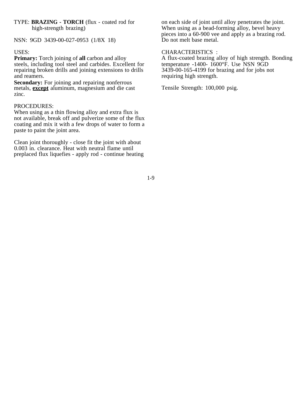TYPE: **BRAZING - TORCH** (flux - coated rod for high-strength brazing)

NSN: 9GD 3439-00-027-0953 (1/8X 18)

### USES:

**Primary:** Torch joining of **all** carbon and alloy steels, including tool steel and carbides. Excellent for repairing broken drills and joining extensions to drills and reamers.

**Secondary:** For joining and repairing nonferrous metals, **except** aluminum, magnesium and die cast zinc.

### PROCEDURES:

When using as a thin flowing alloy and extra flux is not available, break off and pulverize some of the flux coating and mix it with a few drops of water to form a paste to paint the joint area.

Clean joint thoroughly - close fit the joint with about 0.003 in. clearance. Heat with neutral flame until preplaced flux liquefies - apply rod - continue heating on each side of joint until alloy penetrates the joint. When using as a bead-forming alloy, bevel heavy pieces into a 60-900 vee and apply as a brazing rod. Do not melt base metal.

### CHARACTERISTICS :

A flux-coated brazing alloy of high strength. Bonding temperature -1400- 1600°F. Use NSN 9GD 3439-00-165-4199 for brazing and for jobs not requiring high strength.

Tensile Strength: 100,000 psig.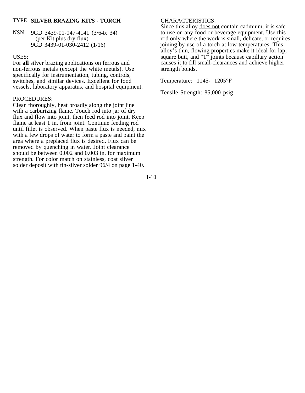### TYPE: SILVER BRAZING KITS - TORCH CHARACTERISTICS:

9GD 3439-01-047-4141 (3/64x 34) NSN:

USES:<br>For all silver brazing applications on ferrous and non-ferrous metals (except the white metals). Use strength bonds. specifically for instrumentation, tubing, controls, switches, and similar devices. Excellent for food Temperature: 1145-1205°F vessels, laboratory apparatus, and hospital equipment.

### PROCEDURES:

Clean thoroughly, heat broadly along the joint line with a carburizing flame. Touch rod into jar of dry flux and flow into joint, then feed rod into joint. Keep flame at least 1 in. from joint. Continue feeding rod until fillet is observed. When paste flux is needed, mix with a few drops of water to form a paste and paint the area where a preplaced flux is desired. Flux can be removed by quenching in water. Joint clearance should be between 0.002 and 0.003 in. for maximum strength. For color match on stainless, coat silver solder deposit with tin-silver solder 96/4 on page 1-40.

Since this alloy does not contain cadmium, it is safe to use on any food or beverage equipment. Use this (per Kit plus dry flux) rod only where the work is small, delicate, or requires 9GD 3439-01-030-2412 (1/16) joining by use of a torch at low temperatures. This alloy's thin, flowing properties make it ideal for lap, square butt, and "T" joints because capillary action causes it to fill small-clearances and achieve higher

Tensile Strength: 85,000 psig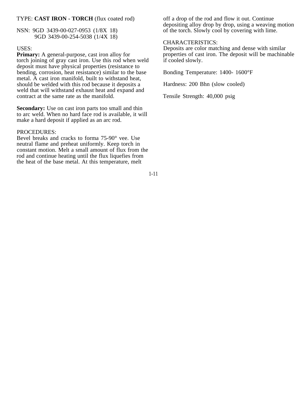### TYPE: **CAST IRON - TORCH** (flux coated rod)

NSN: 9GD 3439-00-027-0953 (1/8X 18) 9GD 3439-00-254-5038 (1/4X 18)

### USES:

**Primary:** A general-purpose, cast iron alloy for torch joining of gray cast iron. Use this rod when weld deposit must have physical properties (resistance to bending, corrosion, heat resistance) similar to the base metal. A cast iron manifold, built to withstand heat, should be welded with this rod because it deposits a weld that will withstand exhaust heat and expand and contract at the same rate as the manifold.

**Secondary:** Use on cast iron parts too small and thin to arc weld. When no hard face rod is available, it will make a hard deposit if applied as an arc rod.

### PROCEDURES:

Bevel breaks and cracks to forma 75-90° vee. Use neutral flame and preheat uniformly. Keep torch in constant motion. Melt a small amount of flux from the rod and continue heating until the flux liquefies from the heat of the base metal. At this temperature, melt

off a drop of the rod and flow it out. Continue depositing alloy drop by drop, using a weaving motion of the torch. Slowly cool by covering with lime.

### CHARACTERISTICS:

Deposits are color matching and dense with similar properties of cast iron. The deposit will be machinable if cooled slowly.

Bonding Temperature: 1400- 1600°F

Hardness: 200 Bhn (slow cooled)

Tensile Strength: 40,000 psig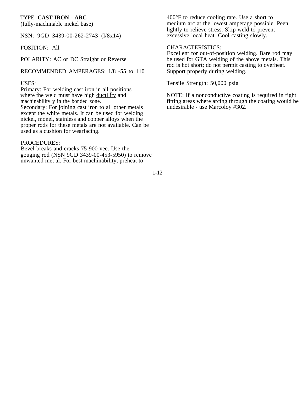# TYPE: **CAST IRON - ARC**

(fully-machinable nickel base)

NSN: 9GD 3439-00-262-2743 (l/8x14)

POSITION: All

POLARITY: AC or DC Straight or Reverse

RECOMMENDED AMPERAGES: 1/8 -55 to 110

### USES:

Primary: For welding cast iron in all positions where the weld must have high ductility and machinability y in the bonded zone.

Secondary: For joining cast iron to all other metals except the white metals. It can be used for welding nickel, monel, stainless and copper alloys when the proper rods for these metals are not available. Can be used as a cushion for wearfacing.

### PROCEDURES:

Bevel breaks and cracks 75-900 vee. Use the gouging rod (NSN 9GD 3439-00-453-5950) to remove unwanted met al. For best machinability, preheat to

400°F to reduce cooling rate. Use a short to medium arc at the lowest amperage possible. Peen lightly to relieve stress. Skip weld to prevent excessive local heat. Cool casting slowly.

### CHARACTERISTICS:

Excellent for out-of-position welding. Bare rod may be used for GTA welding of the above metals. This rod is hot short; do not permit casting to overheat. Support properly during welding.

Tensile Strength: 50,000 psig

NOTE: If a nonconductive coating is required in tight fitting areas where arcing through the coating would be undesirable - use Marcoloy #302.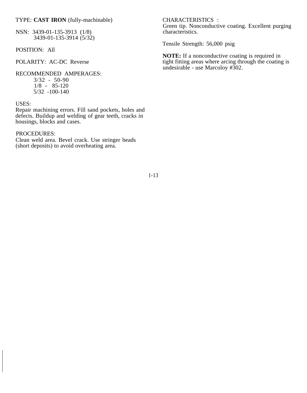TYPE: **CAST IRON** (fully-machinable)

NSN: 3439-01-135-3913 (1/8) 3439-01-135-3914 (5/32)

POSITION: All

POLARITY: AC-DC Reverse

### RECOMMENDED AMPERAGES:

 $3/32 - 50-90$ 1/8 - 85-120 5/32 -100-140

### USES:

Repair machining errors. Fill sand pockets, holes and defects. Buildup and welding of gear teeth, cracks in housings, blocks and cases.

### PROCEDURES:

Clean weld area. Bevel crack. Use stringer beads (short deposits) to avoid overheating area.

CHARACTERISTICS : Green tip. Nonconductive coating. Excellent purging characteristics.

Tensile Strength: 56,000 psig

**NOTE:** If a nonconductive coating is required in tight fitting areas where arcing through the coating is undesirable - use Marcoloy #302.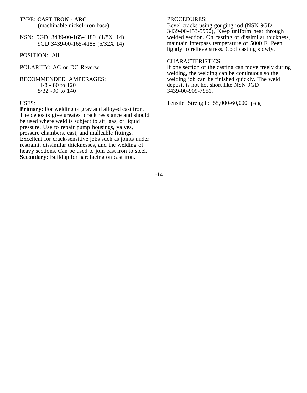TYPE: **CAST IRON - ARC** (machinable nickel-iron base)

NSN: 9GD 3439-00-165-4189 (1/8X 14) 9GD 3439-00-165-4188 (5/32X 14)

POSITION: All

POLARITY: AC or DC Reverse

### RECOMMENDED AMPERAGES: 1/8 - 80 to 120 5/32 -90 to 140

### USES:

**Primary:** For welding of gray and alloyed cast iron. The deposits give greatest crack resistance and should be used where weld is subject to air, gas, or liquid pressure. Use to repair pump housings, valves, pressure chambers, cast, and malleable fittings. Excellent for crack-sensitive jobs such as joints under restraint, dissimilar thicknesses, and the welding of heavy sections. Can be used to join cast iron to steel. **Secondary:** Buildup for hardfacing on cast iron.

### PROCEDURES:

Bevel cracks using gouging rod (NSN 9GD 3439-00-453-5950), Keep uniform heat through welded section. On casting of dissimilar thickness, maintain interpass temperature of 5000 F. Peen lightly to relieve stress. Cool casting slowly.

### CHARACTERISTICS:

If one section of the casting can move freely during welding, the welding can be continuous so the welding job can be finished quickly. The weld deposit is not hot short like NSN 9GD 3439-00-909-7951.

Tensile Strength: 55,000-60,000 psig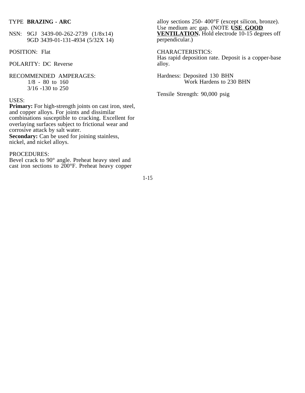TYPE **BRAZING - ARC** 

NSN: 9GJ 3439-00-262-2739 (1/8x14) 9GD 3439-01-131-4934 (5/32X 14) perpendicular.)

POLARITY: DC Reverse alloy.

# RECOMMENDED AMPERAGES: Hardness: Deposited 130 BHN 3/16 -130 to 250

### USES:

**Primary:** For high-strength joints on cast iron, steel, and copper alloys. For joints and dissimilar combinations susceptible to cracking. Excellent for overlaying surfaces subject to frictional wear and corrosive attack by salt water. **Secondary:** Can be used for joining stainless, nickel, and nickel alloys.

### PROCEDURES:

Bevel crack to 90° angle. Preheat heavy steel and cast iron sections to 200°F. Preheat heavy copper alloy sections 250- 400°F (except silicon, bronze). Use medium arc gap. (NOTE **USE GOOD VENTILATION.** Hold electrode 10-15 degrees off

POSITION: Flat CHARACTERISTICS: Has rapid deposition rate. Deposit is a copper-base

1/8 - 80 to 160 work Hardens to 230 BHN

Tensile Strength: 90,000 psig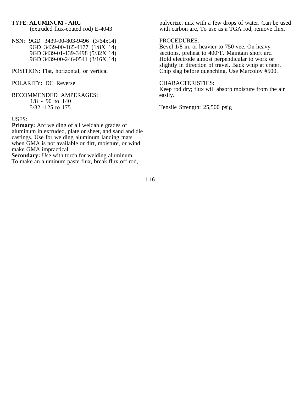### TYPE: **ALUMINUM - ARC**

(extruded flux-coated rod) E-4043

NSN: 9GD 3439-00-803-9496 (3/64x14) 9GD 3439-00-165-4177 (1/8X 14) 9GD 3439-01-139-3498 (5/32X 14) 9GD 3439-00-246-0541 (3/16X 14)

POSITION: Flat, horizontal, or vertical

POLARITY: DC Reverse

### RECOMMENDED AMPERAGES:

 $1/8$  - 90 to 140 5/32 -125 to 175

USES:

**Primary:** Arc welding of all weldable grades of aluminum in extruded, plate or sheet, and sand and die castings. Use for welding aluminum landing mats when GMA is not available or dirt, moisture, or wind make GMA impractical.

**Secondary:** Use with torch for welding aluminum. To make an aluminum paste flux, break flux off rod, pulverize, mix with a few drops of water. Can be used with carbon arc, To use as a TGA rod, remove flux.

### PROCEDURES:

Bevel 1/8 in. or heavier to 750 vee. On heavy sections, preheat to 400°F. Maintain short arc. Hold electrode almost perpendicular to work or slightly in direction of travel. Back whip at crater. Chip slag before quenching. Use Marcoloy #500.

### CHARACTERISTICS:

Keep rod dry; flux will absorb moisture from the air easily.

Tensile Strength: 25,500 psig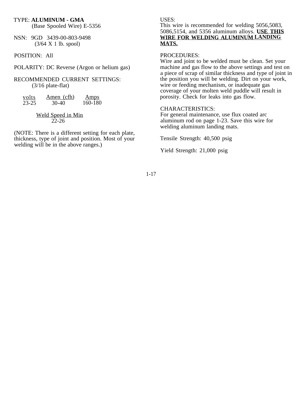#### TYPE: **ALUMINUM - GMA**

(Base Spooled Wire) E-5356

NSN: 9GD 3439-00-803-9498 (3/64 X 1 lb. spool)

POSITION: All

POLARITY: DC Reverse (Argon or helium gas)

### RECOMMENDED CURRENT SETTINGS:  $(3/16$  plate-flat)

| volts | Amen (cfh)                     | <u>Amps</u>       |
|-------|--------------------------------|-------------------|
| 23-25 | $30-40$                        | $160 - \bar{180}$ |
|       | Weld Speed in Min<br>$22 - 26$ |                   |

(NOTE: There is a different setting for each plate, thickness, type of joint and position. Most of your welding will be in the above ranges.)

#### USES:

This wire is recommended for welding 5056,5083, 5086,5154, and 5356 aluminum alloys. **USE THIS WIRE FOR WELDING ALUMINUM LANDING MATS.**

### PROCEDURES:

Wire and joint to be welded must be clean. Set your machine and gas flow to the above settings and test on a piece of scrap of similar thickness and type of joint in the position you will be welding. Dirt on your work, wire or feeding mechanism, or inadequate gas coverage of your molten weld puddle will result in porosity. Check for leaks into gas flow.

# CHARACTERISTICS:

For general maintenance, use flux coated arc aluminum rod on page 1-23. Save this wire for welding aluminum landing mats.

Tensile Strength: 40,500 psig

Yield Strength: 21,000 psig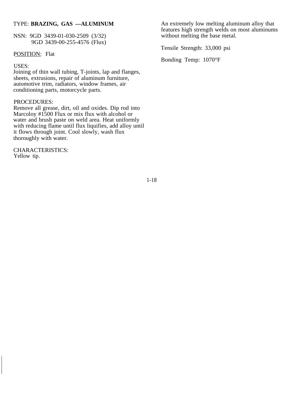NSN: 9GD 3439-01-030-2509 (3/32) 9GD 3439-00-255-4576 (Flux)

### POSITION: Flat

#### USES:

Joining of thin wall tubing, T-joints, lap and flanges, sheets, extrusions, repair of aluminum furniture, automotive trim, radiators, window frames, air conditioning parts, motorcycle parts.

### PROCEDURES:

Remove all grease, dirt, oil and oxides. Dip rod into Marcoloy #1500 Flux or mix flux with alcohol or water and brush paste on weld area. Heat uniformly with reducing flame until flux liquifies, add alloy until it flows through joint. Cool slowly, wash flux thoroughly with water.

CHARACTERISTICS: Yellow tip.

TYPE: **BRAZING, GAS —ALUMINUM** An extremely low melting aluminum alloy that features high strength welds on most aluminums

Tensile Strength: 33,000 psi

Bonding Temp: 1070°F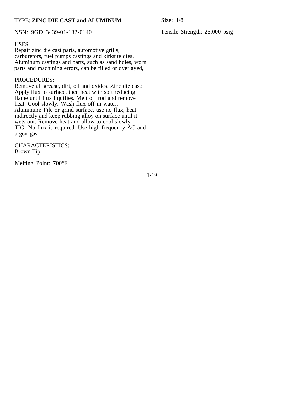### TYPE: **ZINC DIE CAST and ALUMINUM**

NSN: 9GD 3439-01-132-0140

USES:

Repair zinc die cast parts, automotive grills, carburetors, fuel pumps castings and kirksite dies. Aluminum castings and parts, such as sand holes, worn parts and machining errors, can be filled or overlayed, .

### PROCEDURES:

Remove all grease, dirt, oil and oxides. Zinc die cast: Apply flux to surface, then heat with soft reducing flame until flux liquifies. Melt off rod and remove heat. Cool slowly. Wash flux off in water. Aluminum: File or grind surface, use no flux, heat indirectly and keep rubbing alloy on surface until it wets out. Remove heat and allow to cool slowly. TIG: No flux is required. Use high frequency AC and argon gas.

CHARACTERISTICS: Brown Tip.

Melting Point: 700°F

Size: 1/8

Tensile Strength: 25,000 psig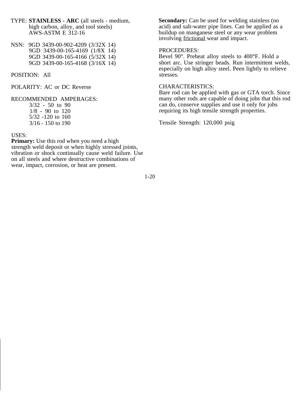- TYPE: **STAINLESS ARC** (all steels medium, high carbon, alloy, and tool steels) AWS-ASTM E 312-16
- NSN: 9GD 3439-00-902-4209 (3/32X 14) 9GD 3439-00-165-4169 (1/8X 14) 9GD 3439-00-165-4166 (5/32X 14) 9GD 3439-00-165-4168 (3/16X 14)
- POSITION: All

POLARITY: AC or DC Reverse

#### RECOMMENDED AMPERAGES:

3/32 - 50 to 90 1/8 - 90 to 120 5/32 -120 to 160 3/16 - 150 to 190

#### USES:

**Primary:** Use this rod when you need a high strength weld deposit or when highly stressed joints, vibration or shock continually cause weld failure. Use on all steels and where destructive combinations of wear, impact, corrosion, or heat are present.

**Secondary:** Can be used for welding stainless (no acid) and salt-water pipe lines. Can be applied as a buildup on manganese steel or any wear problem involving frictional wear and impact.

#### PROCEDURES:

Bevel 90°. Preheat alloy steels to 400°F. Hold a short arc. Use stringer beads. Run intermittent welds, especially on high alloy steel. Peen lightly to relieve stresses.

#### CHARACTERISTICS:

Bare rod can be applied with gas or GTA torch. Since many other rods are capable of doing jobs that this rod can do, conserve supplies and use it only for jobs requiring its high tensile strength properties.

Tensile Strength: 120,000 psig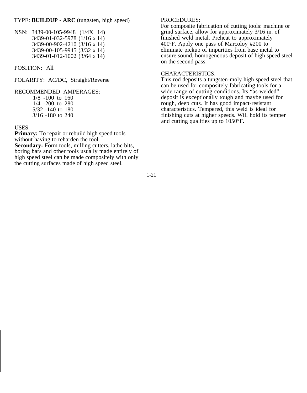TYPE: **BUILDUP - ARC** (tungsten, high speed)

NSN: 3439-00-105-9948 (1/4X 14) 3439-01-032-5978 (1/16 x 14) 3439-00-902-4210 (3/16 x 14) 3439-00-105-9945 (3/32 X 14) 3439-01-012-1002 (3/64 X 14)

POSITION: All

POLARITY: AC/DC, Straight/Reverse

### RECOMMENDED AMPERAGES:

1/8 -100 to 160 1/4 -200 to 280 5/32 -140 to 180 3/16 -180 to 240

USES:

**Primary:** To repair or rebuild high speed tools without having to reharden the tool. **Secondary:** Form tools, milling cutters, lathe bits, boring bars and other tools usually made entirely of high speed steel can be made compositely with only the cutting surfaces made of high speed steel.

#### PROCEDURES:

For composite fabrication of cutting tools: machine or grind surface, allow for approximately 3/16 in. of finished weld metal. Preheat to approximately 400ºF. Apply one pass of Marcoloy #200 to eliminate pickup of impurities from base metal to ensure sound, homogeneous deposit of high speed steel on the second pass.

### CHARACTERISTICS:

This rod deposits a tungsten-moly high speed steel that can be used for compositely fabricating tools for a wide range of cutting conditions. Its "as-welded" deposit is exceptionally tough and maybe used for rough, deep cuts. It has good impact-resistant characteristics. Tempered, this weld is ideal for finishing cuts at higher speeds. Will hold its temper and cutting qualities up to 1050°F.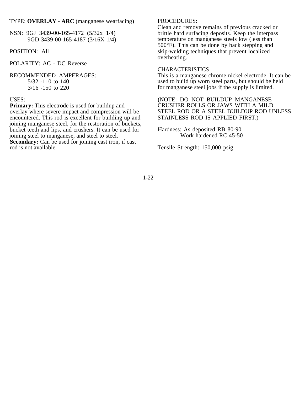TYPE: **OVERLAY - ARC** (manganese wearfacing)

NSN: 9GJ 3439-00-165-4172 (5/32x 1/4) 9GD 3439-00-165-4187 (3/16X 1/4)

POSITION: All

POLARITY: AC - DC Reverse

#### RECOMMENDED AMPERAGES: 5/32 -110 to 140 3/16 -150 to 220

#### USES:

**Primary:** This electrode is used for buildup and overlay where severe impact and compression will be encountered. This rod is excellent for building up and joining manganese steel, for the restoration of buckets, bucket teeth and lips, and crushers. It can be used for joining steel to manganese, and steel to steel. **Secondary:** Can be used for joining cast iron, if cast

rod is not available.

#### PROCEDURES:

Clean and remove remains of previous cracked or brittle hard surfacing deposits. Keep the interpass temperature on manganese steels low (less than 500°F). This can be done by back stepping and skip-welding techniques that prevent localized overheating.

#### CHARACTERISTICS :

This is a manganese chrome nickel electrode. It can be used to build up worn steel parts, but should be held for manganese steel jobs if the supply is limited.

#### (NOTE: DO NOT BUILDUP MANGANESE CRUSHER ROLLS OR JAWS WITH A MILD STEEL ROD OR A STEEL BUILDUP ROD UNLESS STAINLESS ROD IS APPLIED FIRST.)

Hardness: As deposited RB 80-90 Work hardened RC 45-50

Tensile Strength: 150,000 psig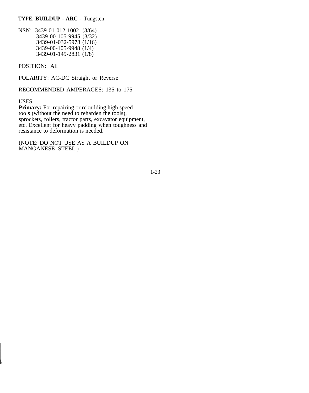#### TYPE: **BUILDUP - ARC** - Tungsten

NSN: 3439-01-012-1002 (3/64) 3439-00-105-9945 (3/32) 3439-01-032-5978 (1/16) 3439-00-105-9948 (1/4) 3439-01-149-2831 (1/8)

POSITION: All

POLARITY: AC-DC Straight or Reverse

RECOMMENDED AMPERAGES: 135 to 175

#### USES:

**Primary:** For repairing or rebuilding high speed tools (without the need to reharden the tools), sprockets, rollers, tractor parts, excavator equipment, etc. Excellent for heavy padding when toughness and resistance to deformation is needed.

(NOTE: DO NOT USE AS A BUILDUP ON MANGANESE STEEL.)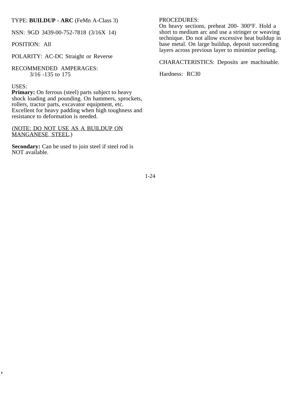TYPE: **BUILDUP - ARC** (FeMn A-Class 3)

NSN: 9GD 3439-00-752-7818 (3/16X 14)

POSITION: All

POLARITY: AC-DC Straight or Reverse

RECOMMENDED AMPERAGES: 3/16 -135 to 175

USES:

**Primary:** On ferrous (steel) parts subject to heavy shock loading and pounding. On hammers, sprockets, rollers, tractor parts, excavator equipment, etc. Excellent for heavy padding when high toughness and resistance to deformation is needed.

#### (NOTE: DO NOT USE AS A BUILDUP ON MANGANESE STEEL.)

**Secondary:** Can be used to join steel if steel rod is NOT available.

#### PROCEDURES:

On heavy sections, preheat 200- 300°F. Hold a short to medium arc and use a stringer or weaving technique. Do not allow excessive heat buildup in base metal. On large buildup, deposit succeeding layers across previous layer to minimize peeling.

CHARACTERISTICS: Deposits are machinable.

Hardness: RC30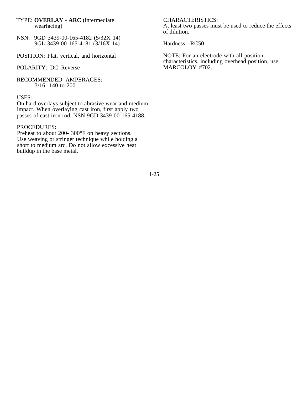TYPE: **OVERLAY - ARC** (intermediate wearfacing)

NSN: 9GD 3439-00-165-4182 (5/32X 14) 9GL 3439-00-165-4181 (3/16X 14)

POSITION: Flat, vertical, and horizontal

POLARITY: DC Reverse

RECOMMENDED AMPERAGES: 3/16 -140 to 200

USES:

On hard overlays subject to abrasive wear and medium impact. When overlaying cast iron, first apply two passes of cast iron rod, NSN 9GD 3439-00-165-4188.

#### PROCEDURES:

Preheat to about 200- 300°F on heavy sections. Use weaving or stringer technique while holding a short to medium arc. Do not allow excessive heat buildup in the base metal.

CHARACTERISTICS:

At least two passes must be used to reduce the effects of dilution.

Hardness: RC50

NOTE: For an electrode with all position characteristics, including overhead position, use MARCOLOY #702.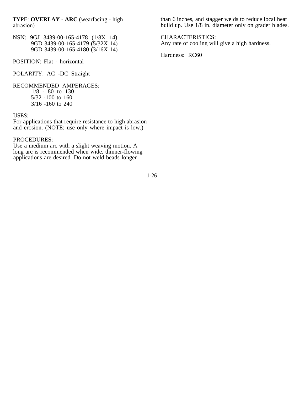TYPE: **OVERLAY - ARC** (wearfacing - high abrasion)

NSN: 9GJ 3439-00-165-4178 (1/8X 14) 9GD 3439-00-165-4179 (5/32X 14) 9GD 3439-00-165-4180 (3/16X 14)

POSITION: Flat - horizontal

POLARITY: AC -DC Straight

RECOMMENDED AMPERAGES:

1/8 - 80 to 130 5/32 -100 to 160 3/16 -160 to 240

USES:

For applications that require resistance to high abrasion and erosion. (NOTE: use only where impact is low.)

#### PROCEDURES:

Use a medium arc with a slight weaving motion. A long arc is recommended when wide, thinner-flowing applications are desired. Do not weld beads longer

than 6 inches, and stagger welds to reduce local heat build up. Use 1/8 in. diameter only on grader blades.

CHARACTERISTICS: Any rate of cooling will give a high hardness.

Hardness: RC60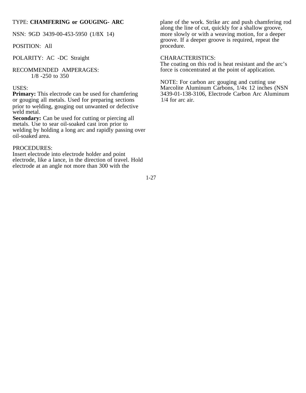POSITION: All procedure.

POLARITY: AC -DC Straight CHARACTERISTICS:

1/8 -250 to 350

or gouging all metals. Used for preparing sections prior to welding, gouging out unwanted or defective weld metal.

**Secondary:** Can be used for cutting or piercing all metals. Use to sear oil-soaked cast iron prior to welding by holding a long arc and rapidly passing over oil-soaked area.

# PROCEDURES:

Insert electrode into electrode holder and point electrode, like a lance, in the direction of travel. Hold electrode at an angle not more than 300 with the

TYPE: **CHAMFERING or GOUGING- ARC** plane of the work. Strike arc and push chamfering rod along the line of cut, quickly for a shallow groove, NSN: 9GD 3439-00-453-5950 (1/8X 14) more slowly or with a weaving motion, for a deeper groove. If a deeper groove is required, repeat the

The coating on this rod is heat resistant and the arc's RECOMMENDED AMPERAGES: force is concentrated at the point of application.

NOTE: For carbon arc gouging and cutting use USES:<br>
Marcolite Aluminum Carbons, 1/4x 12 inches (NSN<br> **Primary:** This electrode can be used for chamfering<br>
3439-01-138-3106, Electrode Carbon Arc Aluminum 3439-01-138-3106, Electrode Carbon Arc Aluminum 1/4 for arc air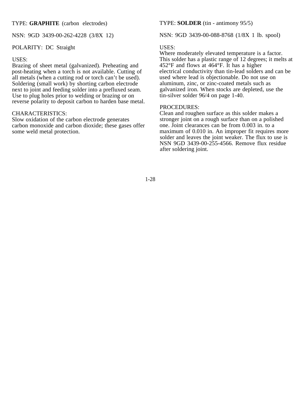TYPE: **GRAPHITE** (carbon electrodes)

NSN: 9GD 3439-00-262-4228 (3/8X 12)

POLARITY: DC Straight

#### USES:

Brazing of sheet metal (galvanized). Preheating and post-heating when a torch is not available. Cutting of all metals (when a cutting rod or torch can't be used). Soldering (small work) by shorting carbon electrode next to joint and feeding solder into a prefluxed seam. Use to plug holes prior to welding or brazing or on reverse polarity to deposit carbon to harden base metal.

#### CHARACTERISTICS:

Slow oxidation of the carbon electrode generates carbon monoxide and carbon dioxide; these gases offer some weld metal protection.

TYPE: **SOLDER** (tin - antimony 95/5)

NSN: 9GD 3439-00-088-8768 (1/8X 1 lb. spool)

#### USES:

Where moderately elevated temperature is a factor. This solder has a plastic range of 12 degrees; it melts at 452°F and flows at 464°F. It has a higher electrical conductivity than tin-lead solders and can be used where lead is objectionable. Do not use on aluminum, zinc, or zinc-coated metals such as galvanized iron. When stocks are depleted, use the tin-silver solder 96/4 on page 1-40.

#### PROCEDURES:

Clean and roughen surface as this solder makes a stronger joint on a rough surface than on a polished one. Joint clearances can be from 0.003 in. to a maximum of 0.010 in. An improper fit requires more solder and leaves the joint weaker. The flux to use is NSN 9GD 3439-00-255-4566. Remove flux residue after soldering joint.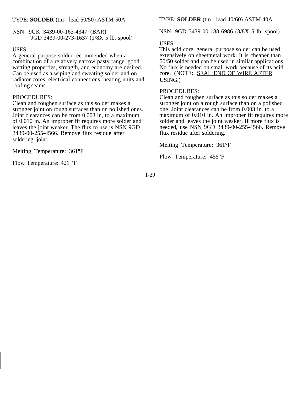#### TYPE: **SOLDER** (tin - lead 50/50) ASTM 50A

NSN: 9GK 3439-00-163-4347 (BAR) 9GD 3439-00-273-1637 (1/8X 5 lb. spool)

#### USES:

A general purpose solder recommended when a combination of a relatively narrow pasty range, good wetting properties, strength, and economy are desired. Can be used as a wiping and sweating solder and on radiator cores, electrical connections, heating units and roofing seams.

#### PROCEDURES:

Clean and roughen surface as this solder makes a stronger joint on rough surfaces than on polished ones. Joint clearances can be from 0.003 in, to a maximum of 0.010 in. An improper fit requires more solder and leaves the joint weaker. The flux to use is NSN 9GD 3439-00-255-4566. Remove flux residue after soldering joint.

Melting Temperature: 361°F

Flow Temperature: 421 'F

TYPE: **SOLDER** (tin - lead 40/60) ASTM 40A

NSN: 9GD 3439-00-188-6986 (3/8X 5 lb. spool)

#### USES:

This acid core, general purpose solder can be used extensively on sheetmetal work. It is cheaper than 50/50 solder and can be used in similar applications. No flux is needed on small work because of its acid core. (NOTE: SEAL END OF WIRE AFTER USING.)

#### PROCEDURES:

Clean and roughen surface as this solder makes a stronger joint on a rough surface than on a polished one. Joint clearances can be from 0.003 in. to a maximum of 0.010 in. An improper fit requires more solder and leaves the joint weaker. If more flux is needed, use NSN 9GD 3439-00-255-4566. Remove flux residue after soldering.

Melting Temperature: 361°F

Flow Temperature: 455°F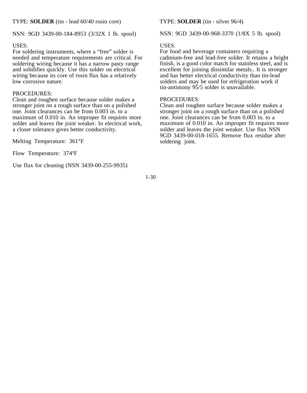TYPE: **SOLDER** (tin - lead 60/40 rosin core)

NSN: 9GD 3439-00-184-8953 (3/32X 1 lb. spool)

#### USES:

For soldering instruments, where a "free" solder is needed and temperature requirements are critical. For soldering wiring because it has a narrow pasty range and solidifies quickly. Use this solder on electrical wiring because its core of rosin flux has a relatively low corrosive nature.

#### PROCEDURES:

Clean and roughen surface because solder makes a stronger joint on a rough surface than on a polished one. Joint clearances can be from 0.003 in. to a maximum of 0.010 in. An improper fit requires more solder and leaves the joint weaker. In electrical work, a closer tolerance gives better conductivity.

Melting Temperature: 361°F

Flow Temperature: 374ºF

Use flux for cleaning (NSN 3439-00-255-9935)

TYPE: **SOLDER** (tin - silver 96/4)

NSN: 9GD 3439-00-968-3370 (1/8X 5 lb. spool)

#### USES:

For food and beverage containers requiring a cadmium-free and lead-free solder. It retains a bright finish, is a good color match for stainless steel, and is excellent for joining dissimilar metals.. It is stronger and has better electrical conductivity than tin-lead solders and may be used for refrigeration work if tin-antimony 95/5 solder is unavailable.

#### PROCEDURES:

Clean and roughen surface because solder makes a stronger joint on a rough surface than on a polished one. Joint clearances can be from 0.003 in. to a maximum of 0.010 in. An improper fit requires more solder and leaves the joint weaker. Use flux NSN 9GD 3439-00-018-1655. Remove flux residue after soldering joint.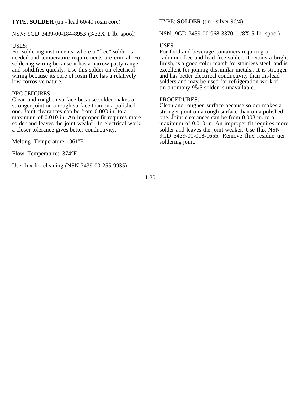TYPE: **SOLDER** (tin - lead 60/40 rosin core)

NSN: 9GD 3439-00-184-8953 (3/32X 1 lb. spool)

#### USES:

For soldering instruments, where a "free" solder is needed and temperature requirements are critical. For soldering wiring because it has a narrow pasty range and solidifies quickly. Use this solder on electrical wiring because its core of rosin flux has a relatively low corrosive nature,

#### PROCEDURES:

Clean and roughen surface because solder makes a stronger joint on a rough surface than on a polished one. Joint clearances can be from 0.003 in. to a maximum of 0.010 in. An improper fit requires more solder and leaves the joint weaker. In electrical work, a closer tolerance gives better conductivity.

Melting Temperature: 361ºF

Flow Temperature: 374°F

Use flux for cleaning (NSN 3439-00-255-9935)

TYPE: **SOLDER** (tin - silver 96/4)

NSN: 9GD 3439-00-968-3370 (1/8X 5 lb. spool)

#### USES:

For food and beverage containers requiring a cadmium-free and lead-free solder. It retains a bright finish, is a good color match for stainless steel, and is excellent for joining dissimilar metals.. It is stronger and has better electrical conductivity than tin-lead solders and may be used for refrigeration work if tin-antimony 95/5 solder is unavailable.

#### PROCEDURES:

Clean and roughen surface because solder makes a stronger joint on a rough surface than on a polished one. Joint clearances can be from 0.003 in. to a maximum of 0.010 in. An improper fit requires more solder and leaves the joint weaker. Use flux NSN 9GD 3439-00-018-1655. Remove flux residue tier soldering joint.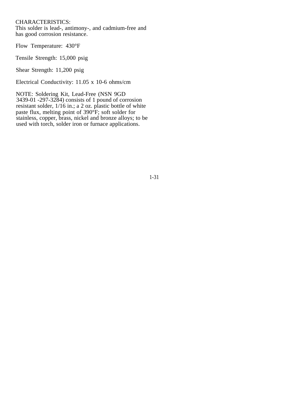#### CHARACTERISTICS:

This solder is lead-, antimony-, and cadmium-free and has good corrosion resistance.

Flow Temperature: 430°F

Tensile Strength: 15,000 psig

Shear Strength: 11,200 psig

Electrical Conductivity: 11.05 x 10-6 ohms/cm

NOTE: Soldering Kit, Lead-Free (NSN 9GD 3439-01 -297-3284) consists of 1 pound of corrosion resistant solder, 1/16 in.; a 2 oz. plastic bottle of white paste flux, melting point of 390°F; soft solder for stainless, copper, brass, nickel and bronze alloys; to be used with torch, solder iron or furnace applications.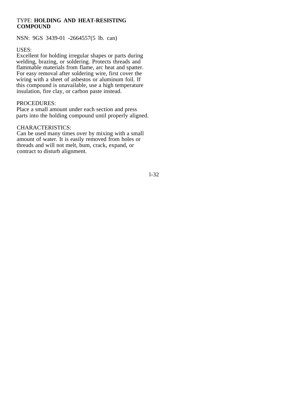#### TYPE: **HOLDING AND HEAT-RESISTING COMPOUND**

NSN: 9GS 3439-01 -2664557(5 lb. can)

### USES:

Excellent for holding irregular shapes or parts during welding, brazing, or soldering. Protects threads and flammable materials from flame, arc heat and spatter. For easy removal after soldering wire, first cover the wiring with a sheet of asbestos or aluminum foil. If this compound is unavailable, use a high temperature insulation, fire clay, or carbon paste instead.

# PROCEDURES:

Place a small amount under each section and press parts into the holding compound until properly aligned.

# CHARACTERISTICS:

Can be used many times over by mixing with a small amount of water. It is easily removed from holes or threads and will not melt, bum, crack, expand, or contract to disturb alignment.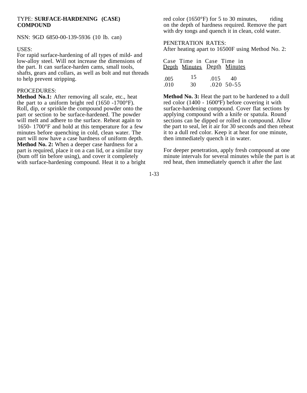#### TYPE: **SURFACE-HARDENING (CASE) COMPOUND**

NSN: 9GD 6850-00-139-5936 (10 lb. can)

#### USES:

For rapid surface-hardening of all types of mild- and low-alloy steel. Will not increase the dimensions of the part. It can surface-harden cams, small tools, shafts, gears and collars, as well as bolt and nut threads to help prevent stripping.

#### PROCEDURES:

**Method No.1:** After removing all scale, etc., heat the part to a uniform bright red (1650 -1700°F). Roll, dip, or sprinkle the compound powder onto the part or section to be surface-hardened. The powder will melt and adhere to the surface. Reheat again to 1650- 1700°F and hold at this temperature for a few minutes before quenching in cold, clean water. The part will now have a case hardness of uniform depth. **Method No. 2:** When a deeper case hardness for a part is required, place it on a can lid, or a similar tray (bum off tin before using), and cover it completely with surface-hardening compound. Heat it to a bright red color  $(1650^{\circ}F)$  for 5 to 30 minutes, riding on the depth of hardness required. Remove the part with dry tongs and quench it in clean, cold water.

#### PENETRATION RATES:

After heating apart to 16500F using Method No. 2:

|      | Case Time in Case Time in<br>Depth Minutes Depth Minutes |              |              |
|------|----------------------------------------------------------|--------------|--------------|
| .005 | 15                                                       | $.015 \t 40$ |              |
| .010 | 30                                                       |              | $.020$ 50-55 |

**Method No. 3:** Heat the part to be hardened to a dull red color (1400 - 1600ºF) before covering it with surface-hardening compound. Cover flat sections by applying compound with a knife or spatula. Round sections can be dipped or rolled in compound. Allow the part to seal, let it air for 30 seconds and then reheat it to a dull red color. Keep it at heat for one minute, then immediately quench it in water.

For deeper penetration, apply fresh compound at one minute intervals for several minutes while the part is at red heat, then immediately quench it after the last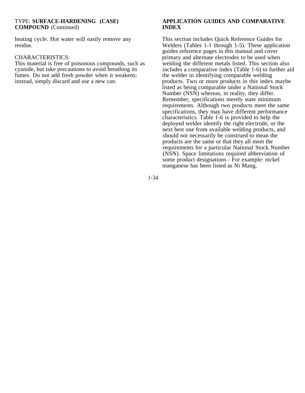# **COMPOUND** (Continued) **INDEX**

heating cycle. Hot water will easily remove any This section includes Quick Reference Guides for

cyanide, but take precautions to avoid breathing its includes a comparative index (Table 1-6) to further further aidentifying comparable welding functions. fumes. Do not add fresh powder when it weakens; instead, simply discard and use a new can. products. Two or more products in this index maybe

# TYPE: **SURFACE-HARDENING (CASE) APPLICATION GUIDES AND COMPARATIVE**

residue. Welders (Tables 1-1 through 1-5). These application guides reference pages in this manual and cover CHARACTERISTICS:<br>
This material is free of poisonous compounds, such as welding the different metals listed. This section also This material is free of poisonous compounds, such as welding the different metals listed. This section also cyanide, but take precautions to avoid breathing its includes a comparative index (Table 1-6) to further aid listed as being comparable under a National Stock Number (NSN) whereas, in reality, they differ. Remember, specifications merely state minimum requirements. Although two products meet the same specifications, they may have different performance characteristics. Table 1-6 is provided to help the deployed welder identify the right electrode, or the next best one from available welding products, and should not necessarily be construed to mean the products are the same or that they all meet the requirements for a particular National Stock Number (NSN). Space limitations required abbreviation of some product designations - For example: nickel manganese has been listed as Ni Mang.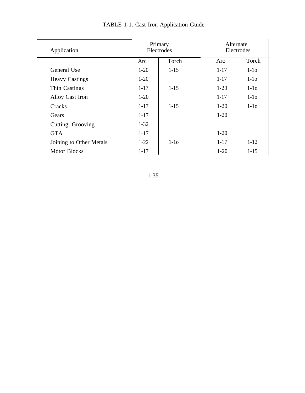# TABLE 1-1. Cast Iron Application Guide

| Application             |          | Primary<br>Electrodes | Alternate<br>Electrodes |          |  |
|-------------------------|----------|-----------------------|-------------------------|----------|--|
|                         | Arc      | Torch                 | Arc                     | Torch    |  |
| General Use             | $1-20$   | $1 - 15$              | $1 - 17$                | $1-1o$   |  |
| <b>Heavy Castings</b>   | $1-20$   |                       | $1 - 17$                | $1-10$   |  |
| Thin Castings           | $1 - 17$ | $1-15$                | $1 - 20$                | $1-1o$   |  |
| Alloy Cast Iron         | $1-20$   |                       | $1 - 17$                | $1-10$   |  |
| Cracks                  | $1 - 17$ | $1 - 15$              | $1 - 20$                | $1-1o$   |  |
| Gears                   | $1 - 17$ |                       | $1 - 20$                |          |  |
| Cutting, Grooving       | $1 - 32$ |                       |                         |          |  |
| <b>GTA</b>              | $1 - 17$ |                       | $1 - 20$                |          |  |
| Joining to Other Metals | $1-22$   | $1-10$                | $1 - 17$                | $1 - 12$ |  |
| <b>Motor Blocks</b>     | $1 - 17$ |                       | $1-20$                  | $1 - 15$ |  |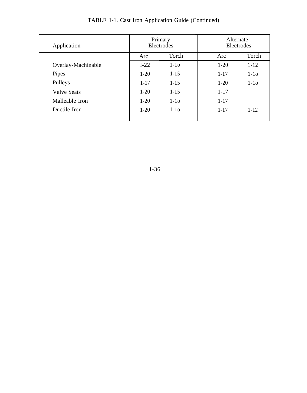# TABLE 1-1. Cast Iron Application Guide (Continued)

| Application        |          | Primary<br>Electrodes | Alternate | Electrodes |
|--------------------|----------|-----------------------|-----------|------------|
|                    | Arc      | Torch                 | Arc       | Torch      |
| Overlay-Machinable | $I-22$   | $1-1o$                | $1 - 20$  | $1 - 12$   |
| Pipes              | $1 - 20$ | $1 - 15$              | $1 - 17$  | $1-1o$     |
| Pulleys            | $1 - 17$ | $1 - 15$              | $1 - 20$  | $1-10$     |
| <b>Valve Seats</b> | $1 - 20$ | $1 - 15$              | $1 - 17$  |            |
| Malleable Iron     | $1 - 20$ | $1-1o$                | $1 - 17$  |            |
| Ductile Iron       | $1 - 20$ | $1-10$                | $1 - 17$  | $1 - 12$   |
|                    |          |                       |           |            |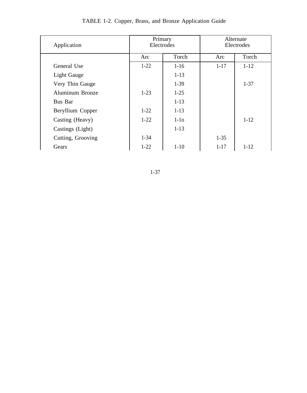| Application            |          | Primary<br>Electrodes |          | Alternate<br>Electrodes |
|------------------------|----------|-----------------------|----------|-------------------------|
|                        | Arc      | Torch                 | Arc      | Torch                   |
| General Use            | $1-22$   | $1 - 16$              | $1 - 17$ | $1 - 12$                |
| Light Gauge            |          | $1 - 13$              |          |                         |
| Very Thin Gauge        |          | $1-39$                |          | $1 - 37$                |
| <b>Aluminum Bronze</b> | $1-23$   | $1-25$                |          |                         |
| Bus Bar                |          | $1 - 13$              |          |                         |
| Beryllium Copper       | $1-22$   | $1 - 13$              |          |                         |
| Casting (Heavy)        | $1-22$   | $1-10$                |          | $1 - 12$                |
| Castings (Light)       |          | $1 - 13$              |          |                         |
| Cutting, Grooving      | $1 - 34$ |                       | $1 - 35$ |                         |
| Gears                  | $1 - 22$ | $1 - 10$              | $1 - 17$ | $1 - 12$                |

# TABLE 1-2. Copper, Brass, and Bronze Application Guide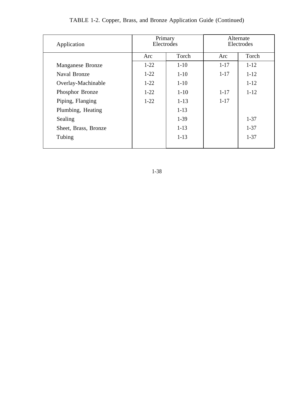| Application             |        | Primary<br>Electrodes |          | Alternate<br>Electrodes |
|-------------------------|--------|-----------------------|----------|-------------------------|
|                         | Arc    | Torch                 | Arc      | Torch                   |
| <b>Manganese Bronze</b> | $1-22$ | $1 - 10$              | $1 - 17$ | $1 - 12$                |
| Naval Bronze            | $1-22$ | $1 - 10$              | $1 - 17$ | $1 - 12$                |
| Overlay-Machinable      | $1-22$ | $1 - 10$              |          | $1 - 12$                |
| Phosphor Bronze         | $1-22$ | $1 - 10$              | $1 - 17$ | $1 - 12$                |
| Piping, Flanging        | $1-22$ | $1 - 13$              | $1 - 17$ |                         |
| Plumbing, Heating       |        | $1 - 13$              |          |                         |
| Sealing                 |        | $1-39$                |          | $1 - 37$                |
| Sheet, Brass, Bronze    |        | $1 - 13$              |          | $1 - 37$                |
| Tubing                  |        | $1 - 13$              |          | $1 - 37$                |
|                         |        |                       |          |                         |

# TABLE 1-2. Copper, Brass, and Bronze Application Guide (Continued)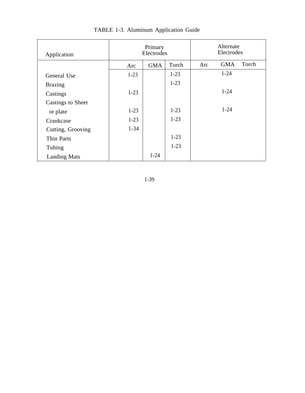# TABLE 1-3. Aluminum Application Guide

| Application         | Primary<br>Electrodes |            |        | Alternate<br>Electrodes |            |       |
|---------------------|-----------------------|------------|--------|-------------------------|------------|-------|
|                     | Arc                   | <b>GMA</b> | Torch  | Arc                     | <b>GMA</b> | Torch |
| General Use         | $1-23$                |            | $1-23$ |                         | $1 - 24$   |       |
| <b>Brazing</b>      |                       |            | $1-23$ |                         |            |       |
| Castings            | $1 - 23$              |            |        |                         | $1 - 24$   |       |
| Castings to Sheet   |                       |            |        |                         |            |       |
| or plate            | $1-23$                |            | $1-23$ |                         | $1 - 24$   |       |
| Crankcase           | $1-23$                |            | $1-23$ |                         |            |       |
| Cutting, Grooving   | $1 - 34$              |            |        |                         |            |       |
| <b>Thin Parts</b>   |                       |            | $1-23$ |                         |            |       |
| Tubing              |                       |            | $1-23$ |                         |            |       |
| <b>Landing Mats</b> |                       | $1 - 24$   |        |                         |            |       |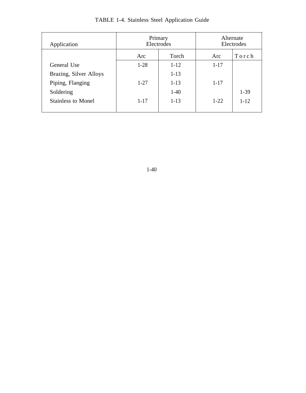# TABLE 1-4. Stainless Steel Application Guide

| Application               |          | Primary<br>Electrodes |          | Alternate<br>Electrodes |
|---------------------------|----------|-----------------------|----------|-------------------------|
|                           | Arc      | Torch                 | Arc      | Torch                   |
| General Use               | $1 - 28$ | $1 - 12$              | $1 - 17$ |                         |
| Brazing, Silver Alloys    |          | $1 - 13$              |          |                         |
| Piping, Flanging          | $1 - 27$ | $1-13$                | $1 - 17$ |                         |
| Soldering                 |          | $1-40$                |          | $1-39$                  |
| <b>Stainless to Monel</b> | $1 - 17$ | $1 - 13$              | $1 - 22$ | $1 - 12$                |
|                           |          |                       |          |                         |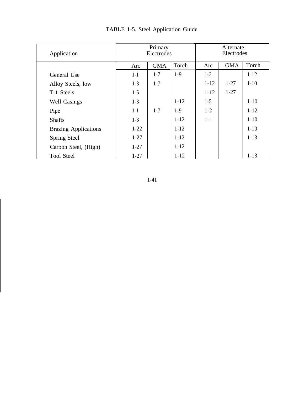# TABLE 1-5. Steel Application Guide

| Application                 |          | Electrodes | Alternate<br>Electrodes |          |            |          |
|-----------------------------|----------|------------|-------------------------|----------|------------|----------|
|                             | Arc      | <b>GMA</b> | Torch                   | Arc      | <b>GMA</b> | Torch    |
| General Use                 | $1-1$    | $1 - 7$    | $1-9$                   | $1-2$    |            | $1 - 12$ |
| Alloy Steels, low           | $1-3$    | $1 - 7$    |                         | $1 - 12$ | $1 - 27$   | $1-10$   |
| T-1 Steels                  | $1-5$    |            |                         | $1 - 12$ | $1 - 27$   |          |
| <b>Well Casings</b>         | $1-3$    |            | $1 - 12$                | $1-5$    |            | $1 - 10$ |
| Pipe                        | $1-1$    | $1 - 7$    | $1-9$                   | $1-2$    |            | $1 - 12$ |
| <b>Shafts</b>               | $1-3$    |            | $1 - 12$                | $1-1$    |            | $1 - 10$ |
| <b>Brazing Applications</b> | $1 - 22$ |            | $1 - 12$                |          |            | $1 - 10$ |
| Spring Steel                | $1-27$   |            | $1 - 12$                |          |            | $1 - 13$ |
| Carbon Steel, (High)        | $1-27$   |            | $1 - 12$                |          |            |          |
| <b>Tool Steel</b>           | $1 - 27$ |            | $1 - 12$                |          |            | $1 - 13$ |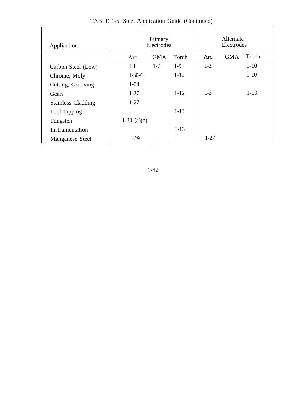| Application               | Primary<br>Electrodes |            |          | Alternate<br>Electrodes |            |          |
|---------------------------|-----------------------|------------|----------|-------------------------|------------|----------|
|                           | Arc                   | <b>GMA</b> | Torch    | Arc                     | <b>GMA</b> | Torch    |
| Carbon Steel (Low)        | $1 - 1$               | $1 - 7$    | $1-9$    | $1-2$                   |            | $1 - 10$ |
| Chrome, Moly              | $1-30-C$              |            | $1 - 12$ |                         |            | $1 - 10$ |
| Cutting, Grooving         | $1 - 34$              |            |          |                         |            |          |
| Gears                     | $1-27$                |            | $1 - 12$ | $1 - 3$                 |            | $1 - 10$ |
| <b>Stainless Cladding</b> | $1-27$                |            |          |                         |            |          |
| <b>Tool Tipping</b>       |                       |            | $1 - 13$ |                         |            |          |
| Tungsten                  | $1-30$ (a)(b)         |            |          |                         |            |          |
| Instrumentation           |                       |            | $1-13$   |                         |            |          |
| Manganese Steel           | $1-29$                |            |          | $1 - 27$                |            |          |

# TABLE 1-5. Steel Application Guide (Continued)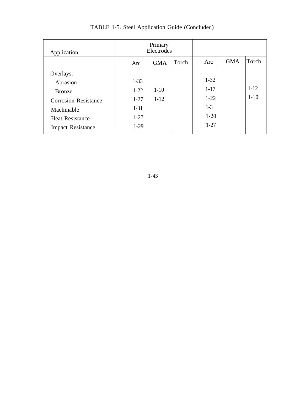# TABLE 1-5. Steel Application Guide (Concluded)

| Application                 | Primary<br>Electrodes |            |       |          |            |          |
|-----------------------------|-----------------------|------------|-------|----------|------------|----------|
|                             | Arc                   | <b>GMA</b> | Torch | Arc      | <b>GMA</b> | Torch    |
| Overlays:                   |                       |            |       |          |            |          |
| Abrasion                    | $1 - 33$              |            |       | $1 - 32$ |            |          |
| <b>Bronze</b>               | $1 - 22$              | $1 - 10$   |       | $1 - 17$ |            | $1 - 12$ |
| <b>Corrosion Resistance</b> | $1 - 27$              | $1 - 12$   |       | $1 - 22$ |            | $1 - 10$ |
| Machinable                  | $1 - 31$              |            |       | $1-3$    |            |          |
| <b>Heat Resistance</b>      | $1 - 27$              |            |       | $1 - 20$ |            |          |
| <b>Impact Resistance</b>    | $1-29$                |            |       | $1 - 27$ |            |          |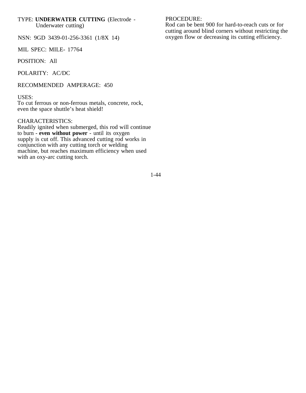TYPE: **UNDERWATER CUTTING** (Electrode - PROCEDURE:

MIL SPEC: MILE- 17764

POSITION: All

POLARITY: AC/DC

#### RECOMMENDED AMPERAGE: 450

USES:

To cut ferrous or non-ferrous metals, concrete, rock, even the space shuttle's heat shield!

#### CHARACTERISTICS:

Readily ignited when submerged, this rod will continue to burn - **even without power** - until its oxygen supply is cut off. This advanced cutting rod works in conjunction with any cutting torch or welding machine, but reaches maximum efficiency when used with an oxy-arc cutting torch.

Underwater cutting) Rod can be bent 900 for hard-to-reach cuts or for cutting around blind corners without restricting the NSN: 9GD 3439-01-256-3361 (1/8X 14) oxygen flow or decreasing its cutting efficiency.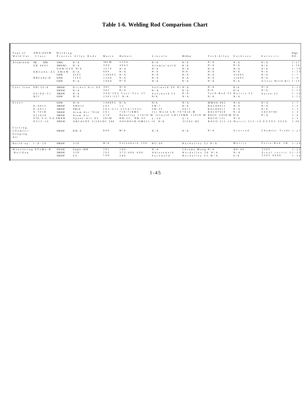# **Table 1-6. Welding Rod Comparison Chart**

| Type of<br>Weld/Cut                    | AWS/ASTM<br>Class     | Welding             | Process Alloy Rods  | Marco          | Hobart                                                    | Lincoln              | McKay            | Tech Alloy Unibraze   |                                      | Eutectic               | Page<br>$NQ$ . |
|----------------------------------------|-----------------------|---------------------|---------------------|----------------|-----------------------------------------------------------|----------------------|------------------|-----------------------|--------------------------------------|------------------------|----------------|
| Aluminum                               | 5356<br>ER            | GMA                 | N/A                 | 501.M          | 5 3 5 6                                                   | N/A                  | N/A              | N/A                   | N/A                                  | N/A                    | $1 - 17$       |
|                                        | ER 4043               | SMAW1               | N/A                 | 500            | 4043                                                      | Alumin/weld          | N/A              | N / A                 | N/A                                  | N/A                    | $1 - 16$       |
|                                        |                       | O A W / G T A N / A |                     | 1570           | N/A                                                       | N/A                  | N/A              | N/A                   | N/A                                  | N/A                    | $1 - 19$       |
|                                        | ERCUAL-A2 SMAW        |                     | N/A                 | 4 0 0          | N/A                                                       | N/A                  | N/A              | N / A                 | N/A                                  | N/A                    | $1 - 15$       |
|                                        |                       | OAW                 | 4 1 F C             | $1300FC$ N/A   |                                                           | N / A                | N/A              | N / A                 | 4 1 0 F C                            | N/A                    | $1 - 7$        |
|                                        | $R B C u Z n - D$     | OAW                 | 11FC                | 1200           | N/A                                                       | N/A                  | N/A              | N/A                   | 110FC                                | N/A                    | $1 - 9$        |
|                                        |                       | OAW                 | N/A                 | 1900           | N/A                                                       | N/A                  | N/A              | N/A                   | N / A                                | Silver Weld Kit 1-10   |                |
| Cast Iron ENi CL-A                     |                       | <b>SMAW</b>         | Nickel Arc 99       | 3 0 1          | N/A                                                       | Softweld 99 Ni N/A   |                  | N/A                   | N/A                                  | N/A                    | $1 - 12$       |
|                                        |                       | SMAW                | N/A                 | 302            | N/A                                                       | N/A                  | N/A              | N/A                   | N/A                                  | N/A                    | $1 - 13$       |
|                                        | EFIFE-C1              | <b>SMAW</b>         | N/A                 |                | 300/303 Cast-Tex 55                                       | Softweld 55          | N/A              | Tech-Rod 55 Harris 55 |                                      | X y r o n - 2 3        | $1 - 14$       |
|                                        | R C I                 | OAW                 | N/A                 | 1301/327 N/A   |                                                           | N/A                  | N/A              | N / A                 | N / A                                |                        | $1 - 11$       |
| Steel                                  |                       | OAW                 | N/A                 | 1300 F C N / A |                                                           | N/A                  | N/A              | M M S O . 0 6 2       | N / A                                | N / A                  | $1 - 7$        |
|                                        | $E - 6012$            | <b>SMAW</b>         | SW 612              | 202            | $1\,2$                                                    | $F W - 7$            | N/A              | RAC06012              | N / A                                | N/A                    | $1 - 2$        |
|                                        | $E - 6011$            | <b>SMAW</b>         | SW14                |                | 203/211 335 A / 335 C                                     | FW-35                | 6011             | RAC06011              | N/A                                  | N/A                    | $1 - 1$        |
|                                        | $E - 701B$            | <b>SMAW</b>         | Atom Arc 7018       | 201            | 718/718 MC                                                | Jet Weld LH-707018-M |                  | <b>RACO7018</b>       | N/A                                  | CEC9708                | $1 - 3$        |
|                                        | E11018                | <b>SMAW</b>         | Atom Arc            | 2 1 0          | Haballoy 11018-M Jetweld LH110MR 11018-M RACO 11018-M N/A |                      |                  |                       |                                      | N / A                  | $1 - 4$        |
|                                        | $E70$ , S-3, S-6 SMAW |                     | Spool-Arc 85        | 2 0 1 M        | H B - 2 5, H B - 3 3                                      | $L - 50$             | $S - 3$          | RACO-121              | N/A                                  |                        | $1 - 5$        |
|                                        | E 3 1 2 - 1 6         | <b>SMAW</b>         | ARCALDY 312ACDC 200 |                | $SOUNDOR-OM312-16 N/A$                                    |                      | 3 1 2 A C - D C  |                       | RACO 312-16 Harris 312-16 EUTEC 3026 |                        | $1 - 20$       |
| Cutting,<br>Chamfer/<br>Gouging<br>Arc |                       | SMAW                | D H - 4             | 800            | W/A                                                       | N/A                  | N/A              | N/A                   | Grovrod                              | Chamfer Trade 1 - 27   |                |
| $B$ uild-up $1 - A - 2b$               |                       | SMAW                | 3 1 P               | W/A            | Tufanhard 250                                             | B U - 90             | Hardalloy 32 N/A |                       | Matrix                               | Ferro-Rod 2B           | $1 - 24$       |
|                                        | Wearfacing EFeMn-B    | SNAW                | $S$ uper – WH       | 701            | 160                                                       | N/A                  | Chrome Mang N/A  |                       | H S - 4 4                            | 3 2 0 5                | $1 - 22$       |
| Buildup                                |                       | SMAW                | 5 1 P               | 702            | 375/400 600                                               | Abrasoweld           | Hardalloy 58 N/A |                       | N / A                                | Steel tectic $21 - 25$ |                |
|                                        |                       | <b>SMAW</b>         | $4\,0$              | 700            | 580                                                       | Faceweld             | Hardallov 55 W/A |                       | U/A                                  | 5505 6606              | $1 - 26$       |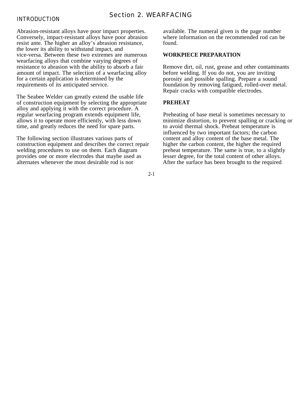# INTRODUCTION Section 2. WEARFACING

Abrasion-resistant alloys have poor impact properties. Conversely, impact-resistant alloys have poor abrasion resist ante. The higher an alloy's abrasion resistance, the lower its ability to withstand impact, and vice-versa. Between these two extremes are numerous wearfacing alloys that combine varying degrees of resistance to abrasion with the ability to absorb a fair amount of impact. The selection of a wearfacing alloy for a certain application is determined by the requirements of its anticipated service.

The Seabee Welder can greatly extend the usable life of construction equipment by selecting the appropriate alloy and applying it with the correct procedure. A regular wearfacing program extends equipment life, allows it to operate more efficiently, with less down time, and greatly reduces the need for spare parts.

The following section illustrates various parts of construction equipment and describes the correct repair welding procedures to use on them. Each diagram provides one or more electrodes that maybe used as alternates whenever the most desirable rod is not

available. The numeral given is the page number where information on the recommended rod can be found.

#### **WORKPIECE PREPARATION**

Remove dirt, oil, rust, grease and other contaminants before welding. If you do not, you are inviting porosity and possible spalling. Prepare a sound foundation by removing fatigued, rolled-over metal. Repair cracks with compatible electrodes.

#### **PREHEAT**

Preheating of base metal is sometimes necessary to minimize distortion, to prevent spalling or cracking or to avoid thermal shock. Preheat temperature is influenced by two important factors; the carbon content and alloy content of the base metal. The higher the carbon content, the higher the required preheat temperature. The same is true, to a slightly lesser degree, for the total content of other alloys. After the surface has been brought to the required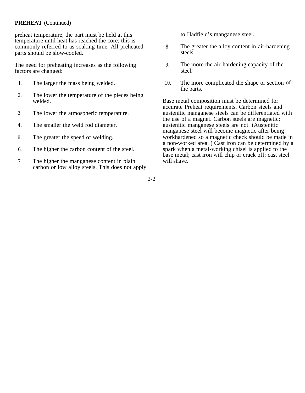#### **PREHEAT** (Continued)

preheat temperature, the part must be held at this temperature until heat has reached the core; this is commonly referred to as soaking time. All preheated 8. parts should be slow-cooled.

The need for preheating increases as the following 9. factors are changed:

- 1. The larger the mass being welded. 10.
- 2. The lower the temperature of the pieces being
- 3. .
- 4.
- -5.
- 6.
- 7. The higher the manganese content in plain carbon or low alloy steels. This does not apply

to Hadfield's manganese steel.

- The greater the alloy content in air-hardening steels.
- The more the air-hardening capacity of the steel.
- The more complicated the shape or section of the parts.

welded. Base metal composition must be determined for accurate Preheat requirements. Carbon steels and The lower the atmospheric temperature. austenitic manganese steels can be differentiated with the use of a magnet. Carbon steels are magnetic; The smaller the weld rod diameter. The smaller the weld rod diameter.  $\blacksquare$  austenitic manganese steels are not. (Austenitic manganese steel will become magnetic after being The greater the speed of welding. workhardened so a magnetic check should be made in a non-worked area. ) Cast iron can be determined by a The higher the carbon content of the steel. spark when a metal-working chisel is applied to the base metal; cast iron will chip or crack off; cast steel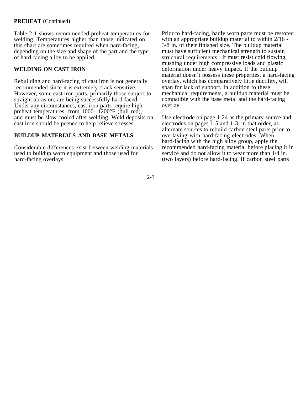**PREHEAT** (Continued)

Table 2-1 shows recommended preheat temperatures for welding. Temperatures higher than those indicated on this chart are sometimes required when hard-facing, depending on the size and shape of the part and the type of hard-facing alloy to be applied.

#### **WELDING ON CAST IRON**

Rebuilding and hard-facing of cast iron is not generally recommended since it is extremely crack sensitive. However, some cast iron parts, primarily those subject to straight abrasion, are being successfully hard-faced. Under any circumstances, cast iron parts require high preheat temperatures, from 1000- 1200°F (dull red), and must be slow cooled after welding. Weld deposits on cast iron should be peened to help relieve stresses.

#### **BUILDUP MATERIALS AND BASE METALS**

Considerable differences exist between welding materials used to buildup worn equipment and those used for hard-facing overlays.

Prior to hard-facing, badly worn parts must be restored with an appropriate buildup material to within 2/16 - 3/8 in. of their finished size. The buildup material must have sufficient mechanical strength to sustain structural requirements. It must resist cold flowing, mushing under high compressive loads and plastic deformation under heavy impact. If the buildup material doesn't possess these properties, a hard-facing overlay, which has comparatively little ductility, will span for lack of support. In addition to these mechanical requirements, a buildup material must be compatible with the base metal and the hard-facing overlay.

Use electrode on page 1-24 as the primary source and electrodes on pages 1-5 and 1-3, in that order, as alternate sources to rebuild carbon steel parts prior to overlaying with hard-facing electrodes. When hard-facing with the high alloy group, apply the recommended hard-facing material before placing it in service and do not allow it to wear more than 1/4 in. (two layers) before hard-facing. If carbon steel parts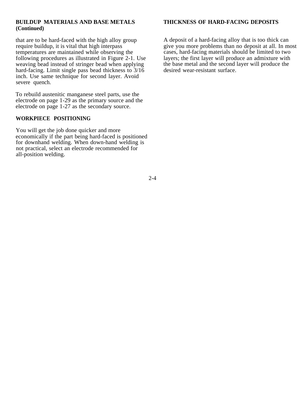### **BUILDUP MATERIALS AND BASE METALS THICKNESS OF HARD-FACING DEPOSITS (Continued)**

that are to be hard-faced with the high alloy group A deposit of a hard-facing alloy that is too thick can following procedures as illustrated in Figure 2-1. Use layers; the first layer will produce an admixture with weaving bead instead of stringer bead when applying the base metal and the second layer will produce the weaving bead instead of stringer bead when applying the base metal and the second hard-facing. Limit single pass bead thickness to  $3/16$  desired wear-resistant surface. hard-facing. Limit single pass bead thickness to  $3/16$ inch. Use same technique for second layer. Avoid severe quench.

To rebuild austenitic manganese steel parts, use the electrode on page 1-29 as the primary source and the electrode on page 1-27 as the secondary source.

### **WORKPIECE POSITIONING**

You will get the job done quicker and more economically if the part being hard-faced is positioned for downhand welding. When down-hand welding is not practical, select an electrode recommended for all-position welding.

require buildup, it is vital that high interpass give you more problems than no deposit at all. In most temperatures are maintained while observing the cases, hard-facing materials should be limited to two cases, hard-facing materials should be limited to two layers; the first layer will produce an admixture with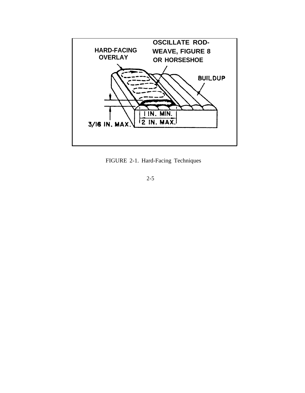

FIGURE 2-1. Hard-Facing Techniques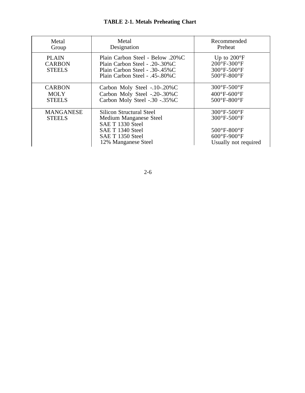# **TABLE 2-1. Metals Preheating Chart**

| Metal                                          | Metal                                                                                                                                        | Recommended                                                                                                                                    |
|------------------------------------------------|----------------------------------------------------------------------------------------------------------------------------------------------|------------------------------------------------------------------------------------------------------------------------------------------------|
| Group                                          | Designation                                                                                                                                  | Preheat                                                                                                                                        |
| <b>PLAIN</b><br><b>CARBON</b><br><b>STEELS</b> | Plain Carbon Steel - Below .20%C<br>Plain Carbon Steel - .20-.30%C<br>Plain Carbon Steel - .30-.45%C<br>Plain Carbon Steel - .45-.80%C       | Up to $200^{\circ}F$<br>200°F-300°F<br>$300^{\circ}$ F-500 $^{\circ}$ F<br>$500^{\circ}$ F-800 $^{\circ}$ F                                    |
| <b>CARBON</b>                                  | Carbon Moly Steel -.10-.20%C                                                                                                                 | $300^{\circ}$ F-500 $^{\circ}$ F                                                                                                               |
| <b>MOLY</b>                                    | Carbon Moly Steel -.20-.30%C                                                                                                                 | $400^{\circ}$ F-600 $^{\circ}$ F                                                                                                               |
| <b>STEELS</b>                                  | Carbon Moly Steel -.30 -.35%C                                                                                                                | 500°F-800°F                                                                                                                                    |
| <b>MANGANESE</b><br><b>STEELS</b>              | <b>Silicon Structural Steel</b><br>Medium Manganese Steel<br>SAE T 1330 Steel<br>SAE T 1340 Steel<br>SAE T 1350 Steel<br>12% Manganese Steel | $300^{\circ}$ F-500 $^{\circ}$ F<br>$300^{\circ}$ F-500 $^{\circ}$ F<br>$500^{\circ}$ F-800°F<br>$600^{\circ}$ F-900°F<br>Usually not required |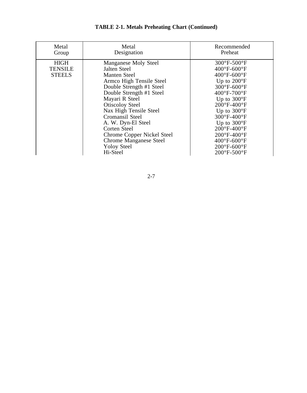| Metal                                          | Metal                                                                                                                                                                                                                                                                                                                                                                           | Recommended                                                                                                                                                                                                                                                                                                                                                                                                                                                        |
|------------------------------------------------|---------------------------------------------------------------------------------------------------------------------------------------------------------------------------------------------------------------------------------------------------------------------------------------------------------------------------------------------------------------------------------|--------------------------------------------------------------------------------------------------------------------------------------------------------------------------------------------------------------------------------------------------------------------------------------------------------------------------------------------------------------------------------------------------------------------------------------------------------------------|
| Group                                          | Designation                                                                                                                                                                                                                                                                                                                                                                     | Preheat                                                                                                                                                                                                                                                                                                                                                                                                                                                            |
| <b>HIGH</b><br><b>TENSILE</b><br><b>STEELS</b> | Manganese Moly Steel<br>Jalten Steel<br><b>Manten Steel</b><br>Armco High Tensile Steel<br>Double Strength #1 Steel<br>Double Strength #1 Steel<br>Mayari R Steel<br><b>Otiscoloy Steel</b><br>Nax High Tensile Steel<br>Cromansil Steel<br>A. W. Dyn-El Steel<br>Corten Steel<br>Chrome Copper Nickel Steel<br><b>Chrome Manganese Steel</b><br><b>Yoloy Steel</b><br>Hi-Steel | $300^{\circ}$ F-500 $^{\circ}$ F<br>$400^{\circ}$ F-600°F<br>$400^{\circ}$ F-600 $^{\circ}$ F<br>Up to $200^{\circ}F$<br>$300^{\circ}$ F-600 $^{\circ}$ F<br>$400^{\circ}$ F-700 $^{\circ}$ F<br>Up to $300^{\circ}$ F<br>$200^{\circ}$ F-400°F<br>Up to $300^{\circ}F$<br>300°F-400°F<br>Up to $300^{\circ}$ F<br>$200^{\circ}$ F-400 $^{\circ}$ F<br>$200^{\circ}$ F-400°F<br>$400^{\circ}$ F-600 $^{\circ}$ F<br>$200^{\circ}$ F-600°F<br>$200^{\circ}$ F-500°F |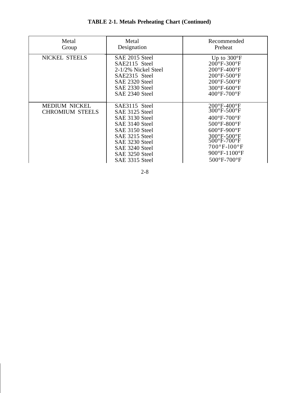| Metal<br>Group                                 | Metal<br>Designation                                                                                                                                                            | Recommended<br>Preheat                                                                                                                                                                                                                                                                                                      |
|------------------------------------------------|---------------------------------------------------------------------------------------------------------------------------------------------------------------------------------|-----------------------------------------------------------------------------------------------------------------------------------------------------------------------------------------------------------------------------------------------------------------------------------------------------------------------------|
| NICKEL STEELS                                  | SAE 2015 Steel<br>SAE2115 Steel<br>2-1/2% Nickel Steel<br>SAE2315 Steel<br>SAE 2320 Steel<br>SAE 2330 Steel<br>SAE 2340 Steel                                                   | Up to $300^{\circ}$ F<br>$200^{\circ}$ F-300 $^{\circ}$ F<br>$200^{\circ}$ F-400 $^{\circ}$ F<br>200°F-500°F<br>$200^{\circ}$ F-500 $^{\circ}$ F<br>$300^{\circ}$ F-600 $^{\circ}$ F<br>$400^{\circ}$ F-700 $^{\circ}$ F                                                                                                    |
| <b>MEDIUM NICKEL</b><br><b>CHROMIUM STEELS</b> | SAE3115 Steel<br>SAE 3125 Steel<br>SAE 3130 Steel<br>SAE 3140 Steel<br>SAE 3150 Steel<br>SAE 3215 Steel<br>SAE 3230 Steel<br>SAE 3240 Steel<br>SAE 3250 Steel<br>SAE 3315 Steel | $200^{\circ}$ F-400 $^{\circ}$ F<br>$300^{\circ}$ F-500 $^{\circ}$ F<br>$400^{\circ}$ F-700 $^{\circ}$ F<br>$500^{\circ}$ F-800 $^{\circ}$ F<br>$600^{\circ}$ F-900 $^{\circ}$ F<br>300°F-500°F<br>$500^{\circ}$ F-700 $^{\circ}$ F<br>$700^{\circ}$ F-100 $^{\circ}$ F<br>900°F-1100°F<br>$500^{\circ}$ F-700 $^{\circ}$ F |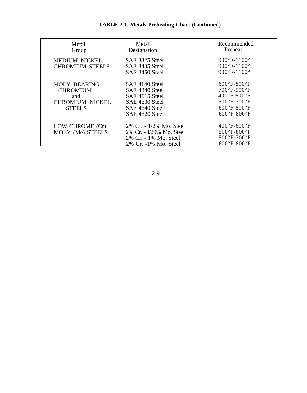| Metal<br>Group                                                                           | Metal<br>Designation                                                                                     | Recommended<br>Preheat                                                                                                                                                                                               |
|------------------------------------------------------------------------------------------|----------------------------------------------------------------------------------------------------------|----------------------------------------------------------------------------------------------------------------------------------------------------------------------------------------------------------------------|
| <b>MEDIUM NICKEL</b><br><b>CHROMIUM STEELS</b>                                           | SAE 3325 Steel<br>SAE 3435 Steel<br>SAE 3450 Steel                                                       | $900^{\circ}$ F-1100 $^{\circ}$ F<br>$900^{\circ}$ F-1100 $^{\circ}$ F<br>$900^{\circ}$ F-1100 $^{\circ}$ F                                                                                                          |
| <b>MOLY BEARING</b><br><b>CHROMIUM</b><br>and<br><b>CHROMIUM NICKEL</b><br><b>STEELS</b> | SAE 4140 Steel<br>SAE 4340 Steel<br>SAE 4615 Steel<br>SAE 4630 Steel<br>SAE 4640 Steel<br>SAE 4820 Steel | $600^{\circ}$ F-800 $^{\circ}$ F<br>$700^{\circ}$ F-900 $^{\circ}$ F<br>$400^{\circ}$ F-600 $^{\circ}$ F<br>$500^{\circ}$ F-700 $^{\circ}$ F<br>$600^{\circ}$ F-800 $^{\circ}$ F<br>$600^{\circ}$ F-800 $^{\circ}$ F |
| LOW CHROME (Cr)<br>MOLY (Me) STEELS                                                      | 2% Cr. - 1/2% Mo. Steel<br>2% Cr. - 1/29% Mo. Steel<br>2% Cr. - 1% Mo. Steel<br>2% Cr. -1% Mo. Steel     | $400^{\circ}$ F-600 $^{\circ}$ F<br>$500^{\circ}$ F-800 $^{\circ}$ F<br>$500^{\circ}$ F-700 $^{\circ}$ F<br>$600^{\circ}$ F-800 $^{\circ}$ F                                                                         |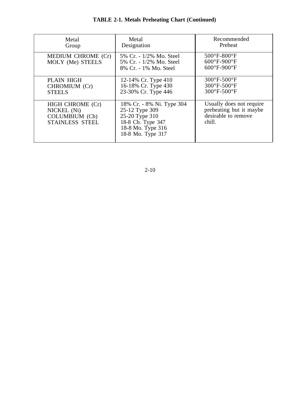| Metal                                                                       | Metal                                                                                                                        | Recommended                                                                                   |
|-----------------------------------------------------------------------------|------------------------------------------------------------------------------------------------------------------------------|-----------------------------------------------------------------------------------------------|
| Group                                                                       | Designation                                                                                                                  | Preheat                                                                                       |
| MEDIUM CHROME (Cr)<br>MOLY (Me) STEELS                                      | 5% Cr. - 1/2% Mo. Steel<br>5% Cr. - 1/2% Mo. Steel<br>8% Cr. - 1% Mo. Steel                                                  | $500^{\circ}$ F-800 $^{\circ}$ F<br>$600^{\circ}$ F-900 $^{\circ}$ F<br>$600^{\circ}$ F-900°F |
| PLAIN HIGH                                                                  | 12-14% Cr. Type 410                                                                                                          | $300^{\circ}$ F-500 $^{\circ}$ F                                                              |
| CHROMIUM (Cr)                                                               | 16-18% Cr. Type 430                                                                                                          | 300°F-500°F                                                                                   |
| <b>STEELS</b>                                                               | 23-30% Cr. Type 446                                                                                                          | $300^{\circ}$ F-500 $^{\circ}$ F                                                              |
| HIGH CHROME (Cr)<br>NICKEL (Ni)<br>COLUMBIUM (Cb)<br><b>STAINLESS STEEL</b> | 18% Cr. - 8% Ni. Type 304<br>25-12 Type 309<br>25-20 Type 310<br>18-8 Cb. Type 347<br>18-8 Mo. Type 316<br>18-8 Mo. Type 317 | Usually does not require<br>preheating but it maybe<br>desirable to remove<br>chill.          |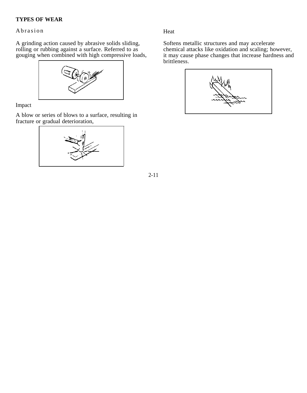# **TYPES OF WEAR**

# Abrasio n

A grinding action caused by abrasive solids sliding, rolling or rubbing against a surface. Referred to as gouging when combined with high compressive loads,



Impact

A blow or series of blows to a surface, resulting in fracture or gradual deterioration,



#### Heat

Softens metallic structures and may accelerate chemical attacks like oxidation and scaling; however, it may cause phase changes that increase hardness and brittleness.

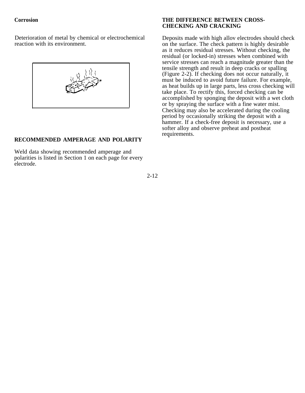reaction with its environment.



#### **RECOMMENDED AMPERAGE AND POLARITY**

Weld data showing recommended amperage and polarities is listed in Section 1 on each page for every electrode.

#### **Corrosion THE DIFFERENCE BETWEEN CROSS-CHECKING AND CRACKING**

Deterioration of metal by chemical or electrochemical Deposits made with high allov electrodes should check **.** requirements. on the surface. The check pattern is highly desirable as it reduces residual stresses. Without checking, the residual (or locked-in) stresses when combined with service stresses can reach a magnitude greater than the tensile strength and result in deep cracks or spalling (Figure 2-2). If checking does not occur naturally, it must be induced to avoid future failure. For example, as heat builds up in large parts, less cross checking will take place. To rectify this, forced checking can be accomplished by sponging the deposit with a wet cloth or by spraying the surface with a fine water mist. Checking may also be accelerated during the cooling period by occasionally striking the deposit with a hammer. If a check-free deposit is necessary, use a softer alloy and observe preheat and postheat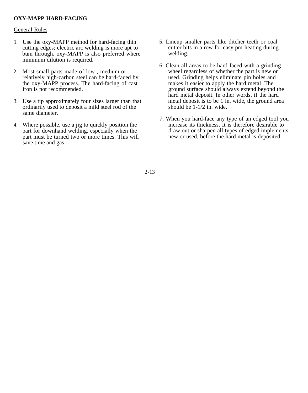### **OXY-MAPP HARD-FACJNG**

### General Rules

- 1. Use the oxy-MAPP method for hard-facing thin cutting edges; electric arc welding is more apt to bum through. oxy-MAPP is also preferred where minimum dilution is required.
- 2. Most small parts made of low-, medium-or relatively high-carbon steel can be hard-faced by the oxy-MAPP process. The hard-facing of cast iron is not recommended.
- 3. Use a tip approximately four sizes larger than that ordinarily used to deposit a mild steel rod of the same diameter.
- 4. Where possible, use a jig to quickly position the part for downhand welding, especially when the part must be turned two or more times. This will save time and gas.
- 5. Lineup smaller parts like ditcher teeth or coal cutter bits in a row for easy pm-heating during welding.
- 6. Clean all areas to be hard-faced with a grinding wheel regardless of whether the part is new or used. Grinding helps eliminate pin holes and makes it easier to apply the hard metal. The ground surface should always extend beyond the hard metal deposit. In other words, if the hard metal deposit is to be 1 in. wide, the ground area should be 1-1/2 in. wide.
- 7. When you hard-face any type of an edged tool you increase its thickness. It is therefore desirable to draw out or sharpen all types of edged implements, new or used, before the hard metal is deposited.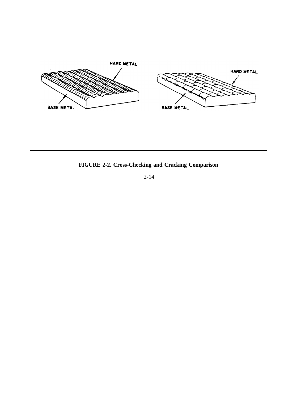

**FIGURE 2-2. Cross-Checking and Cracking Comparison**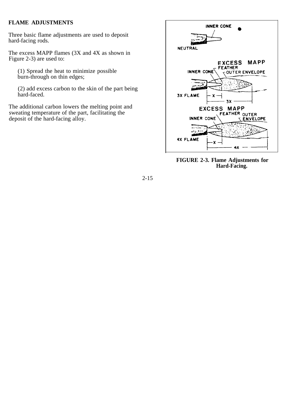### **FLAME ADJUSTMENTS**

Three basic flame adjustments are used to deposit hard-facing rods.

The excess MAPP flames (3X and 4X as shown in Figure 2-3) are used to:

(1) Spread the heat to minimize possible burn-through on thin edges;

(2) add excess carbon to the skin of the part being hard-faced.

The additional carbon lowers the melting point and sweating temperature of the part, facilitating the deposit of the hard-facing alloy.



**FIGURE 2-3. Flame Adjustments for Hard-Facing.**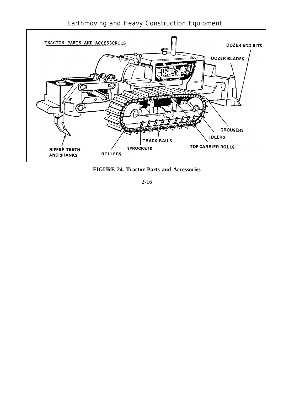

## Earthmoving and Heavy Construction Equipment

**FIGURE 24. Tractor Parts and Accessories**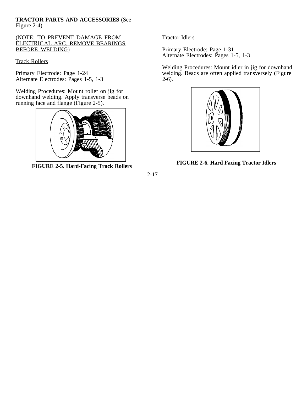**TRACTOR PARTS AND ACCESSORIES** (See Figure 2-4)

#### (NOTE: TO PREVENT DAMAGE FROM ELECTRICAL ARC. REMOVE BEARINGS BEFORE WELDING)

#### Track Rollers

Primary Electrode: Page 1-24 Alternate Electrodes: Pages 1-5, 1-3

Welding Procedures: Mount roller on jig for downhand welding. Apply transverse beads on running face and flange (Figure 2-5).



**FIGURE 2-5. Hard-Facing Track Rollers**

### Tractor Idlers

Primary Electrode: Page 1-31 Alternate Electrodes: Pages 1-5, 1-3

Welding Procedures: Mount idler in jig for downhand welding. Beads are often applied transversely (Figure  $2-6$ ).



**FIGURE 2-6. Hard Facing Tractor Idlers**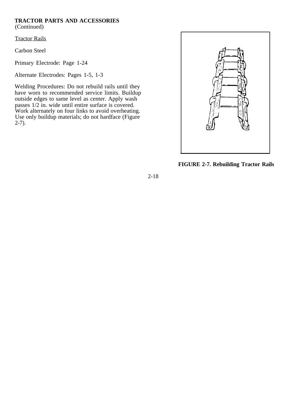Tractor Rails

Carbon Steel

Primary Electrode: Page 1-24

Alternate Electrodes: Pages 1-5, 1-3

Welding Procedures: Do not rebuild rails until they have worn to recommended service limits. Buildup outside edges to same level as center. Apply wash passes 1/2 in. wide until entire surface is covered. Work alternately on four links to avoid overheating. Use only buildup materials; do not hardface (Figure 2-7).



**FIGURE 2-7. Rebuilding Tractor Rails**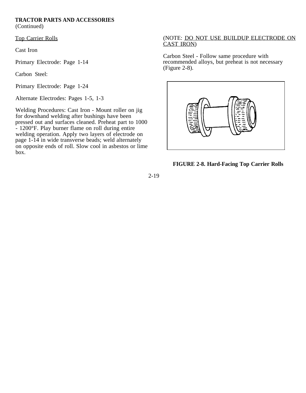Cast Iron

Carbon Steel:

Primary Electrode: Page 1-24

Alternate Electrodes: Pages 1-5, 1-3

Welding Procedures: Cast Iron - Mount roller on jig for downhand welding after bushings have been pressed out and surfaces cleaned. Preheat part to 1000 - 1200°F. Play burner flame on roll during entire welding operation. Apply two layers of electrode on page 1-14 in wide transverse beads; weld alternately on opposite ends of roll. Slow cool in asbestos or lime box.

#### Top Carrier Rolls (NOTE: DO NOT USE BUILDUP ELECTRODE ON CAST IRON)

Carbon Steel - Follow same procedure with Primary Electrode: Page 1-14 recommended alloys, but preheat is not necessary (Figure 2-8).



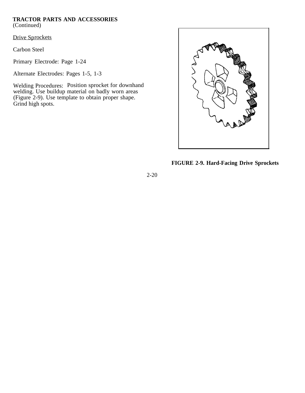Drive Sprockets

Carbon Steel

Primary Electrode: Page 1-24

Alternate Electrodes: Pages 1-5, 1-3

Welding Procedures: Position sprocket for downhand welding. Use buildup material on badly worn areas (Figure 2-9). Use template to obtain proper shape. Grind high spots.



**FIGURE 2-9. Hard-Facing Drive Sprockets**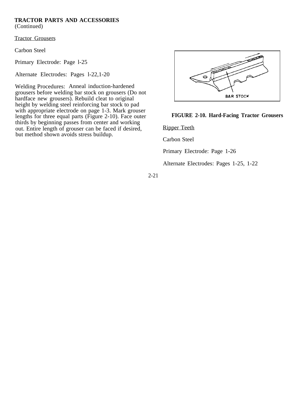Tractor Grousers

Carbon Steel

Primary Electrode: Page l-25

Alternate Electrodes: Pages l-22,1-20

Welding Procedures: Anneal induction-hardened grousers before welding bar stock on grousers (Do not hardface new grousers). Rebuild cleat to original height by welding steel reinforcing bar stock to pad with appropriate electrode on page 1-3. Mark grouser lengths for three equal parts (Figure 2-10). Face outer thirds by beginning passes from center and working out. Entire length of grouser can be faced if desired, but method shown avoids stress buildup.





Ripper Teeth

Carbon Steel

Primary Electrode: Page 1-26

Alternate Electrodes: Pages 1-25, 1-22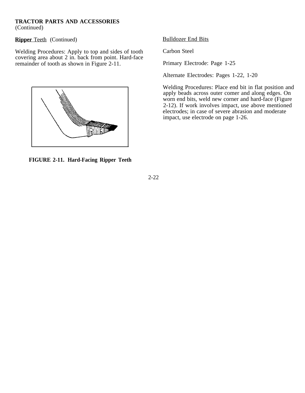**Ripper Teeth** (Continued)

Welding Procedures: Apply to top and sides of tooth covering area about 2 in. back from point. Hard-face remainder of tooth as shown in Figure 2-11.



**FIGURE 2-11. Hard-Facing Ripper Teeth**

#### Bulldozer End Bits

Carbon Steel

Primary Electrode: Page 1-25

Alternate Electrodes: Pages 1-22, 1-20

Welding Procedures: Place end bit in flat position and apply beads across outer comer and along edges. On worn end bits, weld new corner and hard-face (Figure 2-12). If work involves impact, use above mentioned electrodes; in case of severe abrasion and moderate impact, use electrode on page 1-26.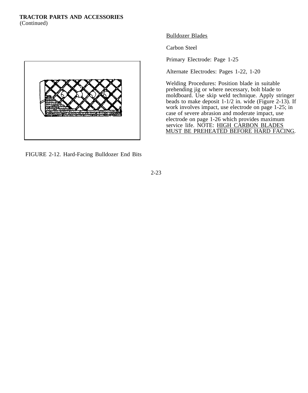

FIGURE 2-12. Hard-Facing Bulldozer End Bits

Bulldozer Blades

Carbon Steel

Primary Electrode: Page 1-25

Alternate Electrodes: Pages 1-22, 1-20

Welding Procedures: Position blade in suitable prehending jig or where necessary, bolt blade to moldboard. Use skip weld technique. Apply stringer beads to make deposit 1-1/2 in. wide (Figure 2-13). If work involves impact, use electrode on page 1-25; in case of severe abrasion and moderate impact, use electrode on page 1-26 which provides maximum service life. NOTE: HIGH CARBON BLADES MUST BE PREHEATED BEFORE HARD FACING.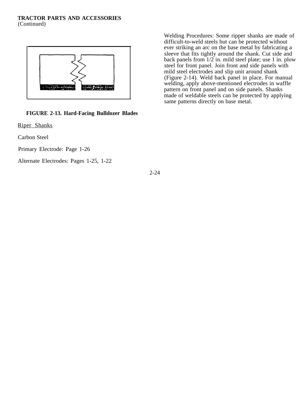

#### **FIGURE 2-13. Hard-Facing Bulldozer Blades**

Riper Shanks

Carbon Steel

Primary Electrode: Page 1-26

Alternate Electrodes: Pages 1-25, 1-22

Welding Procedures: Some ripper shanks are made of difficult-to-weld steels but can be protected without ever striking an arc on the base metal by fabricating a sleeve that fits tightly around the shank. Cut side and back panels from 1/2 in. mild steel plate; use 1 in. plow steel for front panel. Join front and side panels with mild steel electrodes and slip unit around shank (Figure 2-14). Weld back panel in place. For manual welding, apply above-mentioned electrodes in waffle pattern on front panel and on side panels. Shanks made of weldable steels can be protected by applying same patterns directly on base metal.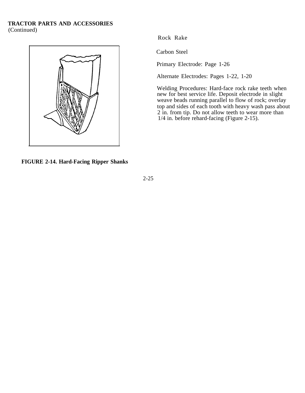

**FIGURE 2-14. Hard-Facing Ripper Shanks**

Rock Rake

Carbon Steel

Primary Electrode: Page 1-26

Alternate Electrodes: Pages 1-22, 1-20

Welding Procedures: Hard-face rock rake teeth when new for best service life. Deposit electrode in slight weave beads running parallel to flow of rock; overlay top and sides of each tooth with heavy wash pass about 2 in. from tip. Do not allow teeth to wear more than 1/4 in. before rehard-facing (Figure 2-15).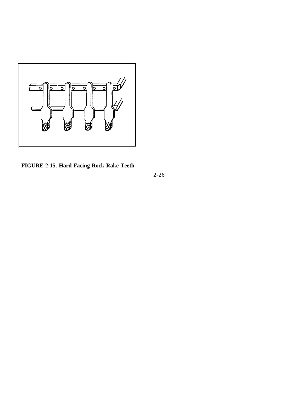

**FIGURE 2-15. Hard-Facing Rock Rake Teeth**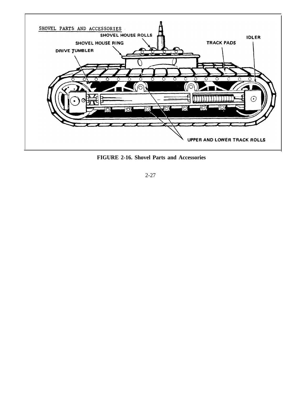

**FIGURE 2-16. Shovel Parts and Accessories**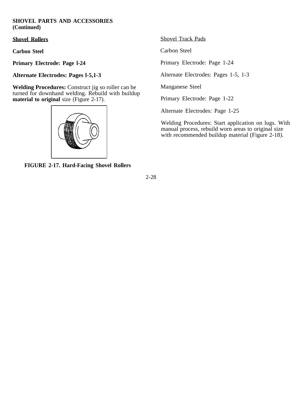#### **Shovel Rollers**

**Carbon Steel**

**Primary Electrode: Page l-24**

**Alternate Electrodes: Pages l-5,1-3**

**Welding Procedures:** Construct jig so roller can be turned for downhand welding. Rebuild with buildup **material to original** size (Figure 2-17).



**FIGURE 2-17. Hard-Facing Shovel Rollers**

#### Shovel Track Pads

Carbon Steel

Primary Electrode: Page 1-24

Alternate Electrodes: Pages 1-5, 1-3

Manganese Steel

Primary Electrode: Page 1-22

Alternate Electrodes: Page 1-25

Welding Procedures: Start application on lugs. With manual process, rebuild worn areas to original size with recommended buildup material (Figure 2-18).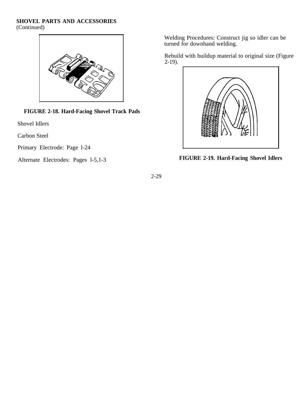

**FIGURE 2-18. Hard-Facing Shovel Track Pads**

Shovel Idlers

Carbon Steel

Primary Electrode: Page l-24

Alternate Electrodes: Pages l-5,1-3

Welding Procedures: Construct jig so idler can be turned for downhand welding.

Rebuild with buildup material to original size (Figure 2-19).



**FIGURE 2-19. Hard-Facing Shovel Idlers**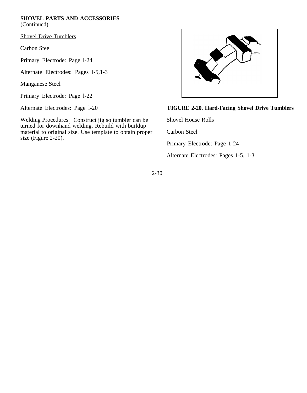Shovel Drive Tumblers

Carbon Steel

Primary Electrode: Page l-24

Alternate Electrodes: Pages l-5,1-3

Manganese Steel

Primary Electrode: Page l-22

Alternate Electrodes: Page l-20

Welding Procedures: Construct jig so tumbler can be turned for downhand welding. Rebuild with buildup material to original size. Use template to obtain proper size (Figure 2-20).





Shovel House Rolls

Carbon Steel

Primary Electrode: Page 1-24

Alternate Electrodes: Pages 1-5, 1-3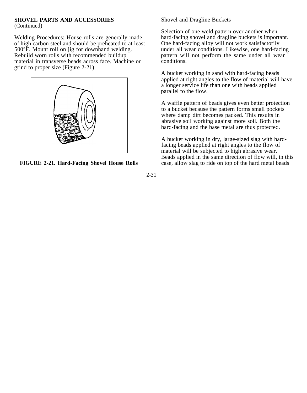#### **SHOVEL PARTS AND ACCESSORIES** Shovel and Dragline Buckets (Continued)

of high carbon steel and should be preheated to at least 500°F. Mount roll on jig for downhand welding. Rebuild worn rolls with recommended buildup material in transverse beads across face. Machine or grind to proper size (Figure 2-21).



**FIGURE 2-21. Hard-Facing Shovel House Rolls**

Selection of one weld pattern over another when Welding Procedures: House rolls are generally made hard-facing shovel and dragline buckets is important.<br>
of high carbon steel and should be preheated to at least One hard-facing alloy will not work satisfactorily under all wear conditions. Likewise, one hard-facing. pattern will not perform the same under all wear conditions.

> A bucket working in sand with hard-facing beads applied at right angles to the flow of material will have a longer service life than one with beads applied parallel to the flow.

A waffle pattern of beads gives even better protection to a bucket because the pattern forms small pockets where damp dirt becomes packed. This results in abrasive soil working against more soil. Both the hard-facing and the base metal are thus protected.

A bucket working in dry, large-sized slag with hardfacing beads applied at right angles to the flow of material will be subjected to high abrasive wear. Beads applied in the same direction of flow will, in this case, allow slag to ride on top of the hard metal beads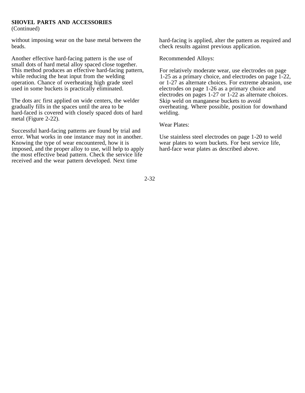# **SHOVEL PARTS AND ACCESSORIES**

(Continued)

without imposing wear on the base metal between the beads.

Another effective hard-facing pattern is the use of small dots of hard metal alloy spaced close together. This method produces an effective hard-facing pattern, while reducing the heat input from the welding operation. Chance of overheating high grade steel used in some buckets is practically eliminated.

The dots arc first applied on wide centers, the welder gradually fills in the spaces until the area to be hard-faced is covered with closely spaced dots of hard metal (Figure 2-22).

Successful hard-facing patterns are found by trial and error. What works in one instance may not in another. Knowing the type of wear encountered, how it is imposed, and the proper alloy to use, will help to apply the most effective bead pattern. Check the service life received and the wear pattern developed. Next time

hard-facing is applied, alter the pattern as required and check results against previous application.

Recommended Alloys:

For relatively moderate wear, use electrodes on page 1-25 as a primary choice, and electrodes on page 1-22, or 1-27 as alternate choices. For extreme abrasion, use electrodes on page 1-26 as a primary choice and electrodes on pages 1-27 or 1-22 as alternate choices. Skip weld on manganese buckets to avoid overheating. Where possible, position for downhand welding.

Wear Plates:

Use stainless steel electrodes on page 1-20 to weld wear plates to worn buckets. For best service life, hard-face wear plates as described above.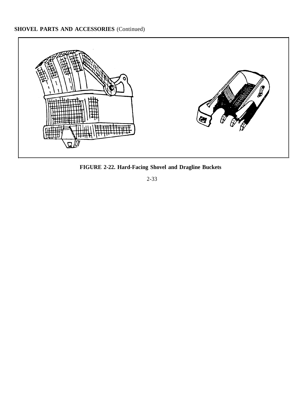**SHOVEL PARTS AND ACCESSORIES** (Continued)



**FIGURE 2-22. Hard-Facing Shovel and Dragline Buckets**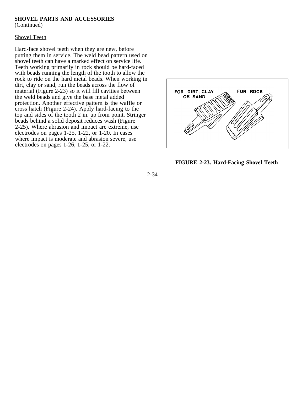#### Shovel Teeth

Hard-face shovel teeth when they are new, before putting them in service. The weld bead pattern used on shovel teeth can have a marked effect on service life. Teeth working primarily in rock should be hard-faced with beads running the length of the tooth to allow the rock to ride on the hard metal beads. When working in dirt, clay or sand, run the beads across the flow of material (Figure 2-23) so it will fill cavities between the weld beads and give the base metal added protection. Another effective pattern is the waffle or cross hatch (Figure 2-24). Apply hard-facing to the top and sides of the tooth 2 in. up from point. Stringer beads behind a solid deposit reduces wash (Figure 2-25). Where abrasion and impact are extreme, use electrodes on pages 1-25, 1-22, or 1-20. In cases where impact is moderate and abrasion severe, use electrodes on pages 1-26, 1-25, or 1-22.



**FIGURE 2-23. Hard-Facing Shovel Teeth**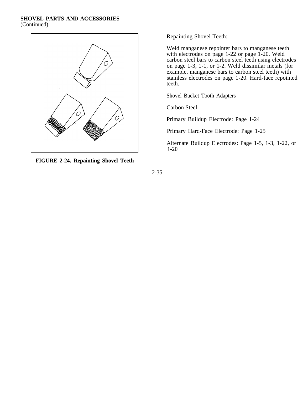

**FIGURE 2-24. Repainting Shovel Teeth**

Repainting Shovel Teeth:

Weld manganese repointer bars to manganese teeth with electrodes on page 1-22 or page 1-20. Weld carbon steel bars to carbon steel teeth using electrodes on page 1-3, 1-1, or 1-2. Weld dissimilar metals (for example, manganese bars to carbon steel teeth) with stainless electrodes on page 1-20. Hard-face repointed teeth.

Shovel Bucket Tooth Adapters

Carbon Steel

Primary Buildup Electrode: Page 1-24

Primary Hard-Face Electrode: Page 1-25

Alternate Buildup Electrodes: Page 1-5, 1-3, 1-22, or 1-20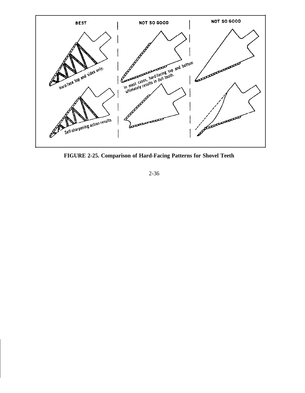

**FIGURE 2-25. Comparison of Hard-Facing Patterns for Shovel Teeth**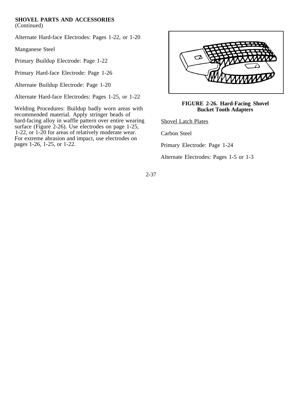Alternate Hard-face Electrodes: Pages 1-22, or 1-20

Manganese Steel

Primary Buildup Electrode: Page 1-22

Primary Hard-face Electrode: Page 1-26

Alternate Buildup Electrode: Page 1-20

Alternate Hard-face Electrodes: Pages 1-25, or 1-22

Welding Procedures: Buildup badly worn areas with **Bucket Tooth Adapters** recommended material. Apply stringer beads of hard-facing alloy in waffle pattern over entire wearing Shovel Latch Plates surface (Figure 2-26). Use electrodes on page 1-25, 1-22, or 1-20 for areas of relatively moderate wear. Carbon Steel For extreme abrasion and impact, use electrodes on pages 1-26, 1-25, or 1-22. Primary Electrode: Page 1-24



# **FIGURE 2-26. Hard-Facing Shovel**

Alternate Electrodes: Pages 1-5 or 1-3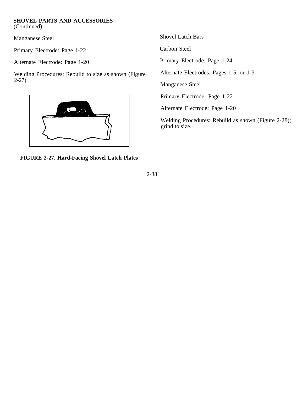Manganese Steel

Primary Electrode: Page 1-22

Alternate Electrode: Page 1-20

Welding Procedures: Rebuild to size as shown (Figure 2-27).



**FIGURE 2-27. Hard-Facing Shovel Latch Plates**

Shovel Latch Bars

Carbon Steel

Primary Electrode: Page 1-24

Alternate Electrodes: Pages 1-5, or 1-3

Manganese Steel

Primary Electrode: Page 1-22

Alternate Electrode: Page 1-20

Welding Procedures: Rebuild as shown (Figure 2-28); grind to size.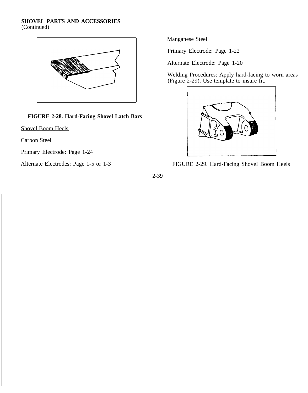

**FIGURE 2-28. Hard-Facing Shovel Latch Bars**

Shovel Boom Heels

Carbon Steel

Primary Electrode: Page 1-24

Alternate Electrodes: Page 1-5 or 1-3

Manganese Steel

Primary Electrode: Page 1-22

Alternate Electrode: Page 1-20

Welding Procedures: Apply hard-facing to worn areas (Figure 2-29). Use template to insure fit.



FIGURE 2-29. Hard-Facing ShoveI Boom Heels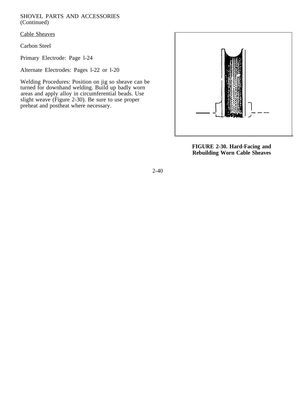Cable Sheaves

Carbon Steel

Primary Electrode: Page l-24

Alternate Electrodes: Pages l-22 or l-20

Welding Procedures: Position on jig so sheave can be turned for downhand welding. Build up badly worn areas and apply alloy in circumferential beads. Use slight weave (Figure 2-30). Be sure to use proper preheat and postheat where necessary.



**FIGURE 2-30. Hard-Facing and Rebuilding Worn Cable Sheaves**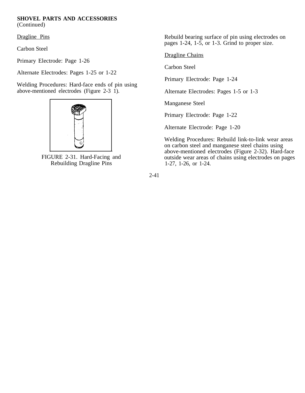Dragline Pins

Carbon Steel

Primary Electrode: Page 1-26

Alternate Electrodes: Pages 1-25 or 1-22

Welding Procedures: Hard-face ends of pin using above-mentioned electrodes (Figure 2-3 1).



FIGURE 2-31. Hard-Facing and Rebuilding Dragline Pins

Rebuild bearing surface of pin using electrodes on pages 1-24, 1-5, or 1-3. Grind to proper size.

Dragline Chains

Carbon Steel

Primary Electrode: Page 1-24

Alternate Electrodes: Pages 1-5 or 1-3

Manganese Steel

Primary Electrode: Page 1-22

Alternate Electrode: Page 1-20

Welding Procedures: Rebuild link-to-link wear areas on carbon steel and manganese steel chains using above-mentioned electrodes (Figure 2-32). Hard-face outside wear areas of chains using electrodes on pages 1-27, 1-26, or 1-24.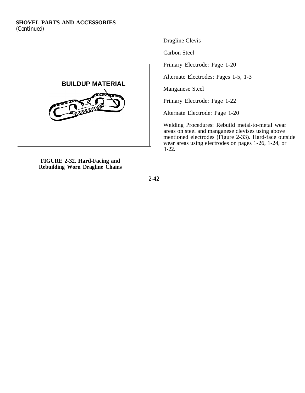

**FIGURE 2-32. Hard-Facing and Rebuilding Worn Dragline Chains** Dragline Clevis

Carbon Steel

Primary Electrode: Page 1-20

Alternate Electrodes: Pages 1-5, 1-3

Manganese Steel

Primary Electrode: Page 1-22

Alternate Electrode: Page 1-20

Welding Procedures: Rebuild metal-to-metal wear areas on steel and manganese clevises using above mentioned electrodes (Figure 2-33). Hard-face outside wear areas using electrodes on pages 1-26, 1-24, or 1-22.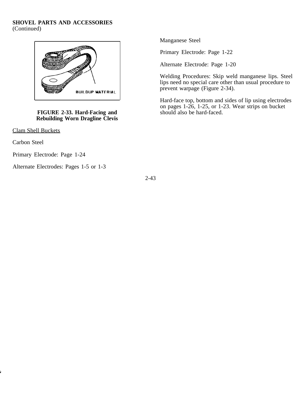**SHOVEL PARTS AND ACCESSORIES** (Continued)



**FIGURE 2-33. Hard-Facing and Rebuilding Worn Dragline Clevis**

Clam Shell Buckets

Carbon Steel

Primary Electrode: Page 1-24

Alternate Electrodes: Pages 1-5 or 1-3

Manganese Steel

Primary Electrode: Page 1-22

Alternate Electrode: Page 1-20

Welding Procedures: Skip weld manganese lips. Steel lips need no special care other than usual procedure to prevent warpage (Figure 2-34).

Hard-face top, bottom and sides of lip using electrodes on pages 1-26, 1-25, or 1-23. Wear strips on bucket should also be hard-faced.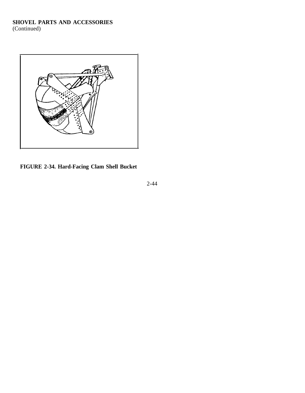## **SHOVEL PARTS AND ACCESSORIES** (Continued)



**FIGURE 2-34. Hard-Facing Clam Shell Bucket**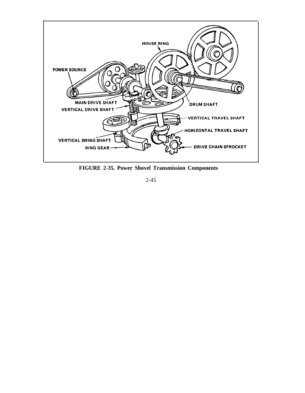

**FIGURE 2-35. Power Shovel Transmission Components**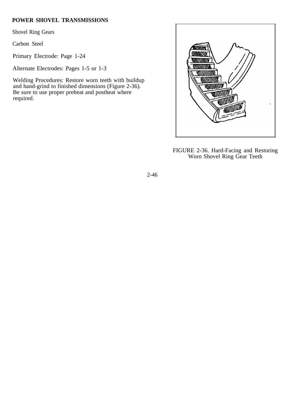## **POWER SHOVEL TRANSMISSIONS**

Shovel Ring Gears

Carbon Steel

Primary Electrode: Page 1-24

Alternate Electrodes: Pages 1-5 or 1-3

Welding Procedures: Restore worn teeth with buildup and hand-grind to finished dimensions (Figure 2-36). Be sure to use proper preheat and postheat where required.



FIGURE 2-36. Hard-Facing and Restoring Worn Shovel Ring Gear Teeth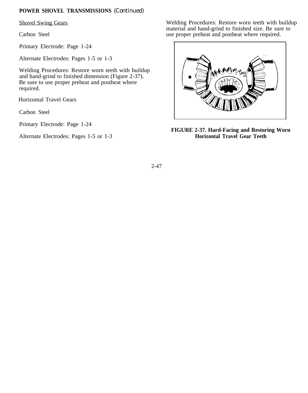# **POWER SHOVEL TRANSMISSIONS** (Continued)

Shovel Swing Gears

Carbon Steel

Primary Electrode: Page 1-24

Alternate Electrodes: Pages 1-5 or 1-3

Welding Procedures: Restore worn teeth with buildup and hand-grind to finished dimension (Figure 2-37). Be sure to use proper preheat and postheat where required.

Horizontal Travel Gears

Carbon Steel

Primary Electrode: Page 1-24

Alternate Electrodes: Pages 1-5 or 1-3

Welding Procedures: Restore worn teeth with buildup material and hand-grind to finished size. Be sure to use proper preheat and postheat where required.



**FIGURE 2-37. Hard-Facing and Restoring Worn Horizontal Travel Gear Teeth**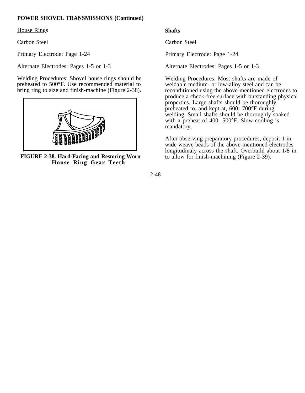## **POWER SHOVEL TRANSMISSIONS (Continued)**

House Rings

Carbon Steel

Primary Electrode: Page 1-24

Alternate Electrodes: Pages 1-5 or 1-3

Welding Procedures: Shovel house rings should be preheated to 500°F. Use recommended material to bring ring to size and finish-machine (Figure 2-38).



**FIGURE 2-38. Hard-Facing and Restoring Worn House Ring Gear Teeth**

# **Shafts**

Carbon Steel

Primary Electrode: Page 1-24

Alternate Electrodes: Pages 1-5 or 1-3

Welding Procedures: Most shafts are made of weldable medium- or low-alloy steel and can be reconditioned using the above-mentioned electrodes to produce a check-free surface with outstanding physical properties. Large shafts should be thoroughly preheated to, and kept at, 600- 700°F during welding. Small shafts should be thoroughly soaked with a preheat of 400- 500°F. Slow cooling is mandatory.

After observing preparatory procedures, deposit 1 in. wide weave beads of the above-mentioned electrodes longitudinaly across the shaft. Overbuild about 1/8 in. to allow for finish-machining (Figure 2-39).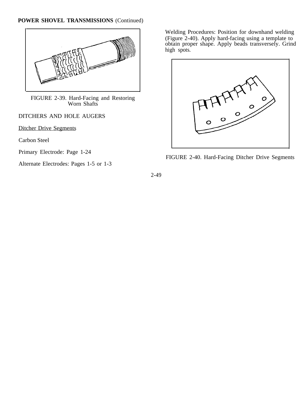**POWER SHOVEL TRANSMISSIONS** (Continued)



FIGURE 2-39. Hard-Facing and Restoring Worn Shafts

DITCHERS AND HOLE AUGERS

Ditcher Drive Segments

Carbon Steel

Primary Electrode: Page 1-24

Alternate Electrodes: Pages 1-5 or 1-3

Welding Procedures: Position for downhand welding (Figure 2-40). Apply hard-facing using a template to obtain proper shape. Apply beads transversely. Grind high spots.



FIGURE 2-40. Hard-Facing Ditcher Drive Segments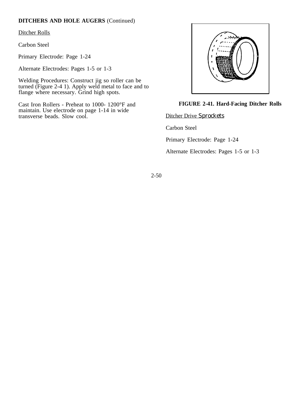## **DITCHERS AND HOLE AUGERS** (Continued)

Ditcher Rolls

Carbon Steel

Primary Electrode: Page 1-24

Alternate Electrodes: Pages 1-5 or 1-3

Welding Procedures: Construct jig so roller can be turned (Figure 2-4 1). Apply weld metal to face and to flange where necessary. Grind high spots.

Cast Iron Rollers - Preheat to 1000- 1200°F and maintain. Use electrode on page 1-14 in wide transverse beads. Slow cool.



**FIGURE 2-41. Hard-Facing Ditcher Rolls**

Ditcher Drive Sprockets

Carbon Steel

Primary Electrode: Page 1-24

Alternate Electrodes: Pages 1-5 or 1-3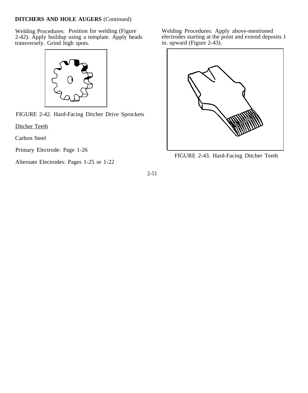## **DITCHERS AND HOLE AUGERS** (Continued)

Welding Procedures: Position for welding (Figure Welding Procedures: Apply above-mentioned 2-42). Apply buildup using a template. Apply beads electrodes starting at the point and extend deposits 1 2-42). Apply buildup using a template. Apply beads electrodes starting at the p<br>transversely. Grind high spots. <br>in. upward (Figure 2-43). transversely. Grind high spots.



FIGURE 2-42. Hard-Facing Ditcher Drive Sprockets

Ditcher Teeth

Carbon Steel

Primary Electrode: Page 1-26

Alternate Electrodes: Pages 1-25 or 1-22



FIGURE 2-43. Hard-Facing Ditcher Teeth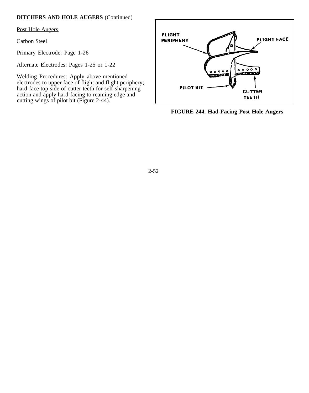# **DITCHERS AND HOLE AUGERS** (Continued)

Post Hole Augers

Carbon Steel

Primary Electrode: Page 1-26

Alternate Electrodes: Pages 1-25 or 1-22

Welding Procedures: Apply above-mentioned electrodes to upper face of flight and flight periphery; hard-face top side of cutter teeth for self-sharpening action and apply hard-facing to reaming edge and cutting wings of pilot bit (Figure 2-44).



**FIGURE 244. Had-Facing Post Hole Augers**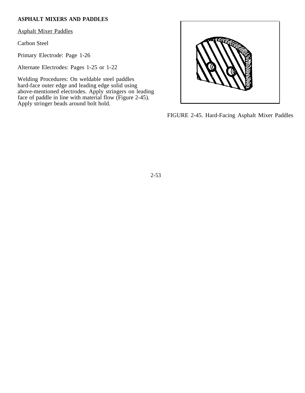# **ASPHALT MIXERS AND PADDLES**

Asphalt Mixer Paddles

Carbon Steel

Primary Electrode: Page 1-26

Alternate Electrodes: Pages 1-25 or 1-22

Welding Procedures: On weldable steel paddles hard-face outer edge and leading edge solid using above-mentioned electrodes. Apply stringers on leading face of paddle in line with material flow (Figure 2-45). Apply stringer beads around bolt hold.



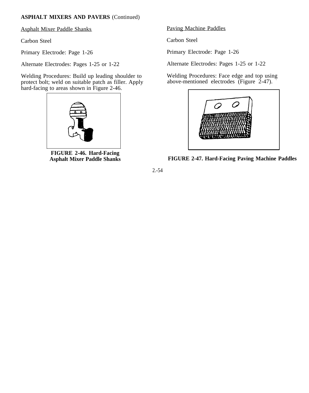Asphalt Mixer Paddle Shanks

Carbon Steel

Primary Electrode: Page 1-26

Alternate Electrodes: Pages 1-25 or 1-22

Welding Procedures: Build up leading shoulder to protect bolt; weld on suitable patch as filler. Apply hard-facing to areas shown in Figure 2-46.



**FIGURE 2-46. Hard-Facing Asphalt Mixer Paddle Shanks**

Paving Machine Paddles

Carbon Steel

Primary Electrode: Page 1-26

Alternate Electrodes: Pages 1-25 or 1-22

Welding Procedures: Face edge and top using above-mentioned electrodes (Figure  $2-47$ ).



**FIGURE 2-47. Hard-Facing Paving Machine Paddles**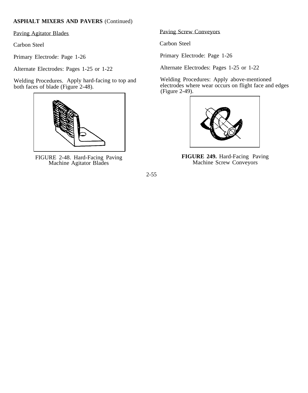Primary Electrode: Page 1-26 Primary Electrode: Page 1-26

Alternate Electrodes: Pages 1-25 or 1-22 Alternate Electrodes: Pages 1-25 or 1-22

Welding Procedures. Apply hard-facing to top and Welding Procedures: Apply above-mentioned both faces of blade (Figure 2-48).



FIGURE 2-48. Hard-Facing Paving Machine Agitator Blades

Paving Agitator Blades Paving Screw Conveyors

Carbon Steel Carbon Steel

electrodes where wear occurs on flight face and edges (Figure 2-49).



**FIGURE 249.** Hard-Facing Paving Machine Screw Conveyors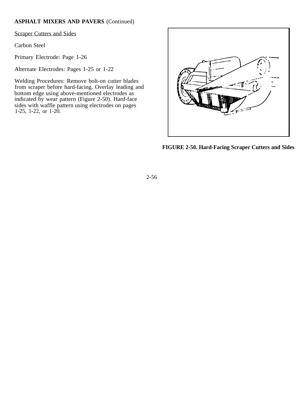Scraper Cutters and Sides

Carbon Steel

Primary Electrode: Page 1-26

Alternate Electrodes: Pages 1-25 or 1-22

Welding Procedures: Remove bolt-on cutter blades from scraper before hard-facing. Overlay leading and bottom edge using above-mentioned electrodes as indicated by wear pattern (Figure 2-50). Hard-face sides with waffle pattern using electrodes on pages 1-25, 1-22, or 1-20.



**FIGURE 2-50. Hard-Facing Scraper Cutters and Sides**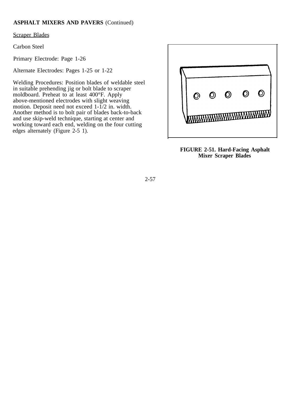Scraper Blades

Carbon Steel

Primary Electrode: Page 1-26

Alternate Electrodes: Pages 1-25 or 1-22

Welding Procedures: Position blades of weldable steel in suitable prehending jig or bolt blade to scraper moldboard. Preheat to at least 400°F. Apply above-mentioned electrodes with slight weaving motion. Deposit need not exceed 1-1/2 in. width. Another method is to bolt pair of blades back-to-back and use skip-weld technique, starting at center and working toward each end, welding on the four cutting edges alternately (Figure 2-5 1).



**FIGURE 2-51. Hard-Facing Asphalt Mixer Scraper Blades**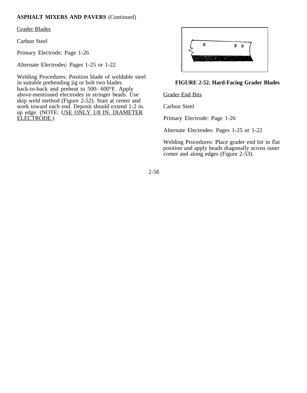#### Grader Blades

Carbon Steel

Primary Electrode: Page 1-26

Alternate Electrodes: Pages 1-25 or 1-22

Welding Procedures: Position blade of weldable steel in suitable prehending jig or bolt two blades back-to-back and preheat to 500- 600°F. Apply above-mentioned electrodes in stringer beads. Use skip weld method (Figure 2-52). Start at center and work toward each end. Deposit should extend 1-2 in. up edge. (NOTE: USE ONLY 1/8 IN. DIAMETER ELECTRODE.)



## **FIGURE 2-52. Hard-Facing Grader Blades**

Grader End Bits

Carbon Steel

Primary Electrode: Page 1-26

Alternate Electrodes: Pages 1-25 or 1-22

Welding Procedures: Place grader end bit in flat position and apply beads diagonally across outer comer and along edges (Figure 2-53).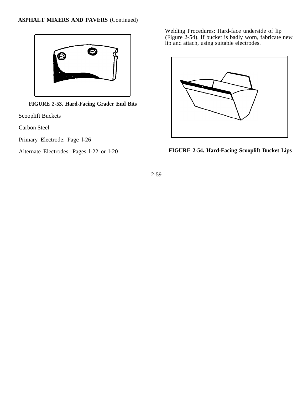

**FIGURE 2-53. Hard-Facing Grader End Bits**

Scooplift Buckets

Carbon Steel

Primary Electrode: Page l-26

Alternate Electrodes: Pages l-22 or l-20

Welding Procedures: Hard-face underside of lip (Figure 2-54). If bucket is badly worn, fabricate new lip and attach, using suitable electrodes.



#### **FIGURE 2-54. Hard-Facing Scooplift Bucket Lips**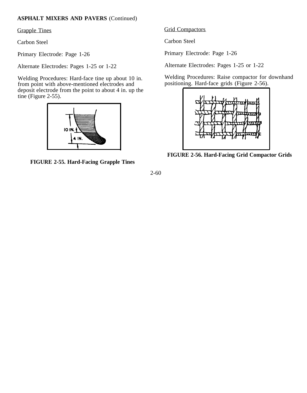Grapple Tines

Carbon Steel

Primary Electrode: Page 1-26

Alternate Electrodes: Pages 1-25 or 1-22

Welding Procedures: Hard-face tine up about 10 in. from point with above-mentioned electrodes and deposit electrode from the point to about 4 in. up the tine (Figure 2-55).



**FIGURE 2-55. Hard-Facing Grapple Tines**

## Grid Compactors

Carbon Steel

Primary Electrode: Page 1-26

Alternate Electrodes: Pages 1-25 or 1-22

Welding Procedures: Raise compactor for downhand positioning. Hard-face grids (Figure 2-56).



**FIGURE 2-56. Hard-Facing Grid Compactor Grids**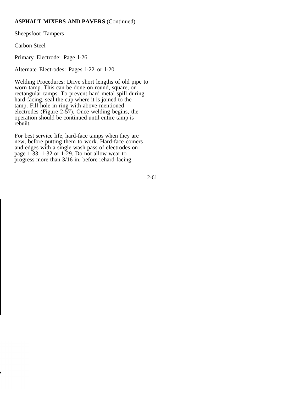Sheepsfoot Tampers

Carbon Steel

Primary Electrode: Page l-26

Alternate Electrodes: Pages l-22 or l-20

Welding Procedures: Drive short lengths of old pipe to worn tamp. This can be done on round, square, or rectangular tamps. To prevent hard metal spill during hard-facing, seal the cup where it is joined to the tamp. Fill hole in ring with above-mentioned electrodes (Figure 2-57). Once welding begins, the operation should be continued until entire tamp is rebuilt.

For best service life, hard-face tamps when they are new, before putting them to work. Hard-face comers and edges with a single wash pass of electrodes on page 1-33, 1-32 or 1-29. Do not allow wear to progress more than 3/16 in. before rehard-facing.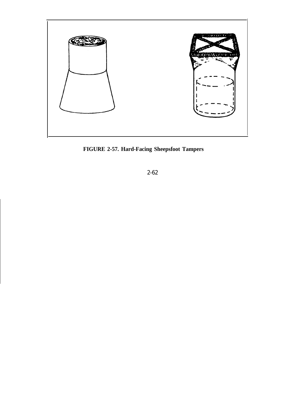

**FIGURE 2-57. Hard-Facing Sheepsfoot Tampers**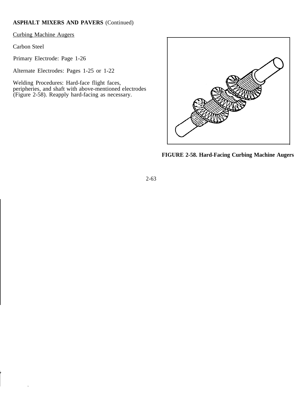Curbing Machine Augers

Carbon Steel

Primary Electrode: Page 1-26

Alternate Electrodes: Pages 1-25 or 1-22

Welding Procedures: Hard-face flight faces, peripheries, and shaft with above-mentioned electrodes (Figure 2-58). Reapply hard-facing as necessary.



**FIGURE 2-58. Hard-Facing Curbing Machine Augers**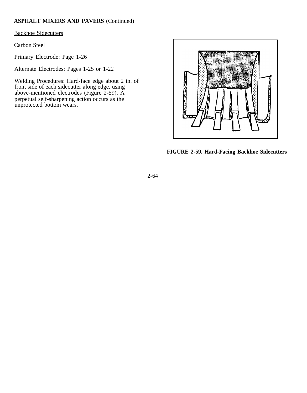Backhoe Sidecutters

Carbon Steel

Primary Electrode: Page 1-26

Alternate Electrodes: Pages 1-25 or 1-22

Welding Procedures: Hard-face edge about 2 in. of front side of each sidecutter along edge, using above-mentioned electrodes (Figure 2-59). A perpetual self-sharpening action occurs as the unprotected bottom wears.



**FIGURE 2-59. Hard-Facing Backhoe Sidecutters**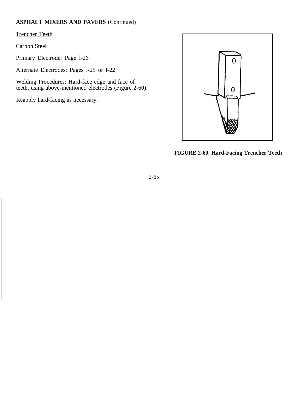Trencher Teeth

Carbon Steel

Primary Electrode: Page l-26

Alternate Electrodes: Pages l-25 or l-22

Welding Procedures: Hard-face edge and face of teeth, using above-mentioned electrodes (Figure 2-60).

Reapply hard-facing as necessary.



**FIGURE 2-60. Hard-Facing Trencher Teeth**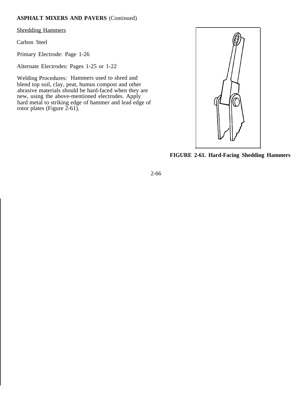Shredding Hammers

Carbon Steel

Primary Electrode: Page 1-26

Alternate Electrodes: Pages 1-25 or 1-22

Welding Procedures: Hammers used to shred and blend top soil, clay, peat, humus compost and other abrasive materials should be hard-faced when they are new, using the above-mentioned electrodes. Apply hard metal to striking edge of hammer and lead edge of rotor plates (Figure  $2-61$ ).



**FIGURE 2-61. Hard-Facing Shedding Hammers**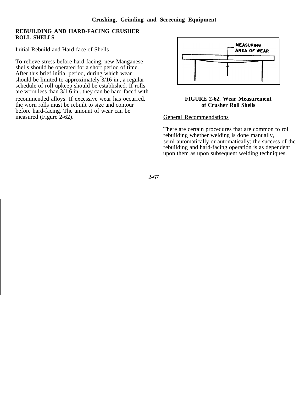#### **REBUILDING AND HARD-FACING CRUSHER ROLL SHELLS**

Initial Rebuild and Hard-face of Shells

To relieve stress before hard-facing, new Manganese shells should be operated for a short period of time. After this brief initial period, during which wear should be limited to approximately 3/16 in., a regular schedule of roll upkeep should be established. If rolls are worn less than 3/1 6 in.. they can be hard-faced with recommended alloys. If excessive wear has occurred, **FIGURE 2-62. Wear Measurement** the worn rolls must be rebuilt to size and contour **of Crusher Roll Shells** before hard-facing. The amount of wear can be measured (Figure 2-62). General Recommendations



There are certain procedures that are common to roll rebuilding whether welding is done manually, semi-automatically or automatically; the success of the rebuilding and hard-facing operation is as dependent upon them as upon subsequent welding techniques.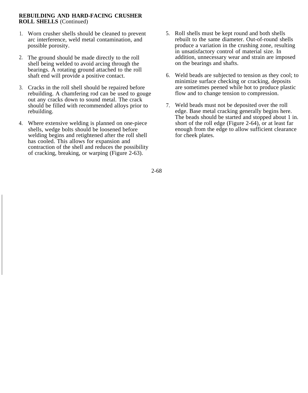- 1. Worn crusher shells should be cleaned to prevent arc interference, weld metal contamination, and possible porosity.
- 2. The ground should be made directly to the roll shell being welded to avoid arcing through the bearings. A rotating ground attached to the roll shaft end will provide a positive contact.
- 3. Cracks in the roll shell should be repaired before rebuilding. A chamfering rod can be used to gouge out any cracks down to sound metal. The crack should be filled with recommended alloys prior to rebuilding.
- 4. Where extensive welding is planned on one-piece shells, wedge bolts should be loosened before welding begins and retightened after the roll shell has cooled. This allows for expansion and contraction of the shell and reduces the possibility of cracking, breaking, or warping (Figure 2-63).
- 5. Roll shells must be kept round and both shells rebuilt to the same diameter. Out-of-round shells produce a variation in the crushing zone, resulting in unsatisfactory control of material size. In addition, unnecessary wear and strain are imposed on the bearings and shafts.
- 6. Weld beads are subjected to tension as they cool; to minimize surface checking or cracking, deposits are sometimes peened while hot to produce plastic flow and to change tension to compression.
- 7. Weld beads must not be deposited over the roll edge. Base metal cracking generally begins here. The beads should be started and stopped about 1 in. short of the roll edge (Figure 2-64), or at least far enough from the edge to allow sufficient clearance for cheek plates.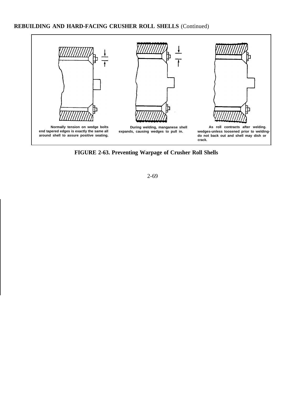

**FIGURE 2-63. Preventing Warpage of Crusher Roll Shells**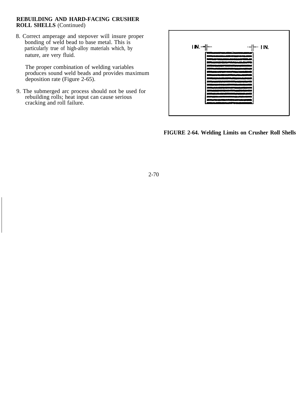8. Correct amperage and stepover will insure proper bonding of weld bead to base metal. This is particularly true of high-alloy materials which, by nature, are very fluid.

The proper combination of welding variables produces sound weld beads and provides maximum deposition rate (Figure 2-65).

9. The submerged arc process should not be used for rebuilding rolls; heat input can cause serious cracking and roll failure.



**FIGURE 2-64. Welding Limits on Crusher Roll Shells**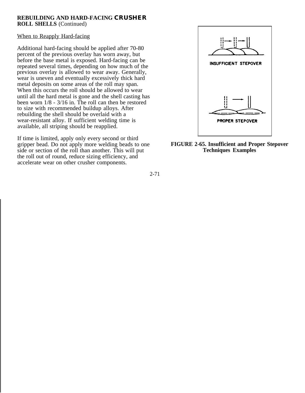### When to Reapply Hard-facing

Additional hard-facing should be applied after 70-80 percent of the previous overlay has worn away, but before the base metal is exposed. Hard-facing can be repeated several times, depending on how much of the previous overlay is allowed to wear away. Generally, wear is uneven and eventually excessively thick hard metal deposits on some areas of the roll may span. When this occurs the roll should be allowed to wear until all the hard metal is gone and the shell casting has been worn 1/8 - 3/16 in. The roll can then be restored to size with recommended buildup alloys. After rebuilding the shell should be overlaid with a wear-resistant alloy. If sufficient welding time is available, all striping should be reapplied.

If time is limited, apply only every second or third gripper bead. Do not apply more welding beads to one side or section of the roll than another. This will put the roll out of round, reduce sizing efficiency, and accelerate wear on other crusher components.



**FIGURE 2-65. Insufficient and Proper Stepover Techniques Examples**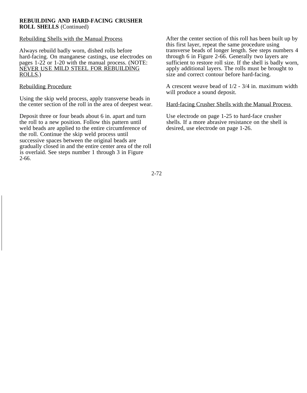#### Rebuilding Shells with the Manual Process

Always rebuild badly worn, dished rolls before hard-facing. On manganese castings, use electrodes on pages 1-22 or 1-20 with the manual process. (NOTE: NEVER USE MILD STEEL FOR REBUILDING ROLLS.)

#### Rebuilding Procedure

Using the skip weld process, apply transverse beads in the center section of the roll in the area of deepest wear.

Deposit three or four beads about 6 in. apart and turn the roll to a new position. Follow this pattern until weld beads are applied to the entire circumference of the roll. Continue the skip weld process until successive spaces between the original beads are gradually closed in and the entire center area of the roll is overlaid. See steps number 1 through 3 in Figure 2-66.

After the center section of this roll has been built up by this first layer, repeat the same procedure using transverse beads of longer length. See steps numbers 4 through 6 in Figure 2-66. Generally two layers are sufficient to restore roll size. If the shell is badly worn, apply additional layers. The rolls must be brought to size and correct contour before hard-facing.

A crescent weave bead of 1/2 - 3/4 in. maximum width will produce a sound deposit.

## Hard-facing Crusher Shells with the Manual Process

Use electrode on page 1-25 to hard-face crusher shells. If a more abrasive resistance on the shell is desired, use electrode on page 1-26.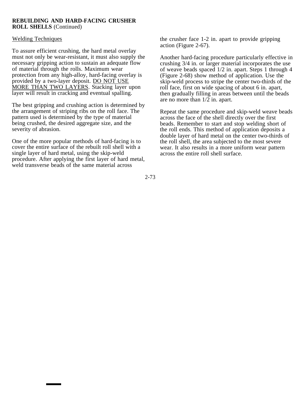## Welding Techniques

To assure efficient crushing, the hard metal overlay must not only be wear-resistant, it must also supply the necessary gripping action to sustain an adequate flow of material through the rolls. Maximum wear protection from any high-alloy, hard-facing overlay is provided by a two-layer deposit. DO NOT USE MORE THAN TWO LAYERS. Stacking layer upon layer will result in cracking and eventual spalling.

The best gripping and crushing action is determined by the arrangement of striping ribs on the roll face. The pattern used is determined by the type of material being crushed, the desired aggregate size, and the severity of abrasion.

One of the more popular methods of hard-facing is to cover the entire surface of the rebuilt roll shell with a single layer of hard metal, using the skip-weld procedure. After applying the first layer of hard metal, weld transverse beads of the same material across

the crusher face 1-2 in. apart to provide gripping action (Figure 2-67).

Another hard-facing procedure particularly effective in crushing 3/4 in. or larger material incorporates the use of weave beads spaced 1/2 in. apart. Steps 1 through 4 (Figure 2-68) show method of application. Use the skip-weld process to stripe the center two-thirds of the roll face, first on wide spacing of about 6 in. apart, then gradually filling in areas between until the beads are no more than 1/2 in. apart.

Repeat the same procedure and skip-weld weave beads across the face of the shell directly over the first beads. Remember to start and stop welding short of the roll ends. This method of application deposits a double layer of hard metal on the center two-thirds of the roll shell, the area subjected to the most severe wear. It also results in a more uniform wear pattern across the entire roll shell surface.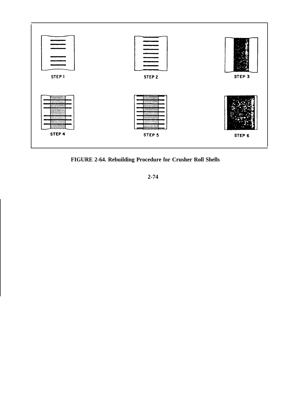

**FIGURE 2-64. Rebuilding Procedure for Crusher Roll Shells**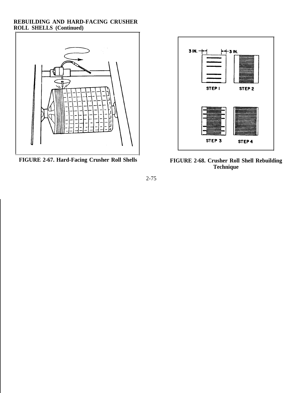**REBUILDING AND HARD-FACING CRUSHER ROLL SHELLS (Continued)**



**FIGURE 2-67. Hard-Facing Crusher Roll Shells FIGURE 2-68. Crusher Roll Shell Rebuilding**



**Technique**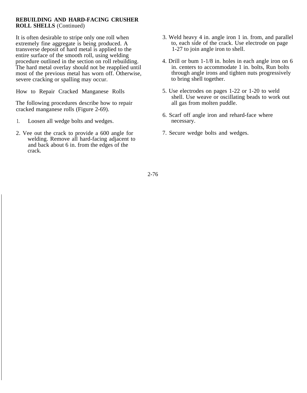It is often desirable to stripe only one roll when extremely fine aggregate is being produced. A transverse deposit of hard metal is applied to the entire surface of the smooth roll, using welding procedure outlined in the section on roll rebuilding. The hard metal overlay should not be reapplied until most of the previous metal has worn off. Otherwise, severe cracking or spalling may occur.

How to Repair Cracked Manganese Rolls

The following procedures describe how to repair cracked manganese rolls (Figure 2-69).

- 1. Loosen all wedge bolts and wedges.
- 2. Vee out the crack to provide a 600 angle for welding. Remove all hard-facing adjacent to and back about 6 in. from the edges of the crack.
- 3. Weld heavy 4 in. angle iron 1 in. from, and parallel to, each side of the crack. Use electrode on page 1-27 to join angle iron to shell.
- 4. Drill or bum 1-1/8 in. holes in each angle iron on 6 in. centers to accommodate 1 in. bolts, Run bolts through angle irons and tighten nuts progressively to bring shell together.
- 5. Use electrodes on pages 1-22 or 1-20 to weld shell. Use weave or oscillating beads to work out all gas from molten puddle.
- 6. Scarf off angle iron and rehard-face where necessary.
- 7. Secure wedge bolts and wedges.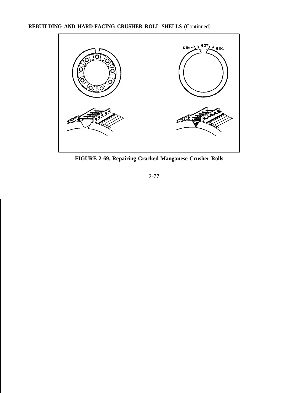



**FIGURE 2-69. Repairing Cracked Manganese Crusher Rolls**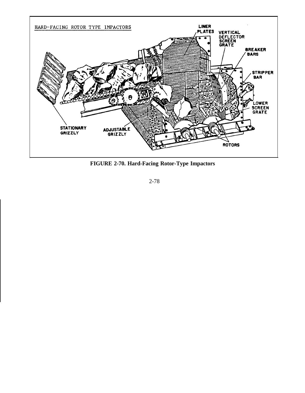

**FIGURE 2-70. Hard-Facing Rotor-Type Impactors**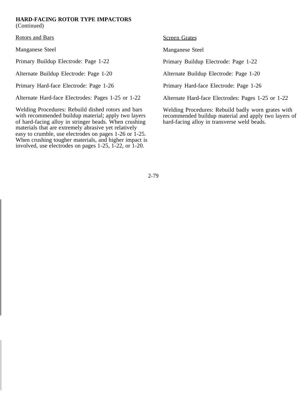#### **HARD-FACING ROTOR TYPE IMPACTORS** (Continued)

Rotors and Bars

Manganese Steel

Primary Buildup Electrode: Page 1-22

Alternate Buildup Electrode: Page 1-20

Primary Hard-face Electrode: Page 1-26

Alternate Hard-face Electrodes: Pages 1-25 or 1-22

Welding Procedures: Rebuild dished rotors and bars with recommended buildup material; apply two layers of hard-facing alloy in stringer beads. When crushing materials that are extremely abrasive yet relatively easy to crumble, use electrodes on pages 1-26 or 1-25. When crushing tougher materials, and higher impact is involved, use electrodes on pages 1-25, 1-22, or 1-20.

#### Screen Grates

Manganese Steel

Primary Buildup Electrode: Page 1-22

Alternate Buildup Electrode: Page 1-20

Primary Hard-face Electrode: Page 1-26

Alternate Hard-face Electrodes: Pages 1-25 or 1-22

Welding Procedures: Rebuild badly worn grates with recommended buildup material and apply two layers of hard-facing alloy in transverse weld beads.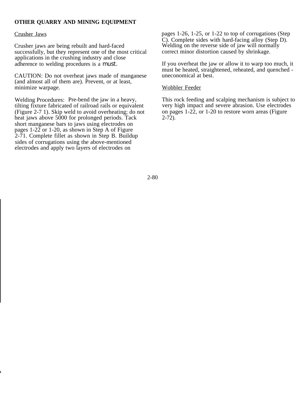# **OTHER QUARRY AND MINING EQUIPMENT**

# Crusher Jaws

Crusher jaws are being rebuilt and hard-faced successfully, but they represent one of the most critical applications in the crushing industry and close adherence to welding procedures is a must.

CAUTION: Do not overheat jaws made of manganese (and almost all of them are). Prevent, or at least, minimize warpage.

Welding Procedures: Pre-bend the jaw in a heavy, tilting fixture fabricated of railroad rails or equivalent (Figure 2-7 1). Skip weld to avoid overheating; do not heat jaws above 5000 for prolonged periods. Tack short manganese bars to jaws using electrodes on pages 1-22 or 1-20, as shown in Step A of Figure 2-71. Complete fillet as shown in Step B. Buildup sides of corrugations using the above-mentioned electrodes and apply two layers of electrodes on

pages 1-26, 1-25, or 1-22 to top of corrugations (Step C). Complete sides with hard-facing alloy (Step D). Welding on the reverse side of jaw will normally correct minor distortion caused by shrinkage.

If you overheat the jaw or allow it to warp too much, it must be heated, straightened, reheated, and quenched uneconomical at best.

## Wobbler Feeder

This rock feeding and scalping mechanism is subject to very high impact and severe abrasion. Use electrodes on pages 1-22, or 1-20 to restore worn areas (Figure 2-72).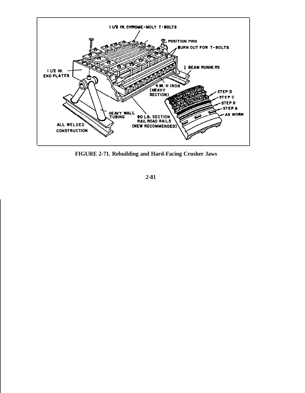

**FIGURE 2-71. Rebuilding and Hard-Facing Crusher Jaws**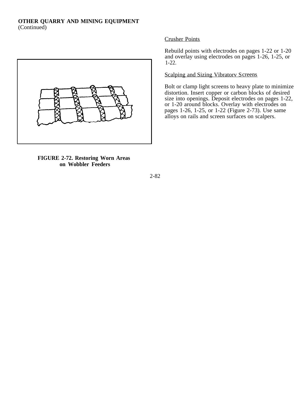

**FIGURE 2-72. Restoring Worn Areas on Wobbler Feeders**

#### Crusher Points

Rebuild points with electrodes on pages 1-22 or 1-20 and overlay using electrodes on pages 1-26, 1-25, or 1-22.

#### Scalping and Sizing Vibratorv Screens

Bolt or clamp light screens to heavy plate to minimize distortion. Insert copper or carbon blocks of desired size into openings. Deposit electrodes on pages 1-22, or 1-20 around blocks. Overlay with electrodes on pages 1-26, 1-25, or 1-22 (Figure 2-73). Use same alloys on rails and screen surfaces on scalpers.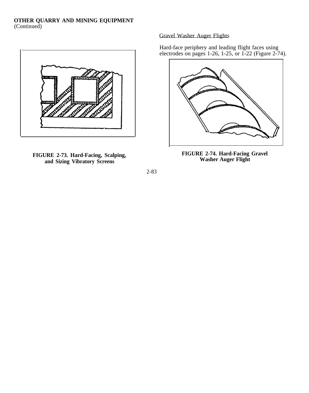

**FIGURE 2-73. Hard-Facing, Scalping, and Sizing Vibratory Screens**

#### Gravel Washer Auger Flights

Hard-face periphery and leading flight faces using electrodes on pages 1-26, 1-25, or 1-22 (Figure 2-74).



**FIGURE 2-74. Hard-Facing Gravel Washer Auger Flight**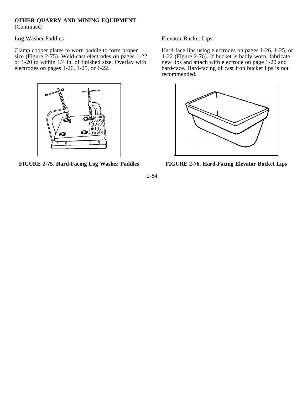#### Log Washer Paddles

Clamp copper plates to worn paddle to form proper size (Figure 2-75). Weld-cast electrodes on pages 1-22 or 1-20 to within 1/4 in. of finished size. Overlay with electrodes on pages 1-26, 1-25, or 1-22.



**FIGURE 2-75. Hard-Facing Log Washer Paddles**

#### Elevator Bucket Lips

Hard-face lips using electrodes on pages 1-26, 1-25, or 1-22 (Figure 2-76). If bucket is badly worn, fabricate new lips and attach with electrode on page 1-20 and hard-face. Hard-facing of cast iron bucket lips is not recommended.



**FIGURE 2-76. Hard-Facing Elevator Bucket Lips**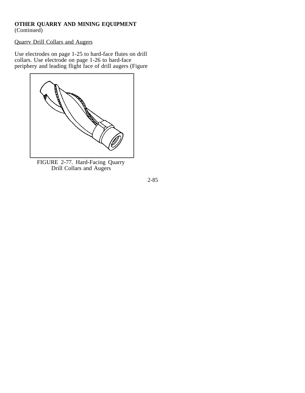# Quarrv Drill Collars and Augers

Use electrodes on page 1-25 to hard-face flutes on drill collars. Use electrode on page 1-26 to hard-face periphery and leading flight face of drill augers (Figure



FIGURE 2-77. Hard-Facing Quarry Drill Collars and Augers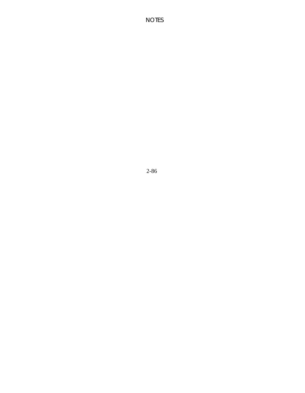# NOTES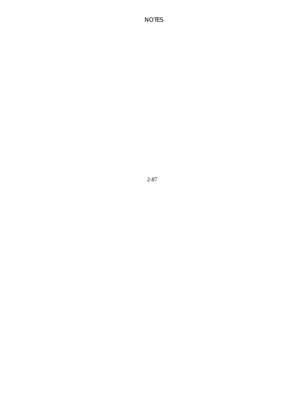# NOTES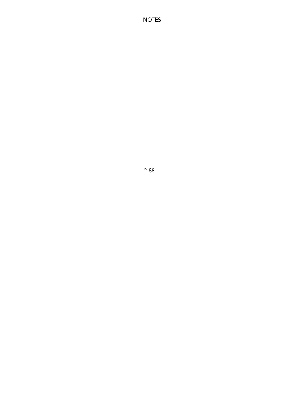# NOTES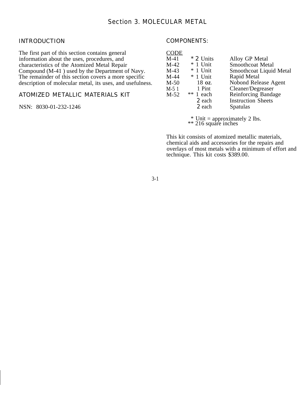# Section 3. MOLECULAR METAL

# INTRODUCTION COMPONENTS:

The first part of this section contains general information about the uses, procedures, and characteristics of the Atomized Metal Repair Compound (M-41 ) used by the Department of Navy. The remainder of this section covers a more specific description of molecular metal, its uses, and usefulness.

# ATOMIZED METALLIC MATERIALS KIT

NSN: 8030-01-232-1246

| <u>CODE</u> |           |                           |
|-------------|-----------|---------------------------|
| M-41        | * 2 Units | Alloy GP Metal            |
| M-42        | * 1 Unit  | <b>Smoothcoat Metal</b>   |
| M-43        | * 1 Unit  | Smoothcoat Liquid Metal   |
| M-44        | * 1 Unit  | Rapid Metal               |
| M-50        | $18$ oz.  | Nobond Release Agent      |
| $M-51$      | 1 Pint    | Cleaner/Degreaser         |
| M-52        | ** 1 each | Reinforcing Bandage       |
|             | 2 each    | <b>Instruction Sheets</b> |
|             | 2 each    | <b>Spatulas</b>           |
|             |           |                           |

 $*$  Unit = approximately 2 lbs. \*\* 216 square inches

This kit consists of atomized metallic materials, chemical aids and accessories for the repairs and overlays of most metals with a minimum of effort and technique. This kit costs \$389.00.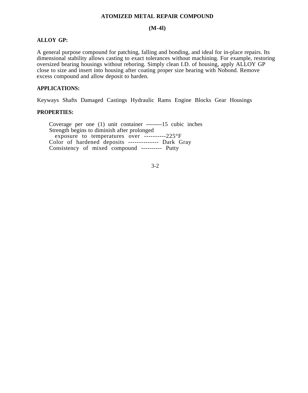#### **ATOMIZED METAL REPAIR COMPOUND**

**(M-4l)**

## **ALLOY GP:**

A general purpose compound for patching, falling and bonding, and ideal for in-place repairs. Its dimensional stability allows casting to exact tolerances without machining. For example, restoring oversized bearing housings without reboring. Simply clean I.D. of housing, apply ALLOY GP close to size and insert into housing after coating proper size bearing with Nobond. Remove excess compound and allow deposit to harden.

#### **APPLICATIONS:**

Keyways Shafts Damaged Castings Hydraulic Rams Engine Blocks Gear Housings

#### **PROPERTIES:**

Coverage per one (1) unit container --------15 cubic inches Strength begins to diminish after prolonged exposure to temperatures over ----------225°F Color of hardened deposits -------------- Dark Gray Consistency of mixed compound ---------- Putty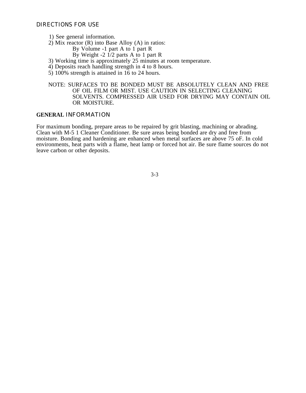# DIRECTIONS FOR USE

1) See general information.

- 2) Mix reactor (R) into Base Alloy (A) in ratios:
	- By Volume -1 part A to 1 part R
	- By Weight -2 1/2 parts A to 1 part R
- 3) Working time is approximately 25 minutes at room temperature.
- 4) Deposits reach handling strength in 4 to 8 hours.
- 5) 100% strength is attained in 16 to 24 hours.

NOTE: SURFACES TO BE BONDED MUST BE ABSOLUTELY CLEAN AND FREE OF OIL FILM OR MIST. USE CAUTION IN SELECTING CLEANING SOLVENTS. COMPRESSED AIR USED FOR DRYING MAY CONTAIN OIL OR MOISTURE.

# **GENERAL** INFORMATION

For maximum bonding, prepare areas to be repaired by grit blasting, machining or abrading. Clean with M-5 1 Cleaner Conditioner. Be sure areas being bonded are dry and free from moisture. Bonding and hardening are enhanced when metal surfaces are above 75 oF. In cold environments, heat parts with a flame, heat lamp or forced hot air. Be sure flame sources do not leave carbon or other deposits.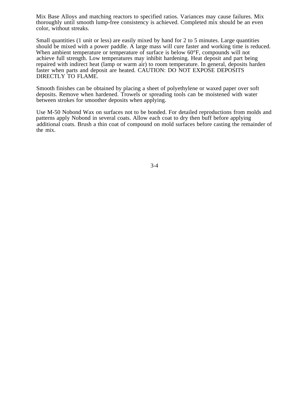Mix Base Alloys and matching reactors to specified ratios. Variances may cause failures. Mix thoroughly until smooth lump-free consistency is achieved. Completed mix should be an even color, without streaks.

Small quantities (1 unit or less) are easily mixed by hand for 2 to 5 minutes. Large quantities should be mixed with a power paddle. A large mass will cure faster and working time is reduced. When ambient temperature or temperature of surface is below 60°F, compounds will not achieve full strength. Low temperatures may inhibit hardening. Heat deposit and part being repaired with indirect heat (lamp or warm air) to room temperature. In general, deposits harden faster when parts and deposit are heated. CAUTION: DO NOT EXPOSE DEPOSITS DIRECTLY TO FLAME.

Smooth finishes can be obtained by placing a sheet of polyethylene or waxed paper over soft deposits. Remove when hardened. Trowels or spreading tools can be moistened with water between strokes for smoother deposits when applying.

Use M-50 Nobond Wax on surfaces not to be bonded. For detailed reproductions from molds and patterns apply Nobond in several coats. Allow each coat to dry then buff before applying additional coats. Brush a thin coat of compound on mold surfaces before casting the remainder of the mix.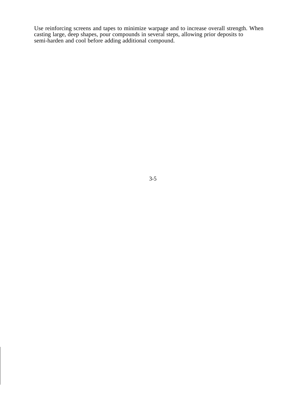Use reinforcing screens and tapes to minimize warpage and to increase overall strength. When casting large, deep shapes, pour compounds in several steps, allowing prior deposits to semi-harden and cool before adding additional compound.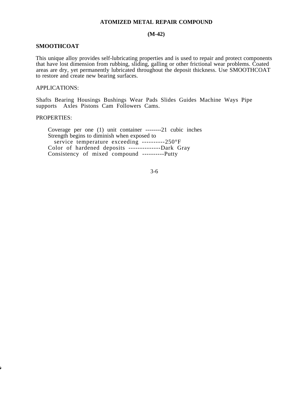# **ATOMIZED METAL REPAIR COMPOUND**

# **(M-42)**

# **SMOOTHCOAT**

This unique alloy provides self-lubricating properties and is used to repair and protect components that have lost dimension from rubbing, sliding, galling or other frictional wear problems. Coated areas are dry, yet permanently lubricated throughout the deposit thickness. Use SMOOTHCOAT to restore and create new bearing surfaces.

#### APPLICATIONS:

Shafts Bearing Housings Bushings Wear Pads Slides Guides Machine Ways Pipe supports Axles Pistons Cam Followers Cams.

#### PROPERTIES:

Coverage per one (1) unit container --------21 cubic inches Strength begins to diminish when exposed to service temperature exceeding ----------250°F Color of hardened deposits --------------Dark Gray Consistency of mixed compound ----------Putty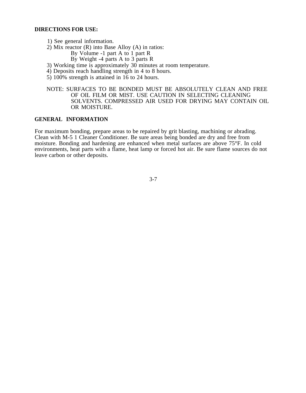# **DIRECTIONS FOR USE:**

1) See general information.

2) Mix reactor (R) into Base Alloy (A) in ratios:

By Volume -1 part A to 1 part R

By Weight -4 parts A to 3 parts R

3) Working time is approximately 30 minutes at room temperature.

- 4) Deposits reach handling strength in 4 to 8 hours.
- 5) 100% strength is attained in 16 to 24 hours.

NOTE: SURFACES TO BE BONDED MUST BE ABSOLUTELY CLEAN AND FREE OF OIL FILM OR MIST. USE CAUTION IN SELECTING CLEANING SOLVENTS. COMPRESSED AIR USED FOR DRYING MAY CONTAIN OIL OR MOISTURE.

# **GENERAL INFORMATION**

For maximum bonding, prepare areas to be repaired by grit blasting, machining or abrading. Clean with M-5 1 Cleaner Conditioner. Be sure areas being bonded are dry and free from moisture. Bonding and hardening are enhanced when metal surfaces are above 75°F. In cold environments, heat parts with a flame, heat lamp or forced hot air. Be sure flame sources do not leave carbon or other deposits.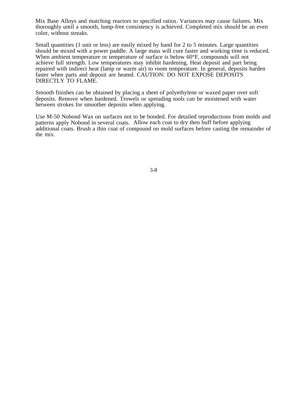Mix Base Alloys and matching reactors to specified ratios. Variances may cause failures. Mix thoroughly until a smooth, lump-free consistency is achieved. Completed mix should be an even color, without streaks.

Small quantities (1 unit or less) are easily mixed by hand for 2 to 5 minutes. Large quantities should be mixed with a power paddle. A large mass will cure faster and working time is reduced. When ambient temperature or temperature of surface is below 60°F, compounds will not achieve full strength. Low temperatures may inhibit hardening. Heat deposit and part being repaired with indirect heat (lamp or warm air) to room temperature. In general, deposits harden faster when parts and deposit are heated. CAUTION: DO NOT EXPOSE DEPOSITS DIRECTLY TO FLAME.

Smooth finishes can be obtained by placing a sheet of polyethylene or waxed paper over soft deposits. Remove when hardened. Trowels or spreading tools can be moistened with water between strokes for smoother deposits when applying.

Use M-50 Nobond Wax on surfaces not to be bonded. For detailed reproductions from molds and patterns apply Nobond in several coats. Allow each coat to dry then buff before applying additional coats. Brush a thin coat of compound on mold surfaces before casting the remainder of the mix.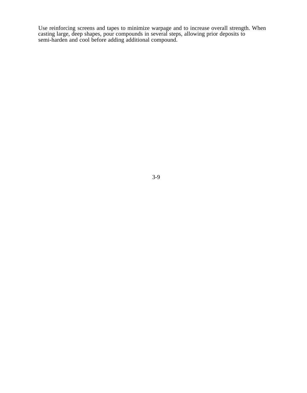Use reinforcing screens and tapes to minimize warpage and to increase overall strength. When casting large, deep shapes, pour compounds in several steps, allowing prior deposits to semi-harden and cool before adding additional compound.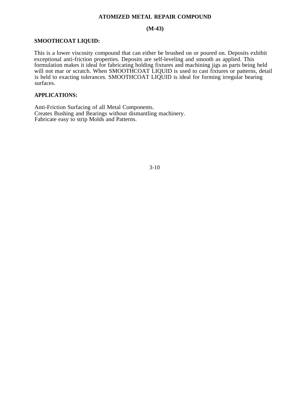### **ATOMIZED METAL REPAIR COMPOUND**

**(M-43)**

# **SMOOTHCOAT LIQUID:**

This is a lower viscosity compound that can either be brushed on or poured on. Deposits exhibit exceptional anti-friction properties. Deposits are self-leveling and smooth as applied. This formulation makes it ideal for fabricating holding fixtures and machining jigs as parts being held will not mar or scratch. When SMOOTHCOAT LIQUID is used to cast fixtures or patterns, detail is held to exacting tolerances. SMOOTHCOAT LIQUID is ideal for forming irregular bearing surfaces.

#### **APPLICATIONS:**

Anti-Friction Surfacing of all Metal Components. Creates Bushing and Bearings without dismantling machinery. Fabricate easy to strip Molds and Patterns.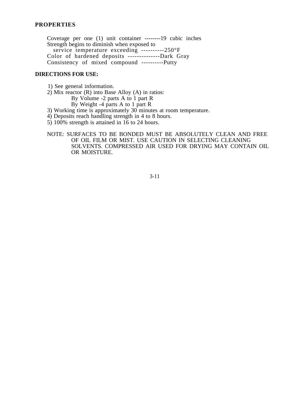#### **PROPERTIES**

Coverage per one (1) unit container --------19 cubic inches Strength begins to diminish when exposed to service temperature exceeding ----------250°F Color of hardened deposits --------------Dark Gray Consistency of mixed compound ----------Putty

#### **DIRECTIONS FOR USE:**

1) See general information.

2) Mix reactor (R) into Base Alloy (A) in ratios:

By Volume -2 parts A to 1 part R

By Weight -4 parts A to 1 part R

3) Working time is approximately 30 minutes at room temperature.

4) Deposits reach handling strength in 4 to 8 hours.

5) 100% strength is attained in 16 to 24 hours.

NOTE: SURFACES TO BE BONDED MUST BE ABSOLUTELY CLEAN AND FREE OF OIL FILM OR MIST. USE CAUTION IN SELECTING CLEANING SOLVENTS. COMPRESSED AIR USED FOR DRYING MAY CONTAIN OIL OR MOISTURE.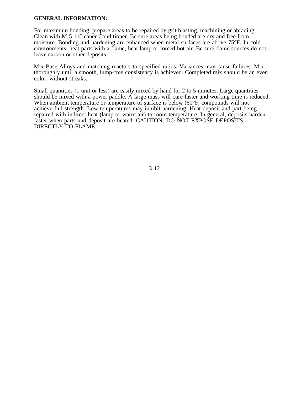# **GENERAL INFORMATION:**

For maximum bonding, prepare areas to be repaired by grit blasting, machining or abrading. Clean with M-5 1 Cleaner Conditioner. Be sure areas being bonded are dry and free from moisture. Bonding and hardening are enhanced when metal surfaces are above 75°F. In cold environments, heat parts with a flame, heat lamp or forced hot air. Be sure flame sources do not leave carbon or other deposits.

Mix Base Alloys and matching reactors to specified ratios. Variances may cause failures. Mix thoroughly until a smooth, lump-free consistency is achieved. Completed mix should be an even color, without streaks.

Small quantities (1 unit or less) are easily mixed by hand for 2 to 5 minutes. Large quantities should be mixed with a power paddle. A large mass will cure faster and working time is reduced. When ambient temperature or temperature of surface is below (60°F, compounds will not achieve full strength. Low temperatures may inhibit hardening. Heat deposit and part being repaired with indirect heat (lamp or warm air) to room temperature. In general, deposits harden faster when parts and deposit are heated. CAUTION: DO NOT EXPOSE DEPOSITS DIRECTLY TO FLAME.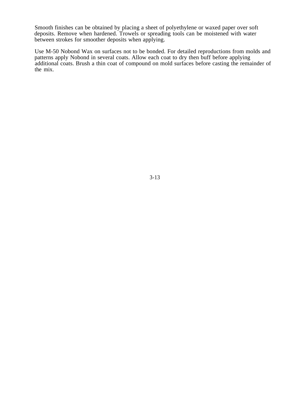Smooth finishes can be obtained by placing a sheet of polyethylene or waxed paper over soft deposits. Remove when hardened. Trowels or spreading tools can be moistened with water between strokes for smoother deposits when applying.

Use M-50 Nobond Wax on surfaces not to be bonded. For detailed reproductions from molds and patterns apply Nobond in several coats. Allow each coat to dry then buff before applying additional coats. Brush a thin coat of compound on mold surfaces before casting the remainder of the mix.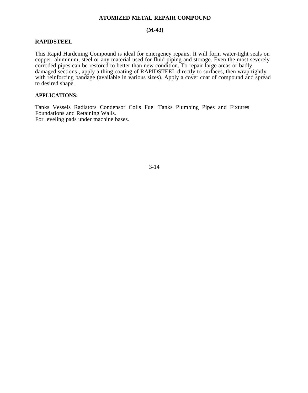# **ATOMIZED METAL REPAIR COMPOUND**

**(M-43)**

## **RAPIDSTEEL**

This Rapid Hardening Compound is ideal for emergency repairs. It will form water-tight seals on copper, aluminum, steel or any material used for fluid piping and storage. Even the most severely corroded pipes can be restored to better than new condition. To repair large areas or badly damaged sections , apply a thing coating of RAPIDSTEEL directly to surfaces, then wrap tightly with reinforcing bandage (available in various sizes). Apply a cover coat of compound and spread to desired shape.

## **APPLICATIONS:**

Tanks Vessels Radiators Condensor Coils Fuel Tanks Plumbing Pipes and Fixtures Foundations and Retaining Walls. For leveling pads under machine bases.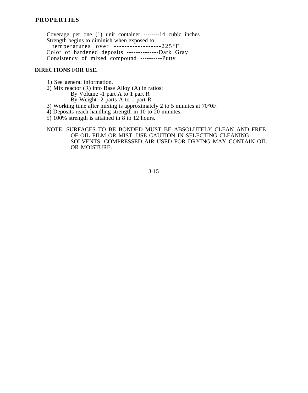#### **PROPERTIES**

Coverage per one (1) unit container --------14 cubic inches Strength begins to diminish when exposed to temperatures over ------------------225°F Color of hardened deposits --------------Dark Gray Consistency of mixed compound ----------Putty

#### **DIRECTIONS FOR USE.**

1) See general information.

2) Mix reactor (R) into Base Alloy (A) in ratios:

By Volume -1 part A to 1 part R

By Weight -2 parts A to 1 part R

3) Working time after mixing is approximately 2 to 5 minutes at 70°0F.

4) Deposits reach handling strength in 10 to 20 minutes.

5) 100% strength is attained in 8 to 12 hours.

NOTE: SURFACES TO BE BONDED MUST BE ABSOLUTELY CLEAN AND FREE OF OIL FILM OR MIST. USE CAUTION IN SELECTING CLEANING SOLVENTS. COMPRESSED AIR USED FOR DRYING MAY CONTAIN OIL OR MOISTURE.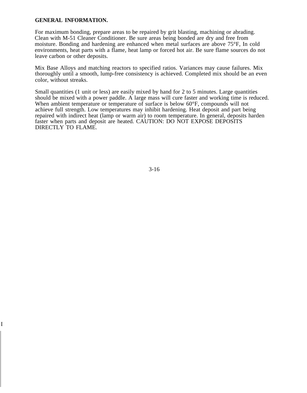# **GENERAL INFORMATION.**

For maximum bonding, prepare areas to be repaired by grit blasting, machining or abrading. Clean with M-51 Cleaner Conditioner. Be sure areas being bonded are dry and free from moisture. Bonding and hardening are enhanced when metal surfaces are above 75°F, In cold environments, heat parts with a flame, heat lamp or forced hot air. Be sure flame sources do not leave carbon or other deposits.

Mix Base Alloys and matching reactors to specified ratios. Variances may cause failures. Mix thoroughly until a smooth, lump-free consistency is achieved. Completed mix should be an even color, without streaks.

Small quantities (1 unit or less) are easily mixed by hand for 2 to 5 minutes. Large quantities should be mixed with a power paddle. A large mass will cure faster and working time is reduced. When ambient temperature or temperature of surface is below 60°F, compounds will not achieve full strength. Low temperatures may inhibit hardening. Heat deposit and part being repaired with indirect heat (lamp or warm air) to room temperature. In general, deposits harden faster when parts and deposit are heated. CAUTION: DO NOT EXPOSE DEPOSITS DIRECTLY TO FLAME.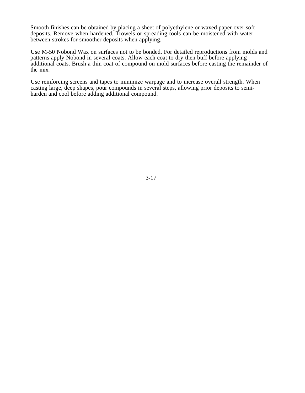Smooth finishes can be obtained by placing a sheet of polyethylene or waxed paper over soft deposits. Remove when hardened. Trowels or spreading tools can be moistened with water between strokes for smoother deposits when applying.

Use M-50 Nobond Wax on surfaces not to be bonded. For detailed reproductions from molds and patterns apply Nobond in several coats. Allow each coat to dry then buff before applying additional coats. Brush a thin coat of compound on mold surfaces before casting the remainder of the mix.

Use reinforcing screens and tapes to minimize warpage and to increase overall strength. When casting large, deep shapes, pour compounds in several steps, allowing prior deposits to semiharden and cool before adding additional compound.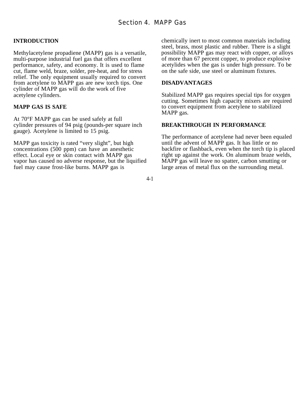# Section 4. MAPP Gas

## **INTRODUCTION**

Methylacetylene propadiene (MAPP) gas is a versatile, multi-purpose industrial fuel gas that offers excellent performance, safety, and economy. It is used to flame cut, flame weld, braze, solder, pre-heat, and for stress relief. The only equipment usually required to convert from acetylene to MAPP gas are new torch tips. One cylinder of MAPP gas will do the work of five acetylene cylinders.

#### **MAPP GAS IS SAFE**

At 70°F MAPP gas can be used safely at full cylinder pressures of 94 psig (pounds-per square inch gauge). Acetylene is limited to 15 psig.

MAPP gas toxicity is rated "very slight", but high concentrations (500 ppm) can have an anesthetic effect. Local eye or skin contact with MAPP gas vapor has caused no adverse response, but the liquified fuel may cause frost-like burns. MAPP gas is

chemically inert to most common materials including steel, brass, most plastic and rubber. There is a slight possibility MAPP gas may react with copper, or alloys of more than 67 percent copper, to produce explosive acetylides when the gas is under high pressure. To be on the safe side, use steel or aluminum fixtures.

#### **DISADVANTAGES**

Stabilized MAPP gas requires special tips for oxygen cutting. Sometimes high capacity mixers are required to convert equipment from acetylene to stabilized MAPP gas.

#### **BREAKTHROUGH IN PERFORMANCE**

The performance of acetylene had never been equaled until the advent of MAPP gas. It has little or no backfire or flashback, even when the torch tip is placed right up against the work. On aluminum braze welds, MAPP gas will leave no spatter, carbon smutting or large areas of metal flux on the surrounding metal.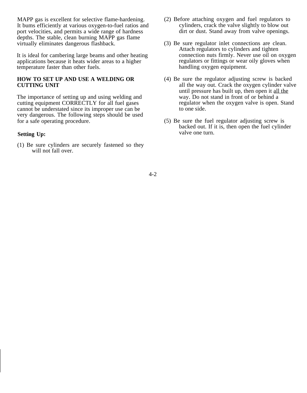MAPP gas is excellent for selective flame-hardening. It bums efficiently at various oxygen-to-fuel ratios and port velocities, and permits a wide range of hardness depths. The stable, clean burning MAPP gas flame virtually eliminates dangerous flashback.

It is ideal for cambering large beams and other heating applications because it heats wider areas to a higher temperature faster than other fuels.

# **HOW TO SET UP AND USE A WELDING OR CUTTING UNIT**

The importance of setting up and using welding and cutting equipment CORRECTLY for all fuel gases cannot be understated since its improper use can be very dangerous. The following steps should be used for a safe operating procedure.

(1) Be sure cylinders are securely fastened so they will not fall over.

- (2) Before attaching oxygen and fuel regulators to cylinders, crack the valve slightly to blow out dirt or dust. Stand away from valve openings.
- (3) Be sure regulator inlet connections are clean. Attach regulators to cylinders and tighten connection nuts firmly. Never use oil on oxygen regulators or fittings or wear oily gloves when handling oxygen equipment.
- (4) Be sure the regulator adjusting screw is backed all the way out. Crack the oxygen cylinder valve until pressure has built up, then open it all the way. Do not stand in front of or behind a regulator when the oxygen valve is open. Stand to one side.
- (5) Be sure the fuel regulator adjusting screw is backed out. If it is, then open the fuel cylinder **Setting Up:** valve one turn.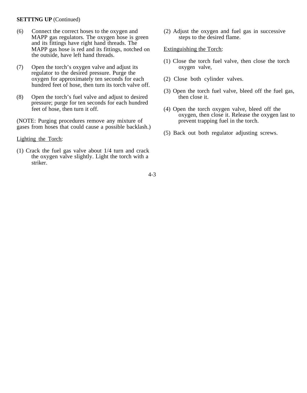#### **SETTTNG UP** (Continued)

- (6) Connect the correct hoses to the oxygen and MAPP gas regulators. The oxygen hose is green and its fittings have right hand threads. The MAPP gas hose is red and its fittings, notched on the outside, have left hand threads.
- (7) Open the torch's oxygen valve and adjust its regulator to the desired pressure. Purge the oxygen for approximately ten seconds for each hundred feet of hose, then turn its torch valve off.
- (8) Open the torch's fuel valve and adjust to desired pressure; purge for ten seconds for each hundred feet of hose, then turn it off.

(NOTE: Purging procedures remove any mixture of gases from hoses that could cause a possible backlash.)

#### Lighting the Torch:

(1) Crack the fuel gas valve about 1/4 turn and crack the oxygen valve slightly. Light the torch with a striker.

(2) Adjust the oxygen and fuel gas in successive steps to the desired flame.

#### Extinguishing the Torch:

- (1) Close the torch fuel valve, then close the torch oxygen valve,
- (2) Close both cylinder valves.
- (3) Open the torch fuel valve, bleed off the fuel gas, then close it.
- (4) Open the torch oxygen valve, bleed off the oxygen, then close it. Release the oxygen last to prevent trapping fuel in the torch.
- (5) Back out both regulator adjusting screws.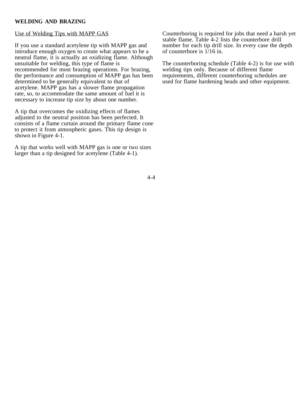# **WELDING AND BRAZING**

#### Use of Welding Tips with MAPP GAS

If you use a standard acetylene tip with MAPP gas and introduce enough oxygen to create what appears to be a neutral flame, it is actually an oxidizing flame. Although unsuitable for welding, this type of flame is recommended for most brazing operations. For brazing, the performance and consumption of MAPP gas has been determined to be generally equivalent to that of acetylene. MAPP gas has a slower flame propagation rate, so, to accommodate the same amount of fuel it is necessary to increase tip size by about one number.

A tip that overcomes the oxidizing effects of flames adjusted to the neutral position has been perfected. It consists of a flame curtain around the primary flame cone to protect it from atmospheric gases. This tip design is shown in Figure 4-1.

A tip that works well with MAPP gas is one or two sizes larger than a tip designed for acetylene (Table 4-1).

Counterboring is required for jobs that need a harsh yet stable flame. Table 4-2 lists the counterbore drill number for each tip drill size. In every case the depth of counterbore is 1/16 in.

The counterboring schedule (Table 4-2) is for use with welding tips only. Because of different flame requirements, different counterboring schedules are used for flame hardening heads and other equipment.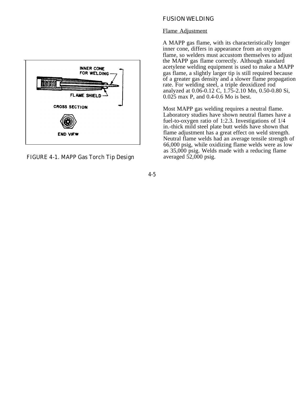

## FIGURE 4-1. MAPP Gas Torch Tip Design

# FUSION WELDING

# Flame Adjustment

A MAPP gas flame, with its characteristically longer inner cone, differs in appearance from an oxygen flame, so welders must accustom themselves to adjust the MAPP gas flame correctly. Although standard acetylene welding equipment is used to make a MAPP gas flame, a slightly larger tip is still required because of a greater gas density and a slower flame propagation rate. For welding steel, a triple deoxidized rod analyzed at 0.06-0.12 C, 1.75-2.10 Mn, 0.50-0.80 Si, 0.025 max P, and 0.4-0.6 Mo is best.

Most MAPP gas welding requires a neutral flame. Laboratory studies have shown neutral flames have a fuel-to-oxygen ratio of 1:2.3. Investigations of 1/4 in.-thick mild steel plate butt welds have shown that flame adjustment has a great effect on weld strength. Neutral flame welds had an average tensile strength of 66,000 psig, while oxidizing flame welds were as low as 35,000 psig. Welds made with a reducing flame averaged 52,000 psig.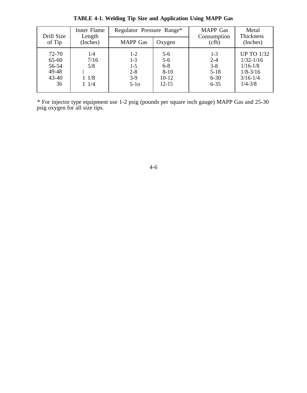| Drill Size                                              | Inner Flame<br>Length<br>(Inches)                   | Regulator Pressure Range*                               |                                                                     | <b>MAPP</b> Gas<br>Consumption                                    | Metal<br>Thickness                                                                                |
|---------------------------------------------------------|-----------------------------------------------------|---------------------------------------------------------|---------------------------------------------------------------------|-------------------------------------------------------------------|---------------------------------------------------------------------------------------------------|
| of Tip                                                  |                                                     | <b>MAPP</b> Gas                                         | Oxygen                                                              | (cfh)                                                             | (Inches)                                                                                          |
| 72-70<br>$65 - 60$<br>56-54<br>49-48<br>$43 - 40$<br>36 | 1/4<br>7/16<br>5/8<br>$1 \frac{1}{8}$<br>$1 \; 1/4$ | $1 - 2$<br>$1-3$<br>$1-5$<br>$2 - 8$<br>$3-9$<br>$5-10$ | $5 - 6$<br>$5 - 6$<br>$6 - 8$<br>$8 - 10$<br>$10 - 12$<br>$12 - 15$ | $1 - 3$<br>$2 - 4$<br>$3 - 8$<br>$5 - 18$<br>$6 - 30$<br>$6 - 35$ | <b>UP TO 1/32</b><br>$1/32 - 1/16$<br>$1/16 - 1/8$<br>$1/8 - 3/16$<br>$3/16 - 1/4$<br>$1/4 - 3/8$ |

**TABLE 4-1. Welding Tip Size and Application Using MAPP Gas**

\* For injector type equipment use 1-2 psig (pounds per square inch gauge) MAPP Gas and 25-30 psig oxygen for all size tips.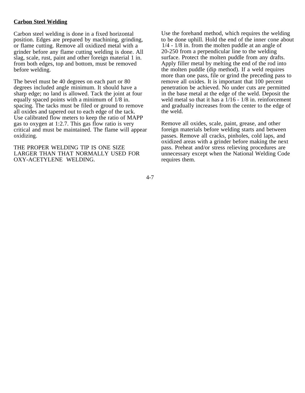#### **Carbon Steel Welding**

Carbon steel welding is done in a fixed horizontal position. Edges are prepared by machining, grinding, or flame cutting. Remove all oxidized metal with a grinder before any flame cutting welding is done. All slag, scale, rust, paint and other foreign material 1 in. from both edges, top and bottom, must be removed before welding.

The bevel must be 40 degrees on each part or 80 degrees included angle minimum. It should have a sharp edge; no land is allowed. Tack the joint at four equally spaced points with a minimum of 1/8 in. spacing. The tacks must be filed or ground to remove all oxides and tapered out to each edge of the tack. Use calibrated flow meters to keep the ratio of MAPP gas to oxygen at 1:2.7. This gas flow ratio is very critical and must be maintained. The flame will appear oxidizing.

THE PROPER WELDING TIP IS ONE SIZE LARGER THAN THAT NORMALLY USED FOR OXY-ACETYLENE WELDING.

Use the forehand method, which requires the welding to be done uphill. Hold the end of the inner cone about 1/4 - 1/8 in. from the molten puddle at an angle of 20-250 from a perpendicular line to the welding surface. Protect the molten puddle from any drafts. Apply filler metal by melting the end of the rod into the molten puddle (dip method). If a weld requires more than one pass, file or grind the preceding pass to remove all oxides. It is important that 100 percent penetration be achieved. No under cuts are permitted in the base metal at the edge of the weld. Deposit the weld metal so that it has a 1/16 - 1/8 in. reinforcement and gradually increases from the center to the edge of the weld.

Remove all oxides, scale, paint, grease, and other foreign materials before welding starts and between passes. Remove all cracks, pinholes, cold laps, and oxidized areas with a grinder before making the next pass. Preheat and/or stress relieving procedures are unnecessary except when the National Welding Code requires them.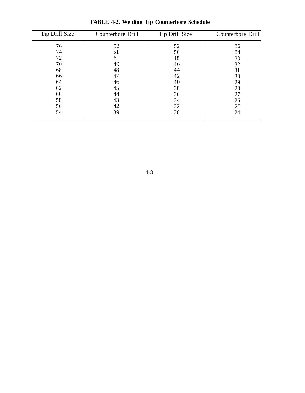| Tip Drill Size | Counterbore Drill | Tip Drill Size | Counterbore Drill |
|----------------|-------------------|----------------|-------------------|
| 76             | 52                | 52             | 36                |
| 74             | 51                | 50             | 34                |
| 72             | 50                | 48             | 33                |
| 70             | 49                | 46             | 32                |
| 68             | 48                | 44             | 31                |
| 66             | 47                | 42             | 30                |
| 64             | 46                | 40             | 29                |
| 62             | 45                | 38             | 28                |
| 60             | 44                | 36             | 27                |
| 58             | 43                | 34             | 26                |
| 56             | 42                | 32             | 25                |
| 54             | 39                | 30             | 24                |

**TABLE 4-2. Welding Tip Counterbore Schedule**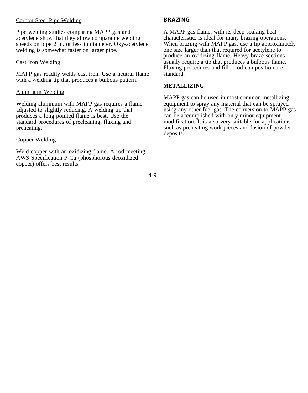## Carbon Steel Pipe Welding

Pipe welding studies comparing MAPP gas and acetylene show that they allow comparable welding speeds on pipe 2 in. or less in diameter. Oxy-acetylene welding is somewhat faster on larger pipe.

# Cast Iron Welding

MAPP gas readily welds cast iron. Use a neutral flame with a welding tip that produces a bulbous pattern.

# Aluminum Welding

Welding aluminum with MAPP gas requires a flame adjusted to slightly reducing. A welding tip that produces a long pointed flame is best. Use the standard procedures of precleaning, fluxing and preheating.

## Copper Welding

Weld copper with an oxidizing flame. A rod meeting AWS Specification P Cu (phosphorous deoxidized copper) offers best results.

# **BRAZING**

A MAPP gas flame, with its deep-soaking heat characteristic, is ideal for many brazing operations. When brazing with MAPP gas, use a tip approximately one size larger than that required for acetylene to produce an oxidizing flame. Heavy braze sections usually require a tip that produces a bulbous flame. Fluxing procedures and filler rod composition are standard.

# **METALLIZING**

MAPP gas can be used in most common metallizing equipment to spray any material that can be sprayed using any other fuel gas. The conversion to MAPP gas can be accomplished with only minor equipment modification. It is also very suitable for applications such as preheating work pieces and fusion of powder deposits.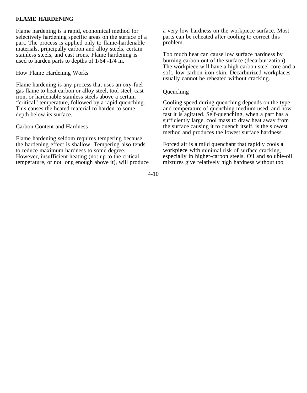### **FLAME HARDENING**

Flame hardening is a rapid, economical method for selectively hardening specific areas on the surface of a part. The process is applied only to flame-hardenable materials, principally carbon and alloy steels, certain stainless steels, and cast irons. Flame hardening is used to harden parts to depths of 1/64 -1/4 in.

#### How Flame Hardening Works

Flame hardening is any process that uses an oxy-fuel gas flame to heat carbon or alloy steel, tool steel, cast iron, or hardenable stainless steels above a certain "critical" temperature, followed by a rapid quenching. This causes the heated material to harden to some depth below its surface.

#### Carbon Content and Hardness

Flame hardening seldom requires tempering because the hardening effect is shallow. Tempering also tends to reduce maximum hardness to some degree. However, insufficient heating (not up to the critical temperature, or not long enough above it), will produce a very low hardness on the workpiece surface. Most parts can be reheated after cooling to correct this problem.

Too much heat can cause low surface hardness by burning carbon out of the surface (decarburization). The workpiece will have a high carbon steel core and a soft, low-carbon iron skin. Decarburized workplaces usually cannot be reheated without cracking.

#### Quenching

Cooling speed during quenching depends on the type and temperature of quenching medium used, and how fast it is agitated. Self-quenching, when a part has a sufficiently large, cool mass to draw heat away from the surface causing it to quench itself, is the slowest method and produces the lowest surface hardness.

Forced air is a mild quenchant that rapidly cools a workpiece with minimal risk of surface cracking, especially in higher-carbon steels. Oil and soluble-oil mixtures give relatively high hardness without too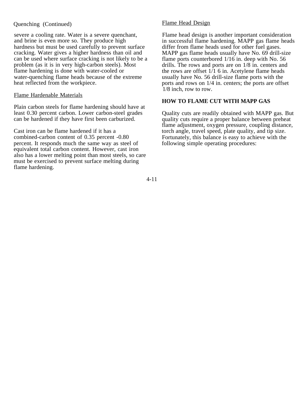Quenching (Continued)

severe a cooling rate. Water is a severe quenchant, and brine is even more so. They produce high hardness but must be used carefully to prevent surface cracking. Water gives a higher hardness than oil and can be used where surface cracking is not likely to be a problem (as it is in very high-carbon steels). Most flame hardening is done with water-cooled or water-quenching flame heads because of the extreme heat reflected from the workpiece.

### Flame Hardenable Materials

Plain carbon steels for flame hardening should have at least 0.30 percent carbon. Lower carbon-steel grades can be hardened if they have first been carburized.

Cast iron can be flame hardened if it has a combined-carbon content of 0.35 percent -0.80 percent. It responds much the same way as steel of equivalent total carbon content. However, cast iron also has a lower melting point than most steels, so care must be exercised to prevent surface melting during flame hardening.

### Flame Head Design

Flame head design is another important consideration in successful flame hardening. MAPP gas flame heads differ from flame heads used for other fuel gases. MAPP gas flame heads usually have No. 69 drill-size flame ports counterbored  $1/16$  in. deep with No. 56 drills. The rows and ports are on 1/8 in. centers and the rows are offset 1/1 6 in. Acetylene flame heads usually have No. 56 drill-size flame ports with the ports and rows on 1/4 in. centers; the ports are offset 1/8 inch, row to row.

### **HOW TO FLAME CUT WITH MAPP GAS**

Quality cuts are readily obtained with MAPP gas. But quality cuts require a proper balance between preheat flame adjustment, oxygen pressure, coupling distance, torch angle, travel speed, plate quality, and tip size. Fortunately, this balance is easy to achieve with the following simple operating procedures: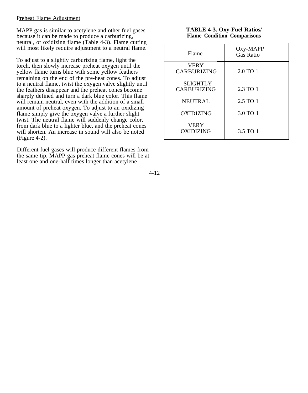#### Preheat Flame Adjustment

MAPP gas is similar to acetylene and other fuel gases because it can be made to produce a carburizing, neutral, or oxidizing flame (Table 4-3). Flame cutting will most likely require adjustment to a neutral flame.

To adjust to a slightly carburizing flame, light the torch, then slowly increase preheat oxygen until the yellow flame turns blue with some yellow feathers remaining on the end of the pre-heat cones. To adjust to a neutral flame, twist the oxygen valve slightly until the feathers disappear and the preheat cones become sharply defined and turn a dark blue color. This flame will remain neutral, even with the addition of a small amount of preheat oxygen. To adjust to an oxidizing flame simply give the oxygen valve a further slight twist. The neutral flame will suddenly change color, from dark blue to a lighter blue, and the preheat cones will shorten. An increase in sound will also be noted (Figure 4-2).

Different fuel gases will produce different flames from the same tip. MAPP gas preheat flame cones will be at least one and one-half times longer than acetylene

### **TABLE 4-3. Oxy-Fuel Ratios/ Flame Condition Comparisons**

| Flame                             | Oxy-MAPP<br>Gas Ratio |
|-----------------------------------|-----------------------|
| <b>VERY</b><br><b>CARBURIZING</b> | 2.0 TO 1              |
| SLIGHTLY<br><b>CARBURIZING</b>    | 2.3 TO 1              |
| <b>NEUTRAL</b>                    | 2.5 TO 1              |
| OXIDIZING                         | 3.0 TO 1              |
| <b>VERY</b><br>OXIDIZING          | 3.5 TO 1              |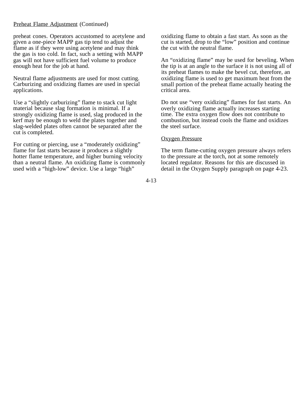Preheat Flame Adjustment (Continued)

preheat cones. Operators accustomed to acetylene and given a one-piece MAPP gas tip tend to adjust the flame as if they were using acetylene and may think the gas is too cold. In fact, such a setting with MAPP gas will not have sufficient fuel volume to produce enough heat for the job at hand.

Neutral flame adjustments are used for most cutting. Carburizing and oxidizing flames are used in special applications.

Use a "slightly carburizing" flame to stack cut light material because slag formation is minimal. If a strongly oxidizing flame is used, slag produced in the kerf may be enough to weld the plates together and slag-welded plates often cannot be separated after the cut is completed.

For cutting or piercing, use a "moderately oxidizing" flame for fast starts because it produces a slightly hotter flame temperature, and higher burning velocity than a neutral flame. An oxidizing flame is commonly used with a "high-low" device. Use a large "high"

oxidizing flame to obtain a fast start. As soon as the cut is started, drop to the "low" position and continue the cut with the neutral flame.

An "oxidizing flame" may be used for beveling. When the tip is at an angle to the surface it is not using all of its preheat flames to make the bevel cut, therefore, an oxidizing flame is used to get maximum heat from the small portion of the preheat flame actually heating the critical area.

Do not use "very oxidizing" flames for fast starts. An overly oxidizing flame actually increases starting time. The extra oxygen flow does not contribute to combustion, but instead cools the flame and oxidizes the steel surface.

### Oxygen Pressure

The term flame-cutting oxygen pressure always refers to the pressure at the torch, not at some remotely located regulator. Reasons for this are discussed in detail in the Oxygen Supply paragraph on page 4-23.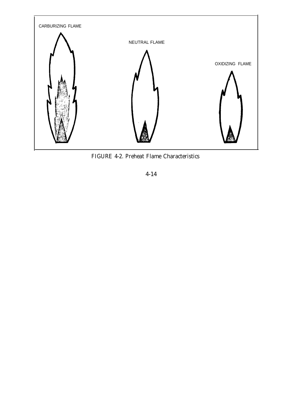

FIGURE 4-2. Preheat Flame Characteristics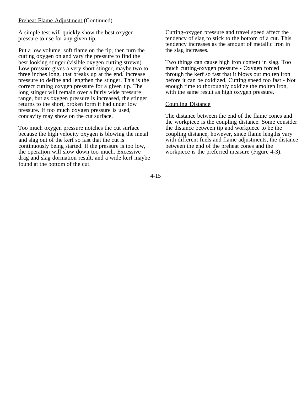#### Preheat Flame Adjustment (Continued)

A simple test will quickly show the best oxygen pressure to use for any given tip.

Put a low volume, soft flame on the tip, then turn the cutting oxygen on and vary the pressure to find the best looking stinger (visible oxygen cutting strewn). Low pressure gives a very short stinger, maybe two to three inches long, that breaks up at the end. Increase pressure to define and lengthen the stinger. This is the correct cutting oxygen pressure for a given tip. The long stinger will remain over a fairly wide pressure range, but as oxygen pressure is increased, the stinger returns to the short, broken form it had under low pressure. If too much oxygen pressure is used, concavity may show on the cut surface.

Too much oxygen pressure notches the cut surface because the high velocity oxygen is blowing the metal and slag out of the kerf so fast that the cut is continuously being started. If the pressure is too low, the operation will slow down too much. Excessive drag and slag dormation result, and a wide kerf maybe found at the bottom of the cut.

Cutting-oxygen pressure and travel speed affect the tendency of slag to stick to the bottom of a cut. This tendency increases as the amount of metallic iron in the slag increases.

Two things can cause high iron content in slag. Too much cutting-oxygen pressure - Oxygen forced through the kerf so fast that it blows out molten iron before it can be oxidized. Cutting speed too fast - Not enough time to thoroughly oxidize the molten iron, with the same result as high oxygen pressure.

### Coupling Distance

The distance between the end of the flame cones and the workpiece is the coupling distance. Some consider the distance between tip and workpiece to be the coupling distance, however, since flame lengths vary with different fuels and flame adjustments, the distance between the end of the preheat cones and the workpiece is the preferred measure (Figure 4-3).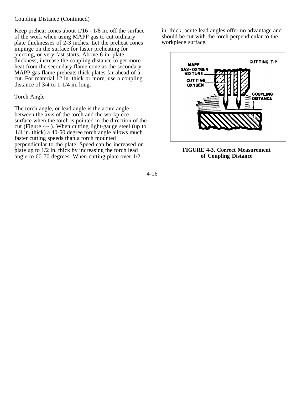#### Coupling Distance (Continued)

Keep preheat cones about 1/16 - 1/8 in. off the surface of the work when using MAPP gas to cut ordinary plate thicknesses of 2-3 inches. Let the preheat cones impinge on the surface for faster preheating for piercing, or very fast starts. Above 6 in. plate thickness, increase the coupling distance to get more heat from the secondary flame cone as the secondary MAPP gas flame preheats thick plates far ahead of a cut. For material 12 in. thick or more, use a coupling distance of 3/4 to 1-1/4 in. long.

# Torch Angle

The torch angle, or lead angle is the acute angle between the axis of the torch and the workpiece surface when the torch is pointed in the direction of the cut (Figure 4-4). When cutting light-gauge steel (up to 1/4 in. thick) a 40-50 degree torch angle allows much faster cutting speeds than a torch mounted perpendicular to the plate. Speed can be increased on plate up to 1/2 in. thick by increasing the torch lead angle to 60-70 degrees. When cutting plate over 1/2

in. thick, acute lead angles offer no advantage and should be cut with the torch perpendicular to the workpiece surface.



**FIGURE 4-3. Correct Measurement of Coupling Distance**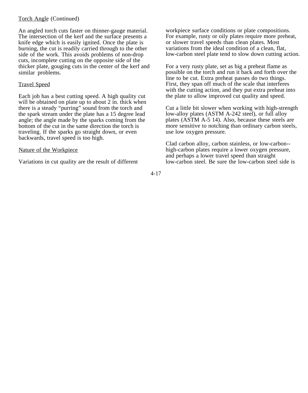#### Torch Angle (Continued)

An angled torch cuts faster on thinner-gauge material. workpiece surface conditions or plate compositions.<br>The intersection of the kerf and the surface presents a For example, rusty or oily plates require more prehe knife edge which is easily ignited. Once the plate is or slower travel speeds than clean plates. Most<br>burning, the cut is readily carried through to the other variations from the ideal condition of a clean, flat, burning, the cut is readily carried through to the other side of the work. This avoids problems of non-drop cuts, incomplete cutting on the opposite side of the thicker plate, gouging cuts in the center of the kerf and For a very rusty plate, set as big a preheat flame as similar problems.

### Travel Speed

Each job has a best cutting speed. A high quality cut will be obtained on plate up to about 2 in. thick when there is a steady "purring" sound from the torch and the spark stream under the plate has a 15 degree lead angle; the angle made by the sparks coming from the bottom of the cut in the same direction the torch is traveling. If the sparks go straight down, or even backwards, travel speed is too high.

### Nature of the Workpiece

Variations in cut quality are the result of different

For example, rusty or oily plates require more preheat, or slower travel speeds than clean plates. Most low-carbon steel plate tend to slow down cutting action.

possible on the torch and run it back and forth over the line to be cut. Extra preheat passes do two things. First, they span off much of the scale that interferes with the cutting action, and they put extra preheat into the plate to allow improved cut quality and speed.

Cut a little bit slower when working with high-strength low-alloy plates (ASTM A-242 steel), or full alloy plates (ASTM A-5 14). Also, because these steels are more sensitive to notching than ordinary carbon steels, use low oxygen pressure.

Clad carbon alloy, carbon stainless, or low-carbon- high-carbon plates require a lower oxygen pressure, and perhaps a lower travel speed than straight low-carbon steel. Be sure the low-carbon steel side is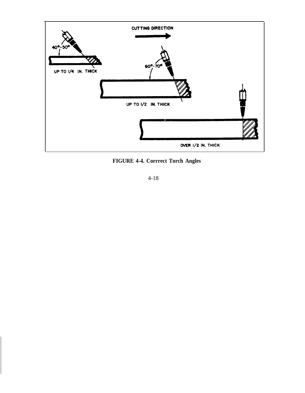

**FIGURE 4-4. Corrrect Torch Angles**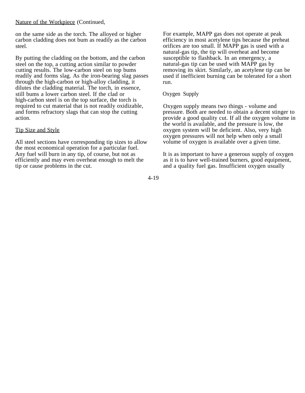#### Nature of the Workpiece (Continued,

on the same side as the torch. The alloyed or higher carbon cladding does not bum as readily as the carbon steel.

By putting the cladding on the bottom, and the carbon steel on the top, a cutting action similar to powder cutting results. The low-carbon steel on top bums readily and forms slag. As the iron-bearing slag passes through the high-carbon or high-alloy cladding, it dilutes the cladding material. The torch, in essence, still bums a lower carbon steel. If the clad or high-carbon steel is on the top surface, the torch is required to cut material that is not readily oxidizable, and forms refractory slags that can stop the cutting action.

### Tip Size and Style

All steel sections have corresponding tip sizes to allow the most economical operation for a particular fuel. Any fuel will burn in any tip, of course, but not as efficiently and may even overheat enough to melt the tip or cause problems in the cut.

For example, MAPP gas does not operate at peak efficiency in most acetylene tips because the preheat orifices are too small. If MAPP gas is used with a natural-gas tip, the tip will overheat and become susceptible to flashback. In an emergency, a natural-gas tip can be used with MAPP gas by removing its skirt. Similarly, an acetylene tip can be used if inefficient burning can be tolerated for a short run.

### Oxygen Supply

Oxygen supply means two things - volume and pressure. Both are needed to obtain a decent stinger to provide a good quality cut. If all the oxygen volume in the world is available, and the pressure is low, the oxygen system will be deficient. Also, very high oxygen pressures will not help when only a small volume of oxygen is available over a given time.

It is as important to have a generous supply of oxygen as it is to have well-trained burners, good equipment, and a quality fuel gas. Insufficient oxygen usually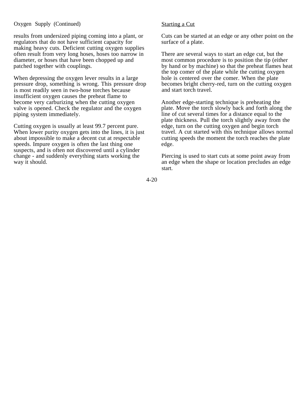Oxygen Supply (Continued) Starting a Cut

results from undersized piping coming into a plant, or regulators that do not have sufficient capacity for making heavy cuts. Deficient cutting oxygen supplies often result from very long hoses, hoses too narrow in diameter, or hoses that have been chopped up and patched together with couplings.

When depressing the oxygen lever results in a large pressure drop, something is wrong. This pressure drop is most readily seen in two-hose torches because insufficient oxygen causes the preheat flame to become very carburizing when the cutting oxygen valve is opened. Check the regulator and the oxygen piping system immediately.

Cutting oxygen is usually at least 99.7 percent pure. When lower purity oxygen gets into the lines, it is just about impossible to make a decent cut at respectable speeds. Impure oxygen is often the last thing one suspects, and is often not discovered until a cylinder change - and suddenly everything starts working the way it should.

Cuts can be started at an edge or any other point on the surface of a plate.

There are several ways to start an edge cut, but the most common procedure is to position the tip (either by hand or by machine) so that the preheat flames heat the top comer of the plate while the cutting oxygen hole is centered over the comer. When the plate becomes bright cherry-red, turn on the cutting oxygen and start torch travel.

Another edge-starting technique is preheating the plate. Move the torch slowly back and forth along the line of cut several times for a distance equal to the plate thickness. Pull the torch slightly away from the edge, turn on the cutting oxygen and begin torch travel. A cut started with this technique allows normal cutting speeds the moment the torch reaches the plate edge.

Piercing is used to start cuts at some point away from an edge when the shape or location precludes an edge start.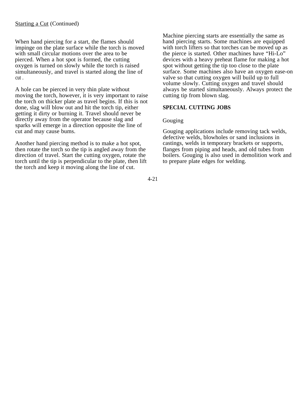Starting a Cut (Continued)

When hand piercing for a start, the flames should impinge on the plate surface while the torch is moved with small circular motions over the area to be pierced. When a hot spot is formed, the cutting oxygen is turned on slowly while the torch is raised simultaneously, and travel is started along the line of cut .

A hole can be pierced in very thin plate without moving the torch, however, it is very important to raise the torch on thicker plate as travel begins. If this is not done, slag will blow out and hit the torch tip, either getting it dirty or burning it. Travel should never be directly away from the operator because slag and sparks will emerge in a direction opposite the line of cut and may cause bums.

Another hand piercing method is to make a hot spot, then rotate the torch so the tip is angled away from the direction of travel. Start the cutting oxygen, rotate the torch until the tip is perpendicular to the plate, then lift the torch and keep it moving along the line of cut.

Machine piercing starts are essentially the same as hand piercing starts. Some machines are equipped with torch lifters so that torches can be moved up as the pierce is started. Other machines have "Hi-Lo" devices with a heavy preheat flame for making a hot spot without getting the tip too close to the plate surface. Some machines also have an oxygen ease-on valve so that cutting oxygen will build up to full volume slowly. Cutting oxygen and travel should always be started simultaneously. Always protect the cutting tip from blown slag.

### **SPECIAL CUTTING JOBS**

### Gouging

Gouging applications include removing tack welds, defective welds, blowholes or sand inclusions in castings, welds in temporary brackets or supports, flanges from piping and heads, and old tubes from boilers. Gouging is also used in demolition work and to prepare plate edges for welding.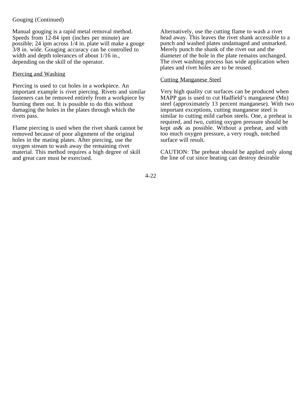Gouging (Continued)

Manual gouging is a rapid metal removal method. Speeds from 12-84 ipm (inches per minute) are possible; 24 ipm across 1/4 in. plate will make a gouge 3/8 in. wide. Gouging accuracy can be controlled to width and depth tolerances of about 1/16 in., depending on the skill of the operator.

### Piercing and Washing

Piercing is used to cut holes in a workpiece. An important example is rivet piercing. Rivets and similar fasteners can be removed entirely from a workpiece by burning them out. It is possible to do this without damaging the holes in the plates through which the rivets pass.

Flame piercing is used when the rivet shank cannot be removed because of poor alignment of the original holes in the mating plates. After piercing, use the oxygen stream to wash away the remaining rivet material. This method requires a high degree of skill and great care must be exercised.

Alternatively, use the cutting flame to wash a rivet head away. This leaves the rivet shank accessible to a punch and washed plates undamaged and unmarked. Merely punch the shank of the rivet out and the diameter of the hole in the plate remains unchanged. The rivet washing process has wide application when plates and rivet holes are to be reused.

### Cutting Manganese Steel

Very high quality cut surfaces can be produced when MAPP gas is used to cut Hadfield's manganese (Mn) steel (approximately 13 percent manganese). With two important exceptions, cutting manganese steel is similar to cutting mild carbon steels. One, a preheat is required, and two, cutting oxygen pressure should be kept as& as possible. Without a preheat, and with too much oxygen pressure, a very rough, notched surface will result.

CAUTION: The preheat should be applied only along the line of cut since heating can destroy desirable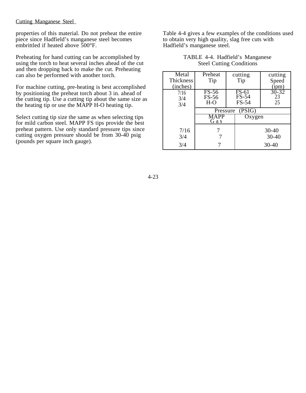Cutting Manganese Steel

properties of this material. Do not preheat the entire piece since Hadfield's manganese steel becomes embrittled if heated above 500°F.

Preheating for hand cutting can be accomplished by using the torch to heat several inches ahead of the cut and then dropping back to make the cut. Preheating can also be performed with another torch.

For machine cutting, pre-heating is best accomplished by positioning the preheat torch about 3 in. ahead of the cutting tip. Use a cutting tip about the same size as the heating tip or use the MAPP H-O heating tip.

Select cutting tip size the same as when selecting tips for mild carbon steel. MAPP FS tips provide the best preheat pattern. Use only standard pressure tips since cutting oxygen pressure should be from 30-40 psig (pounds per square inch gauge).

Table 4-4 gives a few examples of the conditions used to obtain very high quality, slag free cuts with Hadfield's manganese steel.

#### TABLE 4-4. Hadfield's Manganese Steel Cutting Conditions

| Metal<br>Thickness | Preheat<br>Tip          | cutting<br>Tip          | cutting<br>Speed      |
|--------------------|-------------------------|-------------------------|-----------------------|
| (inches)           |                         |                         | (ipm)                 |
| 7/16<br>3/4<br>3/4 | $FS-56$<br>FS-56<br>H-O | FS-61<br>FS-54<br>FS-54 | $30 - 32$<br>23<br>25 |
|                    | Pressure                | (PSIG)                  |                       |
|                    | MAPP<br>Gas             | Oxygen                  |                       |
| 7/16<br>3/4        |                         |                         | $30 - 40$<br>30-40    |
| 3/4                |                         |                         | $30 - 40$             |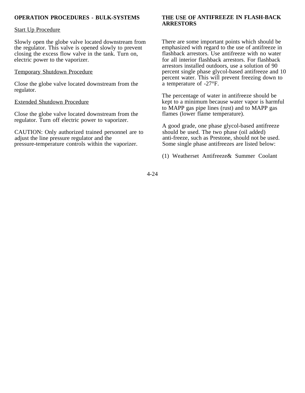### **OPERATION PROCEDURES - BULK-SYSTEMS**

#### Start Up Procedure

Slowly open the globe valve located downstream from the regulator. This valve is opened slowly to prevent closing the excess flow valve in the tank. Turn on, electric power to the vaporizer.

#### Temporary Shutdown Procedure

Close the globe valve located downstream from the regulator.

#### Extended Shutdown Procedure

Close the globe valve located downstream from the regulator. Turn off electric power to vaporizer.

CAUTION: Only authorized trained personnel are to adjust the line pressure regulator and the pressure-temperature controls within the vaporizer.

### **THE USE OF ANTIFREEZE IN FLASH-BACK ARRESTORS**

There are some important points which should be emphasized with regard to the use of antifreeze in flashback arrestors. Use antifreeze with no water for all interior flashback arrestors. For flashback arrestors installed outdoors, use a solution of 90 percent single phase glycol-based antifreeze and 10 percent water. This will prevent freezing down to a temperature of -27°F.

The percentage of water in antifreeze should be kept to a minimum because water vapor is harmful to MAPP gas pipe lines (rust) and to MAPP gas flames (lower flame temperature).

A good grade, one phase glycol-based antifreeze should be used. The two phase (oil added) anti-freeze, such as Prestone, should not be used. Some single phase antifreezes are listed below:

(1) Weatherset Antifreeze& Summer Coolant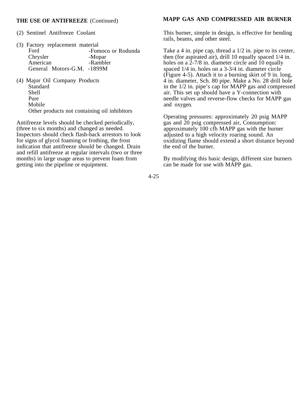### **THE USE OF ANTIFREEZE** (Continued)

(2) Sentinel Antifreeze Coolant

- (3) Factory replacement material -Fomoco or Rodunda Chrysler -Mopar<br>American -Rambler American General Motors-G.M. -1899M
- (4) Major Oil Company Products **Standard** Shell Pure Mobile Other products not containing oil inhibitors

Antifreeze levels should be checked periodically, (three to six months) and changed as needed. Inspectors should check flash-back arrestors to look for signs of glycol foaming or frothing, the frost indication that antifreeze should be changed. Drain and refill antifreeze at regular intervals (two or three months) in large usage areas to prevent foam from getting into the pipeline or equipment.

## **MAPP GAS AND COMPRESSED AIR BURNER**

This burner, simple in design, is effective for bending rails, beams, and other steel.

Take a 4 in. pipe cap, thread a 1/2 in. pipe to its center, then (for aspirated air), drill 10 equally spaced 1/4 in. holes on a  $2-7/8$  in. diameter circle and 10 equally spaced 1/4 in. holes on a 3-3/4 in. diameter circle (Figure 4-5). Attach it to a burning skirt of 9 in. long, 4 in. diameter, Sch. 80 pipe. Make a No. 28 drill hole in the 1/2 in. pipe's cap for MAPP gas and compressed air. This set up should have a Y-connection with needle valves and reverse-flow checks for MAPP gas and oxygen.

Operating pressures: approximately 20 psig MAPP gas and 20 psig compressed air, Consumption: approximately 100 cfh MAPP gas with the burner adjusted to a high velocity roaring sound. An oxidizing flame should extend a short distance beyond the end of the burner.

By modifying this basic design, different size burners can be made for use with MAPP gas.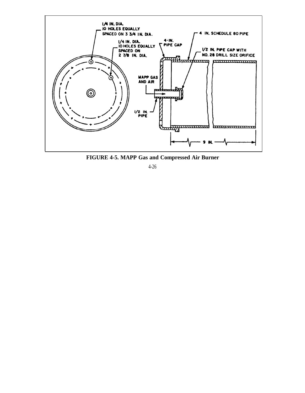

**FIGURE 4-5. MAPP Gas and Compressed Air Burner**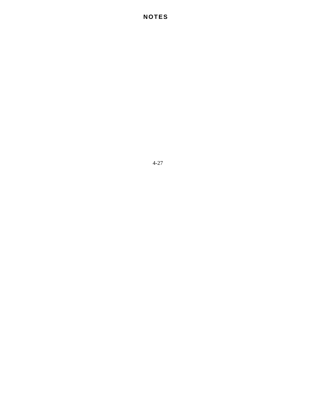# **NOTES**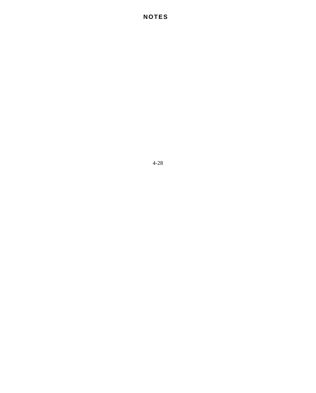# **NOTES**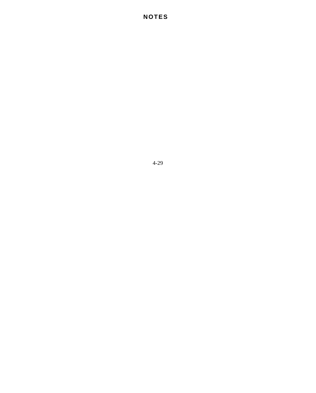# **NOTES**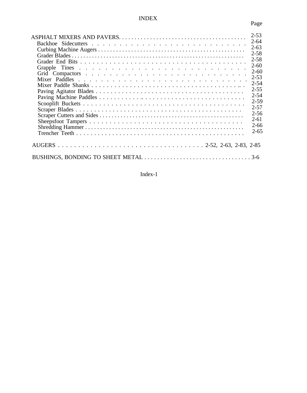# INDEX

| $2 - 53$ |
|----------|
|          |
|          |
|          |
|          |
|          |
|          |
|          |
|          |
|          |
| $2 - 55$ |
| $2 - 54$ |
| $2 - 59$ |
| $2 - 57$ |
| $2 - 56$ |
| $2 - 61$ |
| $2 - 66$ |
| $2 - 65$ |
|          |
|          |
|          |
|          |
|          |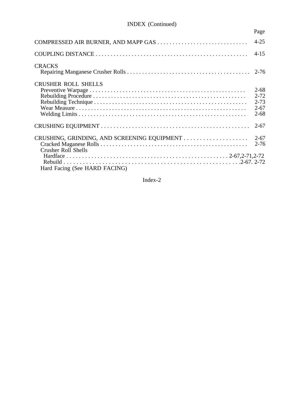|                                                                           | Page                                                     |
|---------------------------------------------------------------------------|----------------------------------------------------------|
| COMPRESSED AIR BURNER, AND MAPP GAS                                       | $4 - 25$                                                 |
|                                                                           | $4 - 15$                                                 |
| <b>CRACKS</b>                                                             |                                                          |
| <b>CRUSHER ROLL SHELLS</b>                                                | $2 - 68$<br>$2 - 72$<br>$2 - 73$<br>$2 - 67$<br>$2 - 68$ |
|                                                                           | $2 - 67$                                                 |
| CRUSHING, GRINDING, AND SCREENING EQUIPMENT<br><b>Crusher Roll Shells</b> | $2 - 67$<br>$2 - 76$                                     |
| Hard Facing (See HARD FACING)                                             |                                                          |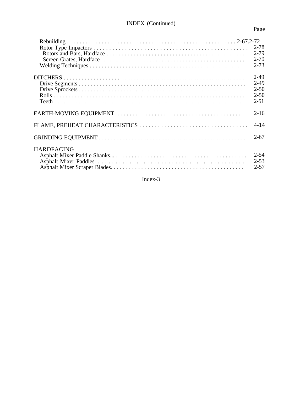|                   | $2 - 79$ |
|-------------------|----------|
|                   | $2 - 79$ |
|                   | $2 - 73$ |
|                   | $2 - 49$ |
|                   | $2 - 49$ |
|                   | $2 - 50$ |
|                   | $2 - 50$ |
|                   | $2 - 51$ |
|                   | $2 - 16$ |
|                   | $4 - 14$ |
|                   | $2 - 67$ |
| <b>HARDFACING</b> |          |
|                   | $2 - 54$ |
|                   | $2 - 53$ |
|                   | $2 - 57$ |
|                   |          |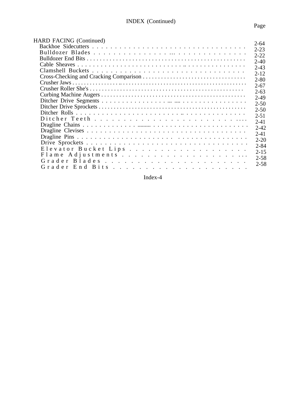| <b>HARD FACING (Continued)</b> | $2 - 64$ |
|--------------------------------|----------|
|                                | $2 - 23$ |
|                                | $2 - 22$ |
|                                |          |
|                                | $2 - 40$ |
|                                | $2 - 43$ |
|                                | $2 - 12$ |
|                                | $2 - 80$ |
|                                | $2 - 67$ |
|                                | $2 - 63$ |
|                                | $2 - 49$ |
|                                | $2 - 50$ |
|                                | $2 - 50$ |
|                                | $2 - 51$ |
|                                | $2 - 41$ |
|                                | $2 - 42$ |
|                                | $2 - 41$ |
|                                | $2 - 20$ |
|                                | $2 - 84$ |
|                                | $2 - 15$ |
|                                | $2 - 58$ |
| Grader Blades                  | $2 - 58$ |
|                                |          |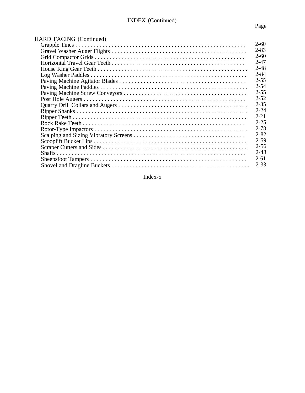Page

| <b>HARD FACING (Continued)</b> |
|--------------------------------|
|                                |
|                                |
|                                |
|                                |
|                                |
|                                |
|                                |
|                                |
|                                |
|                                |
|                                |
|                                |
|                                |
|                                |
|                                |
|                                |
|                                |
|                                |
|                                |
|                                |
|                                |
|                                |

# Index-5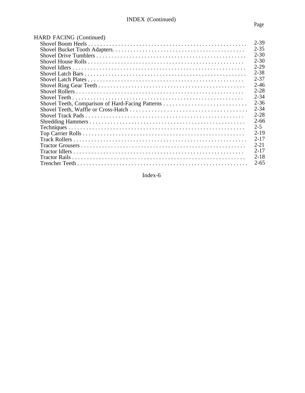Page

| <b>HARD FACING (Continued)</b> |
|--------------------------------|
|                                |
|                                |
|                                |
|                                |
|                                |
|                                |
|                                |
|                                |
|                                |
|                                |
|                                |
|                                |
|                                |
|                                |
|                                |
|                                |
|                                |
|                                |
|                                |
|                                |
|                                |

### Index-6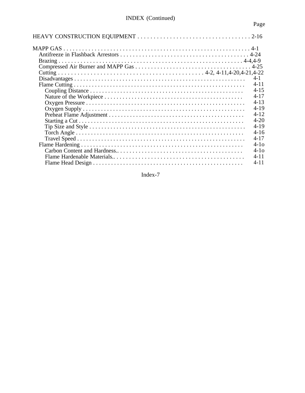| $4-1$    |          |
|----------|----------|
| $4 - 11$ |          |
|          | $4 - 15$ |
|          | $4 - 17$ |
|          | $4 - 13$ |
|          | $4 - 19$ |
|          | $4 - 12$ |
|          | $4 - 20$ |
|          | $4 - 19$ |
|          | $4 - 16$ |
|          | $4 - 17$ |
|          | $4-10$   |
|          | $4-10$   |
|          | $4 - 11$ |
|          | 4-11     |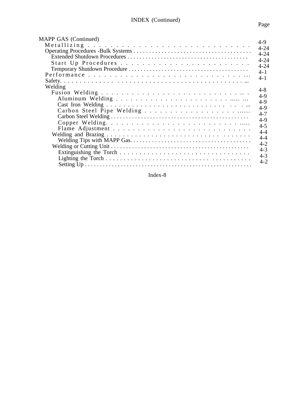Page

| <b>MAPP GAS (Continued)</b> |
|-----------------------------|
| $4-9$                       |
| $4 - 24$                    |
| $4 - 24$                    |
| $4 - 24$                    |
| $4 - 24$                    |
|                             |
|                             |
| Welding                     |
|                             |
|                             |
|                             |
|                             |
|                             |
|                             |
|                             |
|                             |
|                             |
|                             |
|                             |
|                             |
|                             |

## Index-8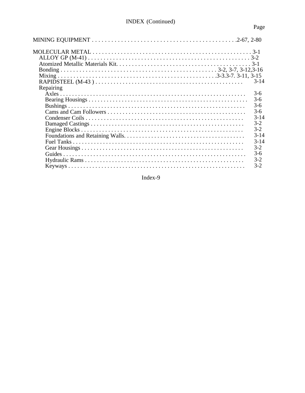|           | $3 - 14$ |
|-----------|----------|
| Repairing |          |
|           | $3 - 6$  |
|           | $3-6$    |
|           | $3 - 6$  |
|           | $3-6$    |
|           | $3 - 14$ |
|           | $3-2$    |
|           | $3-2$    |
|           | $3 - 14$ |
|           | $3 - 14$ |
|           | $3-2$    |
|           | $3 - 6$  |
|           | $3-2$    |
|           | $3 - 2$  |
|           |          |

Index-9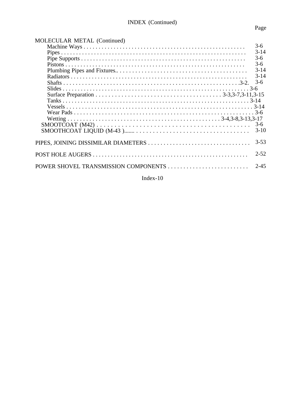| <b>MOLECULAR METAL (Continued)</b> |          |
|------------------------------------|----------|
|                                    | $3-6$    |
|                                    | $3 - 14$ |
|                                    | $3-6$    |
|                                    | $3-6$    |
|                                    | $3 - 14$ |
|                                    | $3 - 14$ |
|                                    |          |
|                                    |          |
|                                    |          |
|                                    |          |
|                                    |          |
|                                    |          |
|                                    |          |
|                                    |          |
|                                    | $3-10$   |
|                                    | $3 - 53$ |
|                                    | $2 - 52$ |
|                                    | $2 - 45$ |
|                                    |          |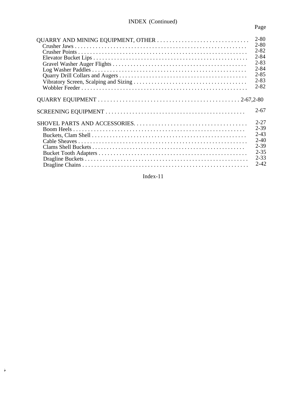Page

| QUARRY AND MINING EQUIPMENT, OTHER | $2 - 80$<br>$2 - 80$<br>$2 - 82$<br>$2 - 84$<br>$2 - 83$<br>$2 - 84$<br>$2 - 85$<br>$2 - 83$<br>$2 - 82$ |
|------------------------------------|----------------------------------------------------------------------------------------------------------|
|                                    |                                                                                                          |
|                                    | $2 - 67$                                                                                                 |
|                                    | $2 - 27$<br>$2 - 39$<br>$2 - 43$<br>$2 - 40$<br>$2 - 39$<br>$2 - 35$<br>$2 - 33$<br>$2 - 42$             |
|                                    |                                                                                                          |

Index-11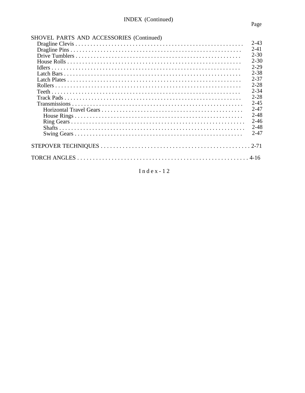| SHOVEL PARTS AND ACCESSORIES (Continued) |
|------------------------------------------|
| $2 - 43$                                 |
| $2 - 41$                                 |
| $2 - 30$                                 |
| $2 - 30$                                 |
| $2 - 29$                                 |
| $2 - 38$                                 |
| $2 - 37$                                 |
| $2 - 28$                                 |
| $2 - 34$                                 |
| $2 - 28$                                 |
| $2 - 45$                                 |
| $2 - 47$                                 |
| $2 - 48$                                 |
| $2 - 46$                                 |
| $2 - 48$                                 |
| $2 - 47$                                 |
|                                          |
|                                          |
|                                          |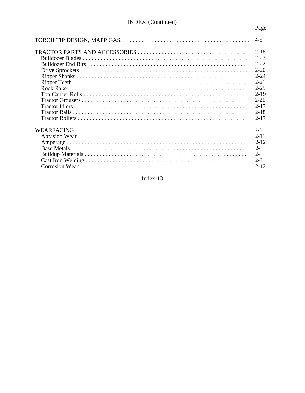| $2 - 16$ |
|----------|
| $2 - 23$ |
| $2 - 22$ |
| $2 - 20$ |
| $2 - 24$ |
| $2 - 21$ |
| $2 - 25$ |
| $2 - 19$ |
| $2 - 21$ |
| $2 - 17$ |
| $2 - 18$ |
| $2 - 17$ |
|          |
| $2 - 1$  |
| $2 - 11$ |
| $2 - 12$ |
| $2 - 3$  |
| $2 - 3$  |
| $2 - 3$  |
| $2 - 12$ |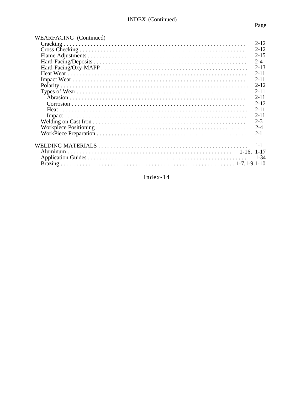| <b>WEARFACING</b> (Continued) |          |
|-------------------------------|----------|
|                               | $2 - 12$ |
|                               | $2 - 12$ |
|                               | $2 - 15$ |
|                               | $2 - 4$  |
|                               | $2 - 13$ |
|                               | $2 - 11$ |
|                               | $2 - 11$ |
|                               | $2 - 12$ |
|                               | $2 - 11$ |
|                               | $2 - 11$ |
|                               | $2 - 12$ |
|                               | $2 - 11$ |
|                               | $2 - 11$ |
|                               | $2 - 3$  |
|                               | $2 - 4$  |
|                               | $2 - 1$  |
|                               |          |
|                               | $1 - 1$  |
|                               |          |
|                               | -1-34    |
|                               |          |
|                               |          |